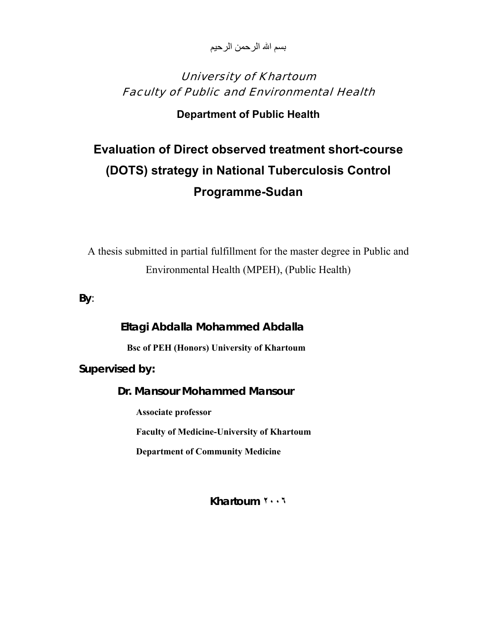بسم الله الرحمن الرحيم

# University of Khartoum Faculty of Public and Environmental Health

## **Department of Public Health**

# **Evaluation of Direct observed treatment short-course (DOTS) strategy in National Tuberculosis Control Programme-Sudan**

A thesis submitted in partial fulfillment for the master degree in Public and Environmental Health (MPEH), (Public Health)

**By**:

 **Eltagi Abdalla Mohammed Abdalla Bsc of PEH (Honors) University of Khartoum Supervised by: Dr. Mansour Mohammed Mansour Associate professor Faculty of Medicine-University of Khartoum** 

 **Department of Community Medicine** 

**Khartoum ٢٠٠٦**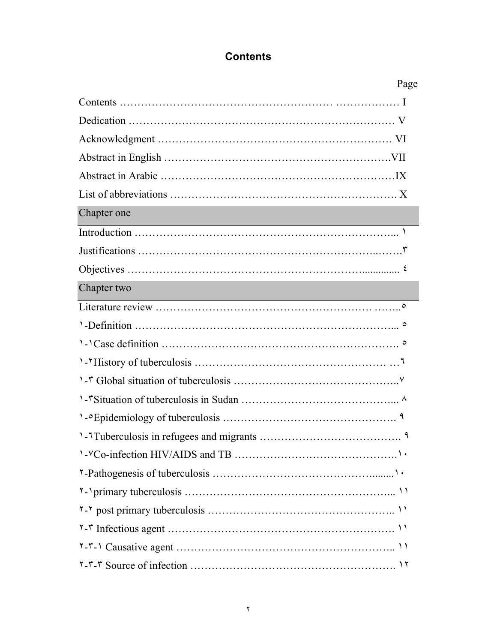# **Contents**

|             | Page |
|-------------|------|
|             |      |
|             |      |
|             |      |
|             |      |
|             |      |
|             |      |
| Chapter one |      |
|             |      |
|             |      |
|             |      |
| Chapter two |      |
|             |      |
|             |      |
|             |      |
|             |      |
|             |      |
|             |      |
|             |      |
|             |      |
|             |      |
|             |      |
|             |      |
|             |      |
|             |      |
|             |      |
|             |      |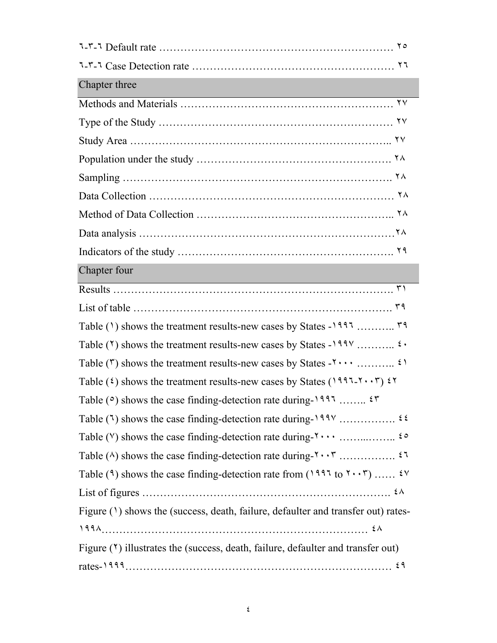| Chapter three                                                                                                                                               |
|-------------------------------------------------------------------------------------------------------------------------------------------------------------|
|                                                                                                                                                             |
|                                                                                                                                                             |
|                                                                                                                                                             |
|                                                                                                                                                             |
|                                                                                                                                                             |
|                                                                                                                                                             |
|                                                                                                                                                             |
|                                                                                                                                                             |
|                                                                                                                                                             |
| Chapter four                                                                                                                                                |
|                                                                                                                                                             |
|                                                                                                                                                             |
|                                                                                                                                                             |
|                                                                                                                                                             |
|                                                                                                                                                             |
| Table ( $\hat{\imath}$ ) shows the treatment results-new cases by States ( $1997$ - $\check{\imath} \cdot \check{\imath}$ ) $\check{\imath} \check{\imath}$ |
| Table ( $\circ$ ) shows the case finding-detection rate during-1997 $\circ$ $\circ$                                                                         |
|                                                                                                                                                             |
|                                                                                                                                                             |
|                                                                                                                                                             |
| Table (9) shows the case finding-detection rate from (1997 to $\mathbf{Y} \cdot \mathbf{Y}$ ) $\mathbf{Y} \cdot \mathbf{Y}$                                 |
|                                                                                                                                                             |
| Figure (1) shows the (success, death, failure, defaulter and transfer out) rates-                                                                           |
|                                                                                                                                                             |
| Figure $(1)$ illustrates the (success, death, failure, defaulter and transfer out)                                                                          |
|                                                                                                                                                             |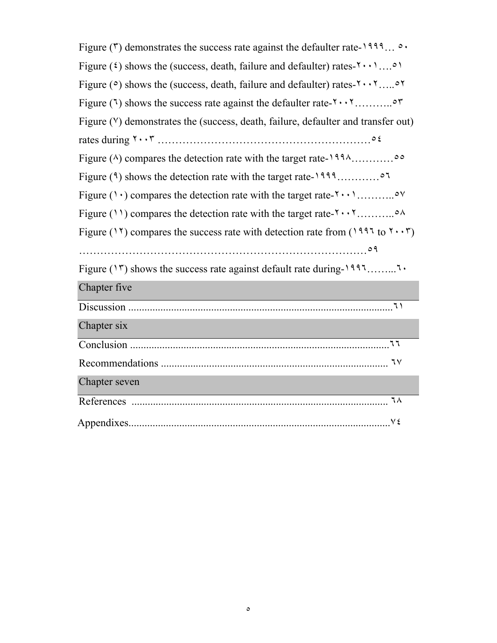| Figure ( $\zeta$ ) demonstrates the success rate against the defaulter rate-1999 $\circ \cdot$                             |
|----------------------------------------------------------------------------------------------------------------------------|
| Figure ( $\epsilon$ ) shows the (success, death, failure and defaulter) rates- $\{\cdot\cdot\cdot\}$                       |
| Figure ( $\circ$ ) shows the (success, death, failure and defaulter) rates- $\mathbf{y} \cdot \mathbf{y} \cdot \mathbf{y}$ |
|                                                                                                                            |
| Figure (V) demonstrates the (success, death, failure, defaulter and transfer out)                                          |
|                                                                                                                            |
|                                                                                                                            |
|                                                                                                                            |
|                                                                                                                            |
|                                                                                                                            |
| Figure (17) compares the success rate with detection rate from (1997 to $\tau \cdot \tau$ )                                |
|                                                                                                                            |
|                                                                                                                            |
| Chapter five                                                                                                               |
|                                                                                                                            |
| Chapter six                                                                                                                |
|                                                                                                                            |
|                                                                                                                            |
|                                                                                                                            |
| Chapter seven                                                                                                              |
|                                                                                                                            |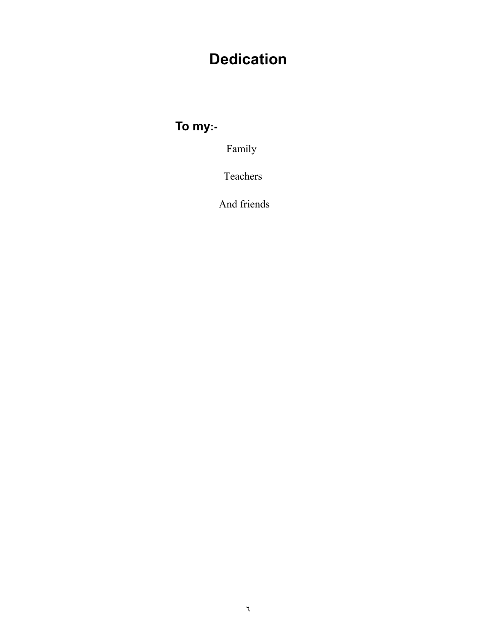# **Dedication**

**To my:-** 

Family

Teachers

And friends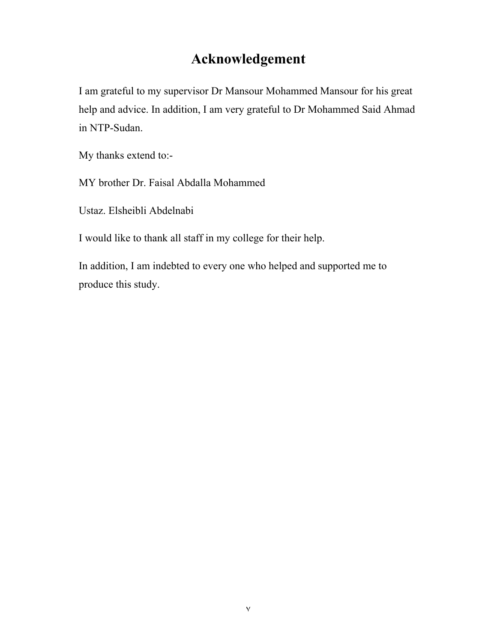# **Acknowledgement**

I am grateful to my supervisor Dr Mansour Mohammed Mansour for his great help and advice. In addition, I am very grateful to Dr Mohammed Said Ahmad in NTP-Sudan.

My thanks extend to:-

MY brother Dr. Faisal Abdalla Mohammed

Ustaz. Elsheibli Abdelnabi

I would like to thank all staff in my college for their help.

In addition, I am indebted to every one who helped and supported me to produce this study.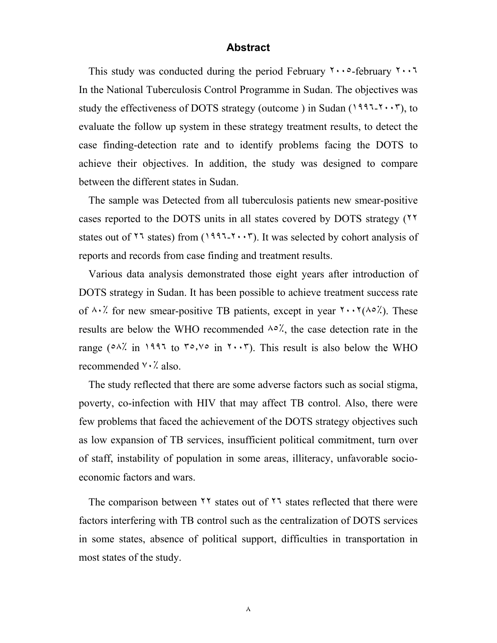#### **Abstract**

This study was conducted during the period February  $\cdots$  -february  $\cdots$ In the National Tuberculosis Control Programme in Sudan. The objectives was study the effectiveness of DOTS strategy (outcome) in Sudan ( $1997-\gamma \cdot \gamma$ ), to evaluate the follow up system in these strategy treatment results, to detect the case finding-detection rate and to identify problems facing the DOTS to achieve their objectives. In addition, the study was designed to compare between the different states in Sudan.

The sample was Detected from all tuberculosis patients new smear-positive cases reported to the DOTS units in all states covered by DOTS strategy (٢٢ states out of ٢٦ states) from (١٩٩٦-٢٠٠٣). It was selected by cohort analysis of reports and records from case finding and treatment results.

Various data analysis demonstrated those eight years after introduction of DOTS strategy in Sudan. It has been possible to achieve treatment success rate of  $\lambda \cdot \lambda$  for new smear-positive TB patients, except in year  $\lambda \cdot \lambda (\lambda \cdot \lambda)$ . These results are below the WHO recommended  $\lambda \circ \lambda'$ , the case detection rate in the range ( $0.1$ <sup>7</sup>). This result is also below the WHO recommended ٧٠٪ also.

The study reflected that there are some adverse factors such as social stigma, poverty, co-infection with HIV that may affect TB control. Also, there were few problems that faced the achievement of the DOTS strategy objectives such as low expansion of TB services, insufficient political commitment, turn over of staff, instability of population in some areas, illiteracy, unfavorable socioeconomic factors and wars.

The comparison between ٢٢ states out of ٢٦ states reflected that there were factors interfering with TB control such as the centralization of DOTS services in some states, absence of political support, difficulties in transportation in most states of the study.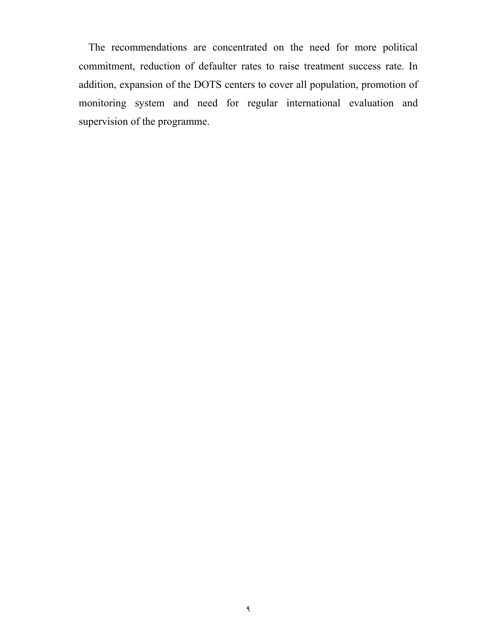The recommendations are concentrated on the need for more political commitment, reduction of defaulter rates to raise treatment success rate. In addition, expansion of the DOTS centers to cover all population, promotion of monitoring system and need for regular international evaluation and supervision of the programme.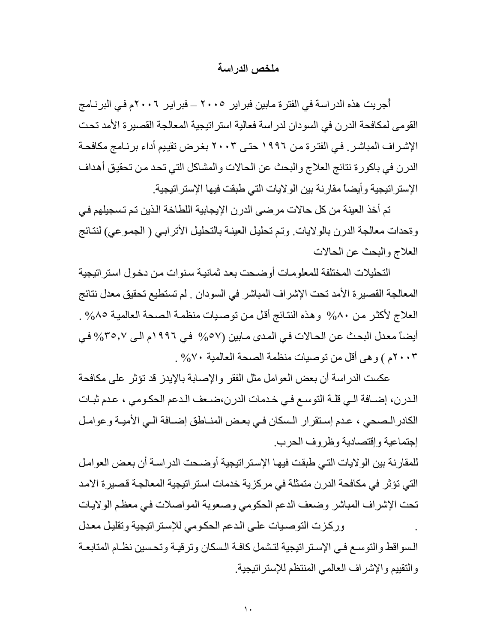#### **ملخص الدراسة**

أُجريت هذه الدراسة في الفترة مابين فبراير ٢٠٠٥ – فبراير ٢٠٠٦م في البرنـامج القومى لمكافحة الدرن في السودان لدر اسة فعالية استر اتيجية المعالجة القصير ة الأمد تحت الإشراف المباشر . في الفتر ة من ١٩٩٦ حتى ٢٠٠٣ بغر ض تقييم أداء بر نـامج مكافحـة الدرن في باكورة نتائج العلاج والبحث عن الحالات والمشاكل التي تحد من تحقيق أهداف الإستراتيجية وأيضاً مقارنة بين الولايات التي طبقت فيها الإستراتيجية.

تم أخذ العينة من كل حالات مرضى الدرن الإيجابية اللطاخة الذين تم تسجيلهم في وةحدات معالجة الدرن بالولايات. وتم تحليل العينـة بالتحليل الأترابـي ( الجموعي) لنتائج العلاج والبحث عن الحالات

التحليلات المختلفة للمعلومات أو ضحت بعد ثمانيـة سنوات من دخول اسنر اتيجية المعالجة القصيرة الأمد تحت الإشراف المباشر في السودان . لم تستطيع تحقيق معدل نتائج العلاج لأكثر من ٨٠% وهذه النتائج أقل من توصيات منظمة الصحة العالمية ٨٥% . أيضاً معدل البحث عن الحالات في المدى مابين (%٥٧ في ١٩٩٦م الي 7٥٫٧% في ٢٠٠٣م ) وهى أقل من توصيات منظمة الصحة العالمية %٧٠ .

عكست الدراسة أن بعض العوامل مثل الفقر والإصابة بالإيدز قد تؤثر على مكافحة الدرن، إضافة الى قلة التوسع في خدمات الدرن،ضعف الدعم الحكومي ، عدم ثبات الكادر الـصحي ، عدم إستقرار الـسكان في بعض المنـاطق إضـافة الـي الأميـة وعوامـل إجتماعية وإقتصادية وظروف الحرب.

للمقارنة بين الولايات التي طبقت فيها الإستراتيجية أوضحت الدراسة أن بعض العوامل التي تؤثر في مكافحة الدرن متمثلة في مركزية خدمات استراتيجية المعالجة قصيرة الامد تحت الإشراف المباشر وضعف الدعم الحكومي وصعوبة المواصلات في معظم الولايات

وركزت التوصيات على الدعم الحكومي للإستراتيجية وتقليل معدل السواقط والتوسع في الإستراتيجية لتشمل كافة السكان وترقيـة وتحسين نظـام المتابعـة والتقييم والإشراف العالمي المنتظم للإستراتيجية.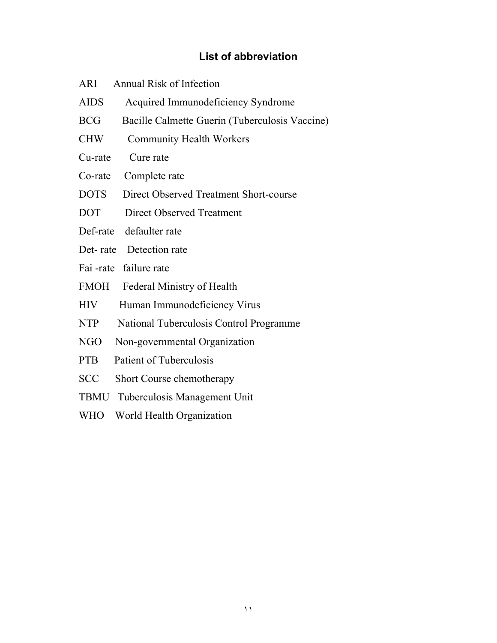# **List of abbreviation**

| Annual Risk of Infection<br>ARI |  |
|---------------------------------|--|
|---------------------------------|--|

- AIDS Acquired Immunodeficiency Syndrome
- BCG Bacille Calmette Guerin (Tuberculosis Vaccine)
- CHW Community Health Workers
- Cu-rate Cure rate
- Co-rate Complete rate
- DOTS Direct Observed Treatment Short-course
- DOT Direct Observed Treatment
- Def-rate defaulter rate
- Det-rate Detection rate
- Fai -rate failure rate
- FMOH Federal Ministry of Health
- HIV Human Immunodeficiency Virus
- NTP National Tuberculosis Control Programme
- NGO Non-governmental Organization
- PTB Patient of Tuberculosis
- SCC Short Course chemotherapy
- TBMU Tuberculosis Management Unit
- WHO World Health Organization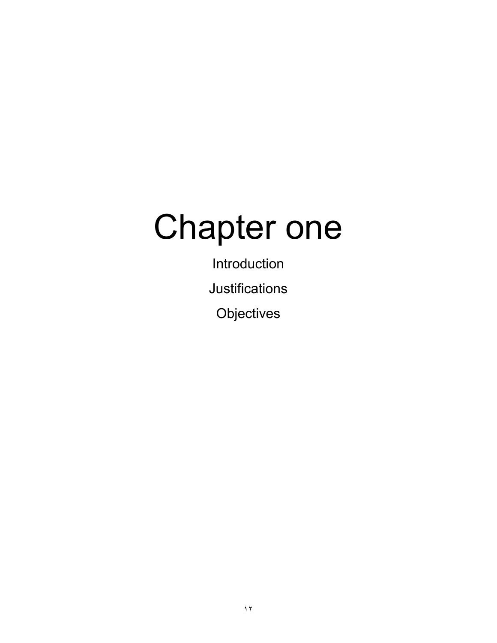# Chapter one

Introduction Justifications **Objectives**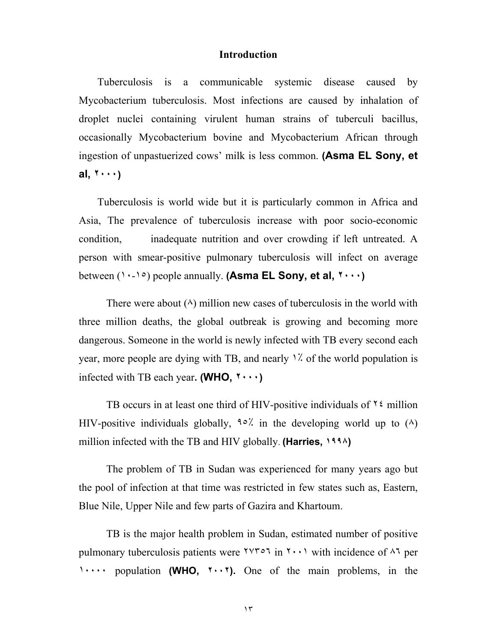#### **Introduction**

 Tuberculosis is a communicable systemic disease caused by Mycobacterium tuberculosis. Most infections are caused by inhalation of droplet nuclei containing virulent human strains of tuberculi bacillus, occasionally Mycobacterium bovine and Mycobacterium African through ingestion of unpastuerized cows' milk is less common. **(Asma EL Sony, et al, ٢٠٠٠)** 

 Tuberculosis is world wide but it is particularly common in Africa and Asia, The prevalence of tuberculosis increase with poor socio-economic condition, inadequate nutrition and over crowding if left untreated. A person with smear-positive pulmonary tuberculosis will infect on average between (١٠-١٥) people annually. **(Asma EL Sony, et al, ٢٠٠٠)** 

There were about  $(\wedge)$  million new cases of tuberculosis in the world with three million deaths, the global outbreak is growing and becoming more dangerous. Someone in the world is newly infected with TB every second each year, more people are dying with TB, and nearly ١٪ of the world population is infected with TB each year**. (WHO, ٢٠٠٠)** 

TB occurs in at least one third of HIV-positive individuals of  $\frac{1}{2}$  million HIV-positive individuals globally,  $90\%$  in the developing world up to (A) million infected with the TB and HIV globally. **(Harries, ١٩٩٨)**

The problem of TB in Sudan was experienced for many years ago but the pool of infection at that time was restricted in few states such as, Eastern, Blue Nile, Upper Nile and few parts of Gazira and Khartoum.

TB is the major health problem in Sudan, estimated number of positive pulmonary tuberculosis patients were  $\gamma \gamma \sim \gamma$  in  $\gamma \sim \gamma$  with incidence of  $\gamma \gamma$  per ١٠٠٠٠ population **(WHO, ٢٠٠٢).** One of the main problems, in the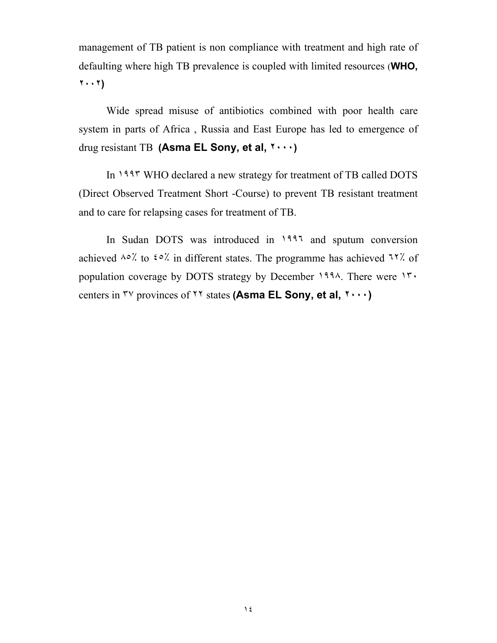management of TB patient is non compliance with treatment and high rate of defaulting where high TB prevalence is coupled with limited resources (**WHO, ٢٠٠٢)** 

Wide spread misuse of antibiotics combined with poor health care system in parts of Africa , Russia and East Europe has led to emergence of drug resistant TB **(Asma EL Sony, et al, ٢٠٠٠)**

In ١٩٩٣ WHO declared a new strategy for treatment of TB called DOTS (Direct Observed Treatment Short -Course) to prevent TB resistant treatment and to care for relapsing cases for treatment of TB.

In Sudan DOTS was introduced in ١٩٩٦ and sputum conversion achieved ٨٥٪ to ٤٥٪ in different states. The programme has achieved ٦٢٪ of population coverage by DOTS strategy by December ١٩٩٨. There were ١٣٠ centers in ٣٧ provinces of ٢٢ states **(Asma EL Sony, et al, ٢٠٠٠)**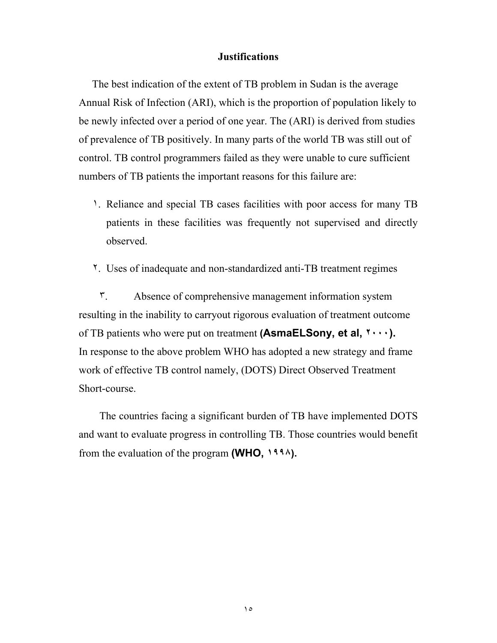#### **Justifications**

 The best indication of the extent of TB problem in Sudan is the average Annual Risk of Infection (ARI), which is the proportion of population likely to be newly infected over a period of one year. The (ARI) is derived from studies of prevalence of TB positively. In many parts of the world TB was still out of control. TB control programmers failed as they were unable to cure sufficient numbers of TB patients the important reasons for this failure are:

- ١. Reliance and special TB cases facilities with poor access for many TB patients in these facilities was frequently not supervised and directly observed.
- ٢. Uses of inadequate and non-standardized anti-TB treatment regimes

٣. Absence of comprehensive management information system resulting in the inability to carryout rigorous evaluation of treatment outcome of TB patients who were put on treatment **(AsmaELSony, et al, ٢٠٠٠).**  In response to the above problem WHO has adopted a new strategy and frame work of effective TB control namely, (DOTS) Direct Observed Treatment Short-course.

The countries facing a significant burden of TB have implemented DOTS and want to evaluate progress in controlling TB. Those countries would benefit from the evaluation of the program **(WHO, ١٩٩٨).**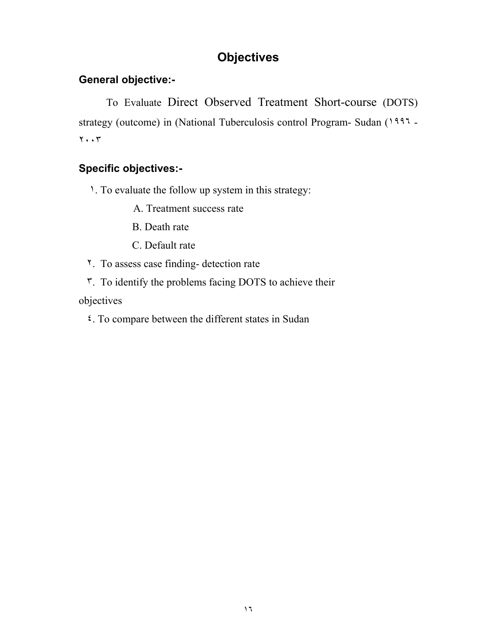# **Objectives**

# **General objective:-**

To Evaluate Direct Observed Treatment Short-course (DOTS) strategy (outcome) in (National Tuberculosis control Program- Sudan (١٩٩٦ - ٢٠٠٣

# **Specific objectives:-**

١. To evaluate the follow up system in this strategy:

- A. Treatment success rate
- B. Death rate
- C. Default rate
- ٢. To assess case finding- detection rate
- ٣. To identify the problems facing DOTS to achieve their

objectives

٤. To compare between the different states in Sudan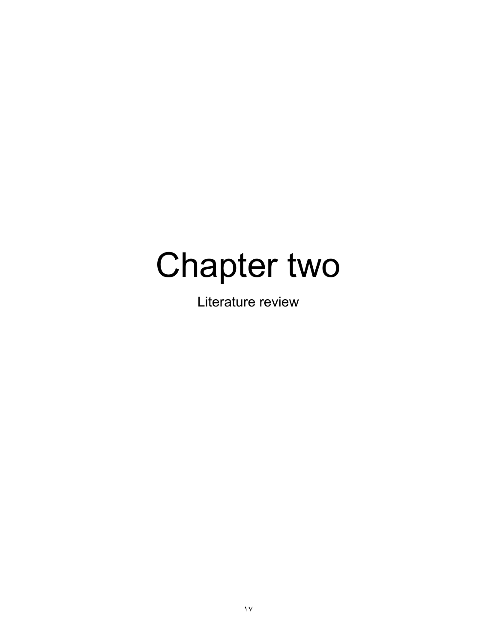# Chapter two

Literature review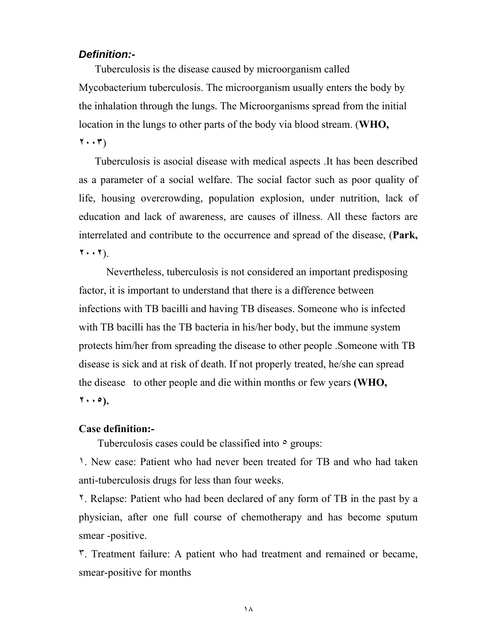#### *Definition:-*

 Tuberculosis is the disease caused by microorganism called Mycobacterium tuberculosis. The microorganism usually enters the body by the inhalation through the lungs. The Microorganisms spread from the initial location in the lungs to other parts of the body via blood stream. (**WHO, ٢٠٠٣**)

 Tuberculosis is asocial disease with medical aspects .It has been described as a parameter of a social welfare. The social factor such as poor quality of life, housing overcrowding, population explosion, under nutrition, lack of education and lack of awareness, are causes of illness. All these factors are interrelated and contribute to the occurrence and spread of the disease, (**Park, ٢٠٠٢**).

Nevertheless, tuberculosis is not considered an important predisposing factor, it is important to understand that there is a difference between infections with TB bacilli and having TB diseases. Someone who is infected with TB bacilli has the TB bacteria in his/her body, but the immune system protects him/her from spreading the disease to other people .Someone with TB disease is sick and at risk of death. If not properly treated, he/she can spread the disease to other people and die within months or few years **(WHO, ٢٠٠٥).**

#### **Case definition:-**

Tuberculosis cases could be classified into  $\circ$  groups:

١. New case: Patient who had never been treated for TB and who had taken anti-tuberculosis drugs for less than four weeks.

٢. Relapse: Patient who had been declared of any form of TB in the past by a physician, after one full course of chemotherapy and has become sputum smear -positive.

٣. Treatment failure: A patient who had treatment and remained or became, smear-positive for months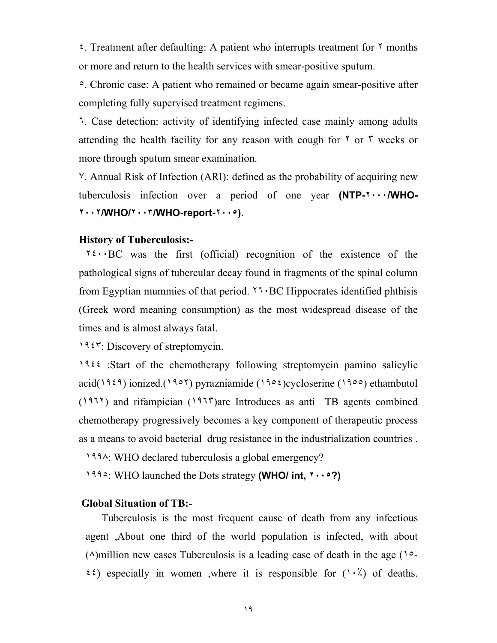٤. Treatment after defaulting: A patient who interrupts treatment for ٢ months or more and return to the health services with smear-positive sputum.

٥. Chronic case: A patient who remained or became again smear-positive after completing fully supervised treatment regimens.

٦. Case detection: activity of identifying infected case mainly among adults attending the health facility for any reason with cough for  $\gamma$  or  $\gamma$  weeks or more through sputum smear examination.

٧. Annual Risk of Infection (ARI): defined as the probability of acquiring new tuberculosis infection over a period of one year **(NTP-٢٠٠٠/WHO-٢٠٠٢/WHO/٢٠٠٣/WHO-report-٢٠٠٥).** 

#### **History of Tuberculosis:-**

 $15 \cdot BC$  was the first (official) recognition of the existence of the pathological signs of tubercular decay found in fragments of the spinal column from Egyptian mummies of that period. ٢٦٠BC Hippocrates identified phthisis (Greek word meaning consumption) as the most widespread disease of the times and is almost always fatal.

١٩٤٣: Discovery of streptomycin.

١٩٤٤ :Start of the chemotherapy following streptomycin pamino salicylic acid( $1959$ ) ionized.( $1907$ ) pyrazniamide ( $1905$ )cycloserine ( $1900$ ) ethambutol (١٩٦٢) and rifampician (١٩٦٣)are Introduces as anti TB agents combined chemotherapy progressively becomes a key component of therapeutic process as a means to avoid bacterial drug resistance in the industrialization countries .

١٩٩٨: WHO declared tuberculosis a global emergency?

١٩٩٥: WHO launched the Dots strategy **(WHO/ int, ٢٠٠٥?)**

#### **Global Situation of TB:-**

 Tuberculosis is the most frequent cause of death from any infectious agent ,About one third of the world population is infected, with about  $(\wedge)$ million new cases Tuberculosis is a leading case of death in the age ( $\vee$ - $\mathfrak{e}(i)$  especially in women ,where it is responsible for  $(1 \cdot \lambda)$  of deaths.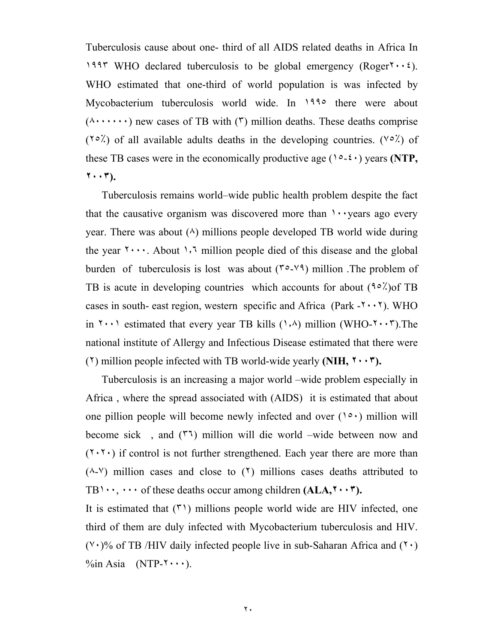Tuberculosis cause about one- third of all AIDS related deaths in Africa In 1997 WHO declared tuberculosis to be global emergency (Roger $\gamma \cdot \gamma$ ). WHO estimated that one-third of world population is was infected by Mycobacterium tuberculosis world wide. In 1990 there were about  $(\land \cdots \cdots)$  new cases of TB with  $(\uparrow)$  million deaths. These deaths comprise  $(10^{\circ}$ ) of all available adults deaths in the developing countries. ( $\sqrt{0}$ ) of these TB cases were in the economically productive age  $(1 \circ - \varepsilon \cdot)$  years **(NTP**, **٢٠٠٣).**

 Tuberculosis remains world–wide public health problem despite the fact that the causative organism was discovered more than  $\cdots$  years ago every year. There was about  $(\wedge)$  millions people developed TB world wide during the year  $\mathbf{Y} \cdot \cdot \cdot$ . About  $\cdot \cdot \cdot$ , million people died of this disease and the global burden of tuberculosis is lost was about  $(1, 0)$  million. The problem of TB is acute in developing countries which accounts for about  $(90\text{ N})$  TB cases in south- east region, western specific and Africa (Park  $-1 \cdot \cdot \cdot$ ). WHO in  $\{\cdot\cdot\cdot\}$  estimated that every year TB kills ( $\{\cdot\}$ ) million (WHO- $\{\cdot\cdot\cdot\cdot\}$ ). The national institute of Allergy and Infectious Disease estimated that there were (٢) million people infected with TB world-wide yearly **(NIH, ٢٠٠٣).** 

 Tuberculosis is an increasing a major world –wide problem especially in Africa , where the spread associated with (AIDS) it is estimated that about one pillion people will become newly infected and over  $(1^{\circ} \cdot)$  million will become sick , and (٣٦) million will die world –wide between now and  $(7.7.)$  if control is not further strengthened. Each year there are more than  $(\wedge$ - $\vee)$  million cases and close to  $(\vee)$  millions cases deaths attributed to TB١٠٠, ٠٠٠ of these deaths occur among children **(ALA,٢٠٠٣).** 

It is estimated that  $(5)$  millions people world wide are HIV infected, one third of them are duly infected with Mycobacterium tuberculosis and HIV.  $(1)$  of TB /HIV daily infected people live in sub-Saharan Africa and  $(1)$  $\%$ in Asia (NTP- $\$  \cdot \cdot \cdot).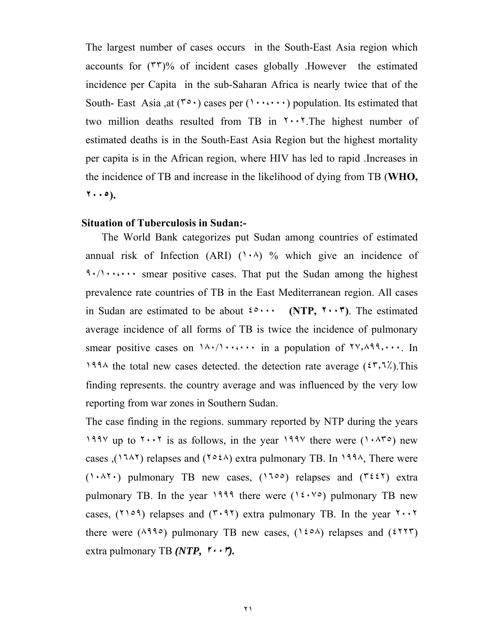The largest number of cases occurs in the South-East Asia region which accounts for (٣٣)% of incident cases globally .However the estimated incidence per Capita in the sub-Saharan Africa is nearly twice that of the South- East Asia ,at  $(1, 0)$  cases per  $(1, \ldots)$  population. Its estimated that two million deaths resulted from TB in  $\cdots$ . The highest number of estimated deaths is in the South-East Asia Region but the highest mortality per capita is in the African region, where HIV has led to rapid .Increases in the incidence of TB and increase in the likelihood of dying from TB (**WHO, ٢٠٠٥).**

#### **Situation of Tuberculosis in Sudan:-**

 The World Bank categorizes put Sudan among countries of estimated annual risk of Infection (ARI)  $(1 \cdot \land)$  % which give an incidence of ٩٠/١٠٠،٠٠٠ smear positive cases. That put the Sudan among the highest prevalence rate countries of TB in the East Mediterranean region. All cases in Sudan are estimated to be about ٤٥٠٠٠ **(NTP, ٢٠٠٣)**. The estimated average incidence of all forms of TB is twice the incidence of pulmonary smear positive cases on  $1 \wedge \cdot / 1 \cdot \cdot \cdot \cdot$  in a population of  $\forall y, \wedge \neg \neg \neg \cdot \neg \cdot$  In 1994 the total new cases detected, the detection rate average  $(27, 77)$ . This finding represents. the country average and was influenced by the very low reporting from war zones in Southern Sudan.

The case finding in the regions. summary reported by NTP during the years 1998 up to  $1.198$  is as follows, in the year  $199\%$  there were  $(1.088)$  new cases ( $(174)$  relapses and  $(1034)$  extra pulmonary TB. In 1994, There were  $(1 \cdot \lambda^{\gamma})$  pulmonary TB new cases,  $(1700)$  relapses and  $(7227)$  extra pulmonary TB. In the year  $1999$  there were  $(12.1)$  pulmonary TB new cases,  $(109)$  relapses and  $(5.97)$  extra pulmonary TB. In the year  $5.7$ there were  $(\lambda^{99} \circ)$  pulmonary TB new cases,  $(120 \land)$  relapses and  $(2177)$ extra pulmonary TB *(NTP,* **٢٠٠٣***).*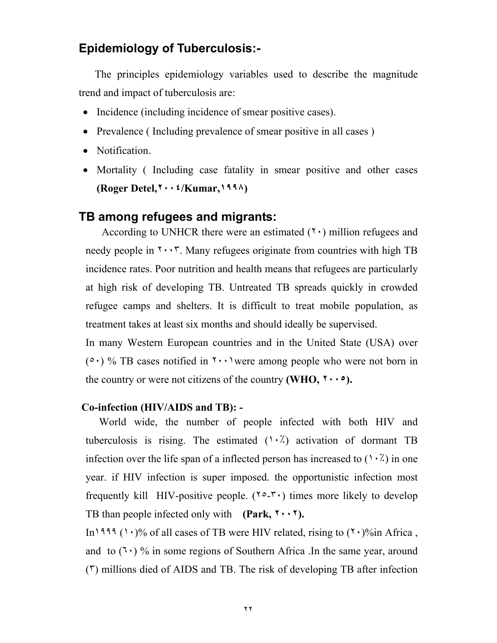# **Epidemiology of Tuberculosis:-**

 The principles epidemiology variables used to describe the magnitude trend and impact of tuberculosis are:

- Incidence (including incidence of smear positive cases).
- Prevalence (Including prevalence of smear positive in all cases)
- Notification.
- Mortality (Including case fatality in smear positive and other cases **(Roger Detel,٢٠٠٤/Kumar,١٩٩٨)**

# **TB among refugees and migrants:**

According to UNHCR there were an estimated  $(1)$  million refugees and needy people in  $\mathbf{r} \cdot \mathbf{r}$ . Many refugees originate from countries with high TB incidence rates. Poor nutrition and health means that refugees are particularly at high risk of developing TB. Untreated TB spreads quickly in crowded refugee camps and shelters. It is difficult to treat mobile population, as treatment takes at least six months and should ideally be supervised.

In many Western European countries and in the United State (USA) over  $(0 \cdot)$  % TB cases notified in  $\gamma \cdot \cdot$  were among people who were not born in the country or were not citizens of the country **(WHO, ٢٠٠٥).** 

#### **Co-infection (HIV/AIDS and TB): -**

 World wide, the number of people infected with both HIV and tuberculosis is rising. The estimated  $(1 \cdot \lambda)$  activation of dormant TB infection over the life span of a inflected person has increased to  $(1 \cdot \lambda)$  in one year. if HIV infection is super imposed. the opportunistic infection most frequently kill HIV-positive people.  $(1^{\circ}$ - $\cdot)$  times more likely to develop TB than people infected only with **(Park, ٢٠٠٢).**

In<sup>1999</sup> (1.)% of all cases of TB were HIV related, rising to  $(7.9\%$ in Africa, and to  $(7 \cdot)$  % in some regions of Southern Africa . In the same year, around (٣) millions died of AIDS and TB. The risk of developing TB after infection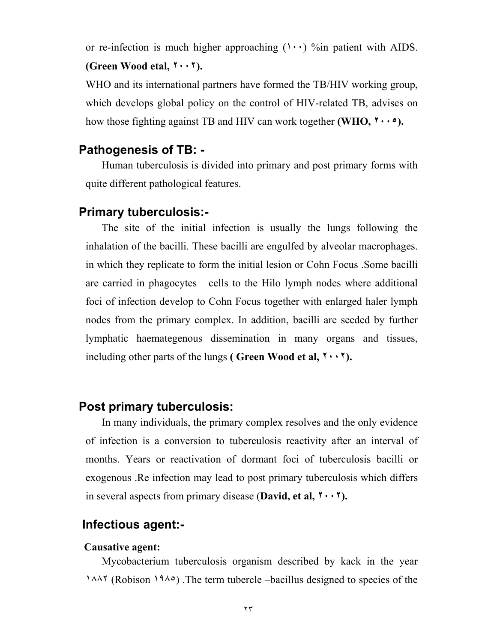or re-infection is much higher approaching  $(1 \cdot \cdot)$  %in patient with AIDS. **(Green Wood etal, ٢٠٠٢).**

WHO and its international partners have formed the TB/HIV working group, which develops global policy on the control of HIV-related TB, advises on how those fighting against TB and HIV can work together **(WHO, ٢٠٠٥).**

## **Pathogenesis of TB: -**

 Human tuberculosis is divided into primary and post primary forms with quite different pathological features.

### **Primary tuberculosis:-**

 The site of the initial infection is usually the lungs following the inhalation of the bacilli. These bacilli are engulfed by alveolar macrophages. in which they replicate to form the initial lesion or Cohn Focus .Some bacilli are carried in phagocytes cells to the Hilo lymph nodes where additional foci of infection develop to Cohn Focus together with enlarged haler lymph nodes from the primary complex. In addition, bacilli are seeded by further lymphatic haemategenous dissemination in many organs and tissues, including other parts of the lungs **( Green Wood et al, ٢٠٠٢).**

#### **Post primary tuberculosis:**

 In many individuals, the primary complex resolves and the only evidence of infection is a conversion to tuberculosis reactivity after an interval of months. Years or reactivation of dormant foci of tuberculosis bacilli or exogenous .Re infection may lead to post primary tuberculosis which differs in several aspects from primary disease (**David, et al, ٢٠٠٢).**

## **Infectious agent:-**

#### **Causative agent:**

 Mycobacterium tuberculosis organism described by kack in the year ١٨٨٢ (Robison ١٩٨٥) .The term tubercle –bacillus designed to species of the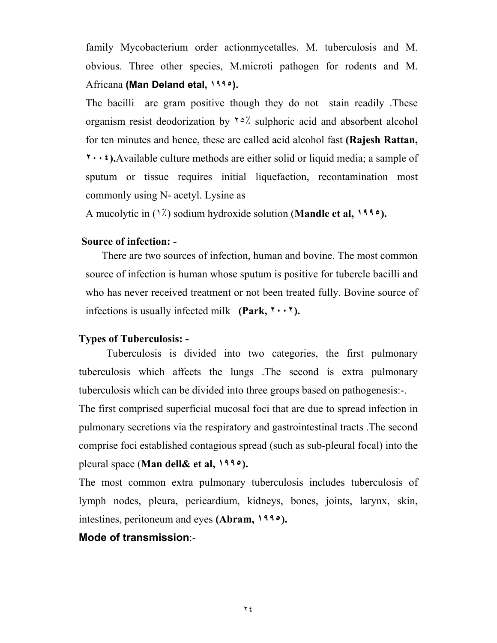family Mycobacterium order actionmycetalles. M. tuberculosis and M. obvious. Three other species, M.microti pathogen for rodents and M. Africana **(Man Deland etal, ١٩٩٥).**

The bacilli are gram positive though they do not stain readily .These organism resist deodorization by ٢٥٪ sulphoric acid and absorbent alcohol for ten minutes and hence, these are called acid alcohol fast **(Rajesh Rattan, ٢٠٠٤).**Available culture methods are either solid or liquid media; a sample of sputum or tissue requires initial liquefaction, recontamination most commonly using N- acetyl. Lysine as

A mucolytic in (١٪) sodium hydroxide solution (**Mandle et al, ١٩٩٥).** 

#### **Source of infection: -**

 There are two sources of infection, human and bovine. The most common source of infection is human whose sputum is positive for tubercle bacilli and who has never received treatment or not been treated fully. Bovine source of infections is usually infected milk **(Park, ٢٠٠٢).** 

#### **Types of Tuberculosis: -**

Tuberculosis is divided into two categories, the first pulmonary tuberculosis which affects the lungs .The second is extra pulmonary tuberculosis which can be divided into three groups based on pathogenesis:-.

The first comprised superficial mucosal foci that are due to spread infection in pulmonary secretions via the respiratory and gastrointestinal tracts .The second comprise foci established contagious spread (such as sub-pleural focal) into the pleural space (**Man dell& et al, ١٩٩٥).** 

The most common extra pulmonary tuberculosis includes tuberculosis of lymph nodes, pleura, pericardium, kidneys, bones, joints, larynx, skin, intestines, peritoneum and eyes **(Abram, ١٩٩٥).**

#### **Mode of transmission**:-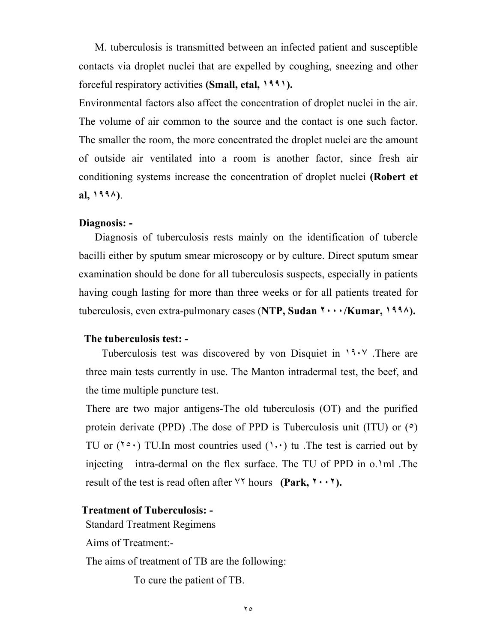M. tuberculosis is transmitted between an infected patient and susceptible contacts via droplet nuclei that are expelled by coughing, sneezing and other forceful respiratory activities **(Small, etal, ١٩٩١).** 

Environmental factors also affect the concentration of droplet nuclei in the air. The volume of air common to the source and the contact is one such factor. The smaller the room, the more concentrated the droplet nuclei are the amount of outside air ventilated into a room is another factor, since fresh air conditioning systems increase the concentration of droplet nuclei **(Robert et al, ١٩٩٨)**.

#### **Diagnosis: -**

 Diagnosis of tuberculosis rests mainly on the identification of tubercle bacilli either by sputum smear microscopy or by culture. Direct sputum smear examination should be done for all tuberculosis suspects, especially in patients having cough lasting for more than three weeks or for all patients treated for tuberculosis, even extra-pulmonary cases (**NTP, Sudan ٢٠٠٠/Kumar, ١٩٩٨).** 

#### **The tuberculosis test: -**

 Tuberculosis test was discovered by von Disquiet in ١٩٠٧ .There are three main tests currently in use. The Manton intradermal test, the beef, and the time multiple puncture test.

There are two major antigens-The old tuberculosis (OT) and the purified protein derivate (PPD) .The dose of PPD is Tuberculosis unit (ITU) or (٥) TU or  $(1^{\circ} \cdot)$  TU. In most countries used  $(1, \cdot)$  tu . The test is carried out by injecting intra-dermal on the flex surface. The TU of PPD in o. Iml. The result of the test is read often after ٧٢ hours **(Park, ٢٠٠٢).**

#### **Treatment of Tuberculosis: -**

Standard Treatment Regimens

Aims of Treatment:-

The aims of treatment of TB are the following:

To cure the patient of TB.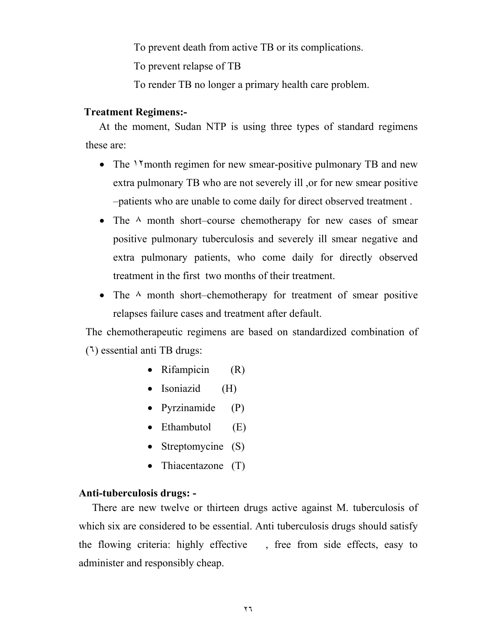To prevent death from active TB or its complications.

To prevent relapse of TB

To render TB no longer a primary health care problem.

#### **Treatment Regimens:-**

 At the moment, Sudan NTP is using three types of standard regimens these are:

- The *N* month regimen for new smear-positive pulmonary TB and new extra pulmonary TB who are not severely ill ,or for new smear positive –patients who are unable to come daily for direct observed treatment .
- The  $\land$  month short–course chemotherapy for new cases of smear positive pulmonary tuberculosis and severely ill smear negative and extra pulmonary patients, who come daily for directly observed treatment in the first two months of their treatment.
- The  $\land$  month short–chemotherapy for treatment of smear positive relapses failure cases and treatment after default.

The chemotherapeutic regimens are based on standardized combination of (٦) essential anti TB drugs:

- Rifampicin (R)
- Isoniazid (H)
- Pyrzinamide (P)
- Ethambutol  $(E)$
- Streptomycine (S)
- Thiacentazone (T)

#### **Anti-tuberculosis drugs: -**

 There are new twelve or thirteen drugs active against M. tuberculosis of which six are considered to be essential. Anti-tuberculosis drugs should satisfy the flowing criteria: highly effective , free from side effects, easy to administer and responsibly cheap.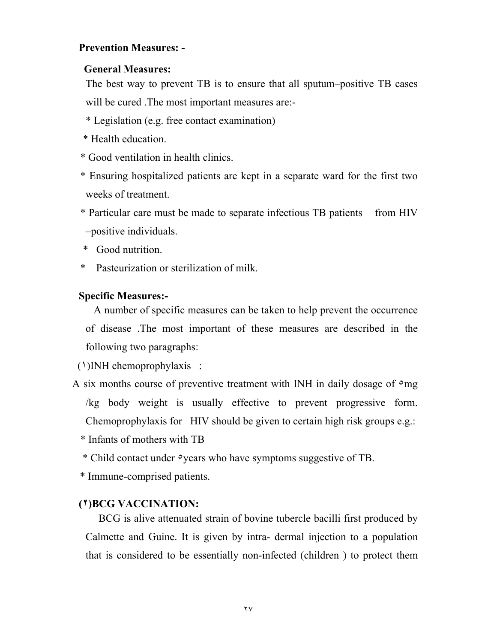#### **Prevention Measures: -**

#### **General Measures:**

 The best way to prevent TB is to ensure that all sputum–positive TB cases will be cured . The most important measures are:-

- \* Legislation (e.g. free contact examination)
- \* Health education.
- \* Good ventilation in health clinics.
- \* Ensuring hospitalized patients are kept in a separate ward for the first two weeks of treatment.
- \* Particular care must be made to separate infectious TB patients from HIV –positive individuals.
- \* Good nutrition.
- \* Pasteurization or sterilization of milk.

#### **Specific Measures:-**

 A number of specific measures can be taken to help prevent the occurrence of disease .The most important of these measures are described in the following two paragraphs:

(١)INH chemoprophylaxis :

- A six months course of preventive treatment with INH in daily dosage of  $\circ$ mg /kg body weight is usually effective to prevent progressive form. Chemoprophylaxis for HIV should be given to certain high risk groups e.g.:
	- \* Infants of mothers with TB
	- \* Child contact under ٥years who have symptoms suggestive of TB.
	- \* Immune-comprised patients.

#### **(٢)BCG VACCINATION:**

 BCG is alive attenuated strain of bovine tubercle bacilli first produced by Calmette and Guine. It is given by intra- dermal injection to a population that is considered to be essentially non-infected (children ) to protect them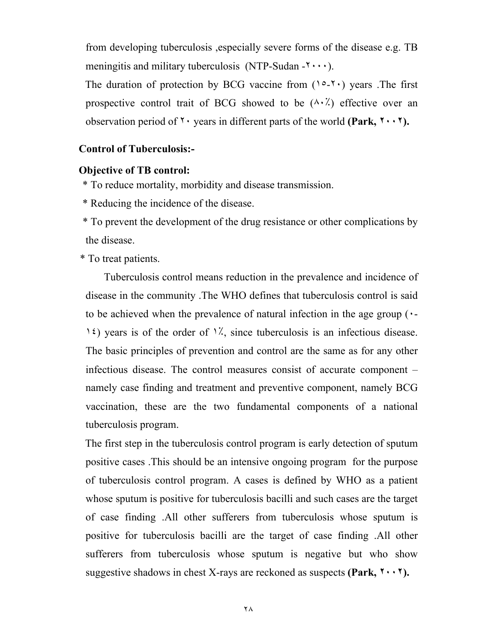from developing tuberculosis ,especially severe forms of the disease e.g. TB meningitis and military tuberculosis (NTP-Sudan  $-\mathbf{y} \cdot \mathbf{y}$ ).

The duration of protection by BCG vaccine from  $(10 - 1)$  years. The first prospective control trait of BCG showed to be  $(\wedge \cdot \wedge)$  effective over an observation period of ٢٠ years in different parts of the world **(Park, ٢٠٠٢).** 

#### **Control of Tuberculosis:-**

#### **Objective of TB control:**

\* To reduce mortality, morbidity and disease transmission.

\* Reducing the incidence of the disease.

 \* To prevent the development of the drug resistance or other complications by the disease.

\* To treat patients.

 Tuberculosis control means reduction in the prevalence and incidence of disease in the community .The WHO defines that tuberculosis control is said to be achieved when the prevalence of natural infection in the age group (٠- 1<sup>2</sup>) years is of the order of  $\frac{1}{2}$ , since tuberculosis is an infectious disease. The basic principles of prevention and control are the same as for any other infectious disease. The control measures consist of accurate component – namely case finding and treatment and preventive component, namely BCG vaccination, these are the two fundamental components of a national tuberculosis program.

 The first step in the tuberculosis control program is early detection of sputum positive cases .This should be an intensive ongoing program for the purpose of tuberculosis control program. A cases is defined by WHO as a patient whose sputum is positive for tuberculosis bacilli and such cases are the target of case finding .All other sufferers from tuberculosis whose sputum is positive for tuberculosis bacilli are the target of case finding .All other sufferers from tuberculosis whose sputum is negative but who show suggestive shadows in chest X-rays are reckoned as suspects **(Park, ٢٠٠٢).**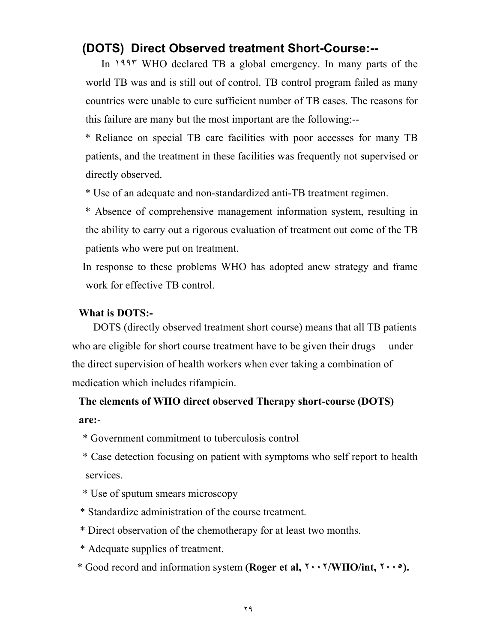# **(DOTS) Direct Observed treatment Short-Course:--**

 In ١٩٩٣ WHO declared TB a global emergency. In many parts of the world TB was and is still out of control. TB control program failed as many countries were unable to cure sufficient number of TB cases. The reasons for this failure are many but the most important are the following:--

 \* Reliance on special TB care facilities with poor accesses for many TB patients, and the treatment in these facilities was frequently not supervised or directly observed.

\* Use of an adequate and non-standardized anti-TB treatment regimen.

 \* Absence of comprehensive management information system, resulting in the ability to carry out a rigorous evaluation of treatment out come of the TB patients who were put on treatment.

 In response to these problems WHO has adopted anew strategy and frame work for effective TB control.

#### **What is DOTS:-**

 DOTS (directly observed treatment short course) means that all TB patients who are eligible for short course treatment have to be given their drugs under the direct supervision of health workers when ever taking a combination of medication which includes rifampicin.

# **The elements of WHO direct observed Therapy short-course (DOTS) are:**-

- \* Government commitment to tuberculosis control
- \* Case detection focusing on patient with symptoms who self report to health services.
- \* Use of sputum smears microscopy
- \* Standardize administration of the course treatment.
- \* Direct observation of the chemotherapy for at least two months.
- \* Adequate supplies of treatment.
- \* Good record and information system **(Roger et al, ٢٠٠٢/WHO/int, ٢٠٠٥).**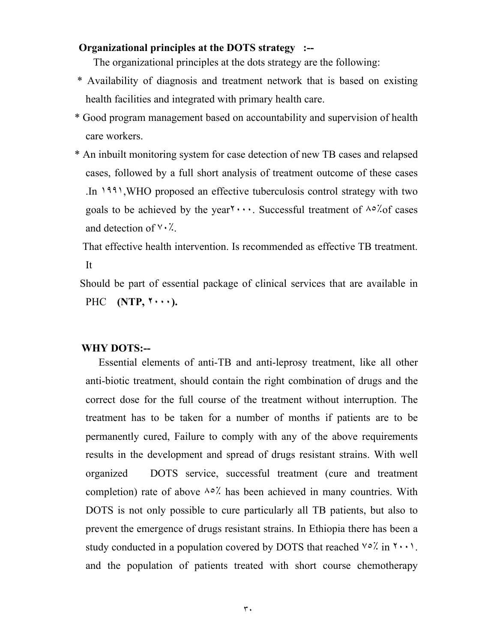#### **Organizational principles at the DOTS strategy :--**

The organizational principles at the dots strategy are the following:

- \* Availability of diagnosis and treatment network that is based on existing health facilities and integrated with primary health care.
- \* Good program management based on accountability and supervision of health care workers.
- \* An inbuilt monitoring system for case detection of new TB cases and relapsed cases, followed by a full short analysis of treatment outcome of these cases .In ١٩٩١,WHO proposed an effective tuberculosis control strategy with two goals to be achieved by the year  $\cdots$ . Successful treatment of  $\frac{\lambda}{\alpha}$  of cases and detection of ٧٠٪.

 That effective health intervention. Is recommended as effective TB treatment. It

 Should be part of essential package of clinical services that are available in PHC **(NTP, ٢٠٠٠).** 

#### **WHY DOTS:--**

 Essential elements of anti-TB and anti-leprosy treatment, like all other anti-biotic treatment, should contain the right combination of drugs and the correct dose for the full course of the treatment without interruption. The treatment has to be taken for a number of months if patients are to be permanently cured, Failure to comply with any of the above requirements results in the development and spread of drugs resistant strains. With well organized DOTS service, successful treatment (cure and treatment completion) rate of above  $\lambda \circ \lambda'$  has been achieved in many countries. With DOTS is not only possible to cure particularly all TB patients, but also to prevent the emergence of drugs resistant strains. In Ethiopia there has been a study conducted in a population covered by DOTS that reached  $\sqrt{0}$  in  $\sqrt{1} \cdot \sqrt{1}$ . and the population of patients treated with short course chemotherapy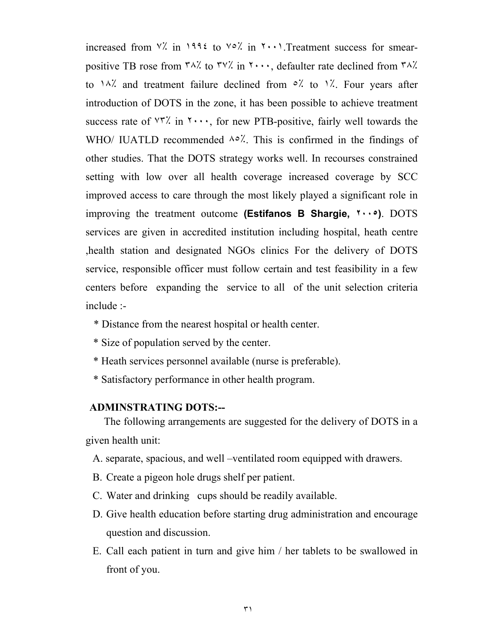increased from  $\forall$ . in 1995 to  $\forall$ °. in  $\forall$   $\cdots$ . Treatment success for smearpositive TB rose from  $\frac{r}{\lambda}$  to  $\frac{r}{\lambda}$  in  $\frac{r}{\lambda}$ , defaulter rate declined from  $\frac{r}{\lambda}$ . to  $\lambda$ % and treatment failure declined from  $\delta$ % to  $\lambda$ %. Four years after introduction of DOTS in the zone, it has been possible to achieve treatment success rate of  $\forall$ 7'. in  $\forall \cdots$ , for new PTB-positive, fairly well towards the WHO/ IUATLD recommended  $\lambda \circ \lambda'$ . This is confirmed in the findings of other studies. That the DOTS strategy works well. In recourses constrained setting with low over all health coverage increased coverage by SCC improved access to care through the most likely played a significant role in improving the treatment outcome **(Estifanos B Shargie, ٢٠٠٥)**. DOTS services are given in accredited institution including hospital, heath centre ,health station and designated NGOs clinics For the delivery of DOTS service, responsible officer must follow certain and test feasibility in a few centers before expanding the service to all of the unit selection criteria include :-

- \* Distance from the nearest hospital or health center.
- \* Size of population served by the center.
- \* Heath services personnel available (nurse is preferable).
- \* Satisfactory performance in other health program.

#### **ADMINSTRATING DOTS:--**

 The following arrangements are suggested for the delivery of DOTS in a given health unit:

- A. separate, spacious, and well –ventilated room equipped with drawers.
- B. Create a pigeon hole drugs shelf per patient.
- C. Water and drinking cups should be readily available.
- D. Give health education before starting drug administration and encourage question and discussion.
- E. Call each patient in turn and give him / her tablets to be swallowed in front of you.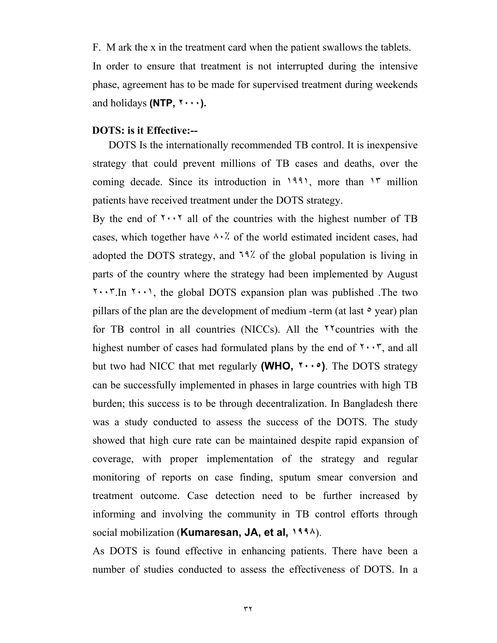F. M ark the x in the treatment card when the patient swallows the tablets. In order to ensure that treatment is not interrupted during the intensive phase, agreement has to be made for supervised treatment during weekends and holidays **(NTP, ٢٠٠٠).** 

#### **DOTS: is it Effective:--**

 DOTS Is the internationally recommended TB control. It is inexpensive strategy that could prevent millions of TB cases and deaths, over the coming decade. Since its introduction in ١٩٩١, more than ١٣ million patients have received treatment under the DOTS strategy.

By the end of  $\cdots$  all of the countries with the highest number of TB cases, which together have  $\lambda \cdot \lambda$  of the world estimated incident cases, had adopted the DOTS strategy, and ٦٩٪ of the global population is living in parts of the country where the strategy had been implemented by August  $\mathbf{X} \cdot \mathbf{Y}$ . In  $\mathbf{X} \cdot \mathbf{Y}$ , the global DOTS expansion plan was published . The two pillars of the plan are the development of medium -term (at last  $\circ$  year) plan for TB control in all countries (NICCs). All the ٢٢countries with the highest number of cases had formulated plans by the end of  $\mathbf{Y} \cdot \mathbf{Y}$ , and all but two had NICC that met regularly **(WHO, ٢٠٠٥)**. The DOTS strategy can be successfully implemented in phases in large countries with high TB burden; this success is to be through decentralization. In Bangladesh there was a study conducted to assess the success of the DOTS. The study showed that high cure rate can be maintained despite rapid expansion of coverage, with proper implementation of the strategy and regular monitoring of reports on case finding, sputum smear conversion and treatment outcome. Case detection need to be further increased by informing and involving the community in TB control efforts through social mobilization (**Kumaresan, JA, et al, ١٩٩٨**).

As DOTS is found effective in enhancing patients. There have been a number of studies conducted to assess the effectiveness of DOTS. In a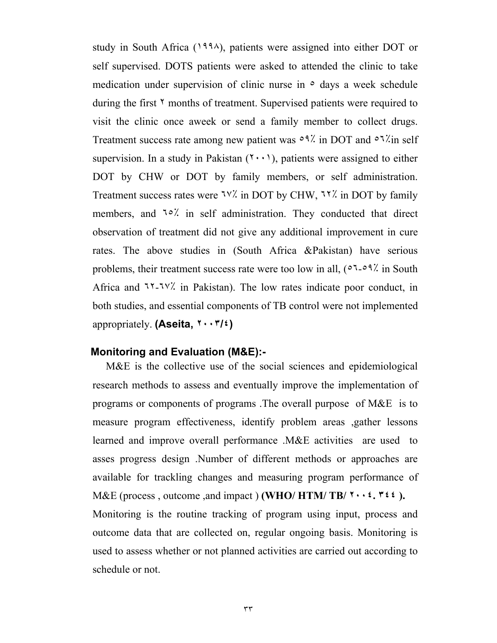study in South Africa (١٩٩٨), patients were assigned into either DOT or self supervised. DOTS patients were asked to attended the clinic to take medication under supervision of clinic nurse in  $\circ$  days a week schedule during the first  $\gamma$  months of treatment. Supervised patients were required to visit the clinic once aweek or send a family member to collect drugs. Treatment success rate among new patient was  $\circ$ <sup>9</sup>. in DOT and  $\circ$ <sup>7</sup>. In self supervision. In a study in Pakistan  $(7 \cdot \cdot)$ , patients were assigned to either DOT by CHW or DOT by family members, or self administration. Treatment success rates were ٦٧٪ in DOT by CHW, ٦٢٪ in DOT by family members, and <sup>10</sup>% in self administration. They conducted that direct observation of treatment did not give any additional improvement in cure rates. The above studies in (South Africa &Pakistan) have serious problems, their treatment success rate were too low in all, (<sup> $\circ$ 7</sup>- $\circ$ <sup>9</sup><sup>7</sup> in South Africa and ٦٢-٦٧٪ in Pakistan). The low rates indicate poor conduct, in both studies, and essential components of TB control were not implemented appropriately. **(Aseita, ٢٠٠٣/٤)** 

#### **Monitoring and Evaluation (M&E):-**

 M&E is the collective use of the social sciences and epidemiological research methods to assess and eventually improve the implementation of programs or components of programs .The overall purpose of M&E is to measure program effectiveness, identify problem areas ,gather lessons learned and improve overall performance .M&E activities are used to asses progress design .Number of different methods or approaches are available for trackling changes and measuring program performance of M&E (process , outcome ,and impact ) **(WHO/ HTM/ TB/ ٢٠٠٤. ٣٤٤ ).**  Monitoring is the routine tracking of program using input, process and outcome data that are collected on, regular ongoing basis. Monitoring is used to assess whether or not planned activities are carried out according to schedule or not.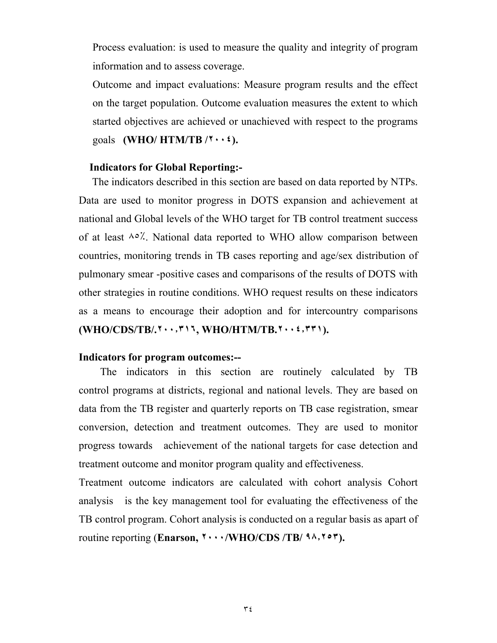Process evaluation: is used to measure the quality and integrity of program information and to assess coverage.

Outcome and impact evaluations: Measure program results and the effect on the target population. Outcome evaluation measures the extent to which started objectives are achieved or unachieved with respect to the programs goals **(WHO/ HTM/TB /٢٠٠٤).** 

#### **Indicators for Global Reporting:-**

 The indicators described in this section are based on data reported by NTPs. Data are used to monitor progress in DOTS expansion and achievement at national and Global levels of the WHO target for TB control treatment success of at least  $\lambda \circ \lambda$ . National data reported to WHO allow comparison between countries, monitoring trends in TB cases reporting and age/sex distribution of pulmonary smear -positive cases and comparisons of the results of DOTS with other strategies in routine conditions. WHO request results on these indicators as a means to encourage their adoption and for intercountry comparisons **(WHO/CDS/TB/.٢٠٠٫٣١٦, WHO/HTM/TB.٢٠٠٤٫٣٣١).** 

#### **Indicators for program outcomes:--**

 The indicators in this section are routinely calculated by TB control programs at districts, regional and national levels. They are based on data from the TB register and quarterly reports on TB case registration, smear conversion, detection and treatment outcomes. They are used to monitor progress towards achievement of the national targets for case detection and treatment outcome and monitor program quality and effectiveness.

Treatment outcome indicators are calculated with cohort analysis Cohort analysis is the key management tool for evaluating the effectiveness of the TB control program. Cohort analysis is conducted on a regular basis as apart of routine reporting (**Enarson, ٢٠٠٠/WHO/CDS /TB/ ٩٨٫٢٥٣).**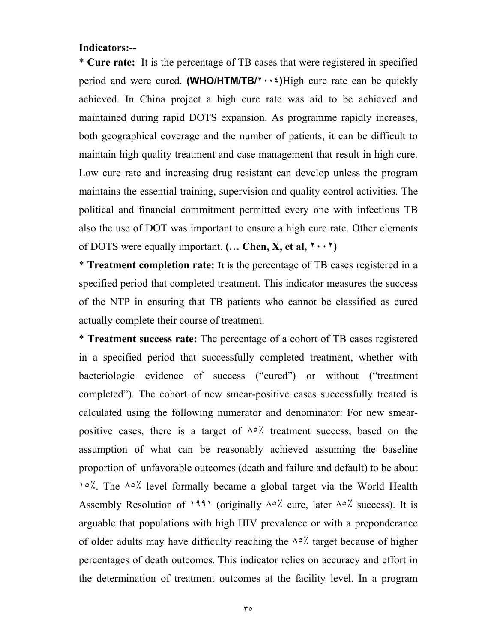#### **Indicators:--**

\* **Cure rate:** It is the percentage of TB cases that were registered in specified period and were cured. **(WHO/HTM/TB/٢٠٠٤)**High cure rate can be quickly achieved. In China project a high cure rate was aid to be achieved and maintained during rapid DOTS expansion. As programme rapidly increases, both geographical coverage and the number of patients, it can be difficult to maintain high quality treatment and case management that result in high cure. Low cure rate and increasing drug resistant can develop unless the program maintains the essential training, supervision and quality control activities. The political and financial commitment permitted every one with infectious TB also the use of DOT was important to ensure a high cure rate. Other elements of DOTS were equally important. **(… Chen, X, et al, ٢٠٠٢)**

\* **Treatment completion rate: It is** the percentage of TB cases registered in a specified period that completed treatment. This indicator measures the success of the NTP in ensuring that TB patients who cannot be classified as cured actually complete their course of treatment.

\* **Treatment success rate:** The percentage of a cohort of TB cases registered in a specified period that successfully completed treatment, whether with bacteriologic evidence of success ("cured") or without ("treatment completed"). The cohort of new smear-positive cases successfully treated is calculated using the following numerator and denominator: For new smearpositive cases, there is a target of  $\lambda \circ \lambda'$  treatment success, based on the assumption of what can be reasonably achieved assuming the baseline proportion of unfavorable outcomes (death and failure and default) to be about ١٥٪. The ٨٥٪ level formally became a global target via the World Health Assembly Resolution of 1991 (originally  $\lambda \circ \lambda$  cure, later  $\lambda \circ \lambda$  success). It is arguable that populations with high HIV prevalence or with a preponderance of older adults may have difficulty reaching the  $\lambda \circ \lambda'$  target because of higher percentages of death outcomes. This indicator relies on accuracy and effort in the determination of treatment outcomes at the facility level. In a program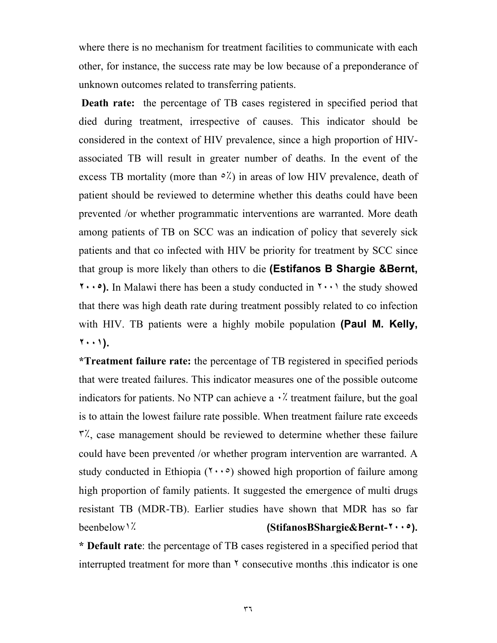where there is no mechanism for treatment facilities to communicate with each other, for instance, the success rate may be low because of a preponderance of unknown outcomes related to transferring patients.

 **Death rate:** the percentage of TB cases registered in specified period that died during treatment, irrespective of causes. This indicator should be considered in the context of HIV prevalence, since a high proportion of HIVassociated TB will result in greater number of deaths. In the event of the excess TB mortality (more than  $\circ$ %) in areas of low HIV prevalence, death of patient should be reviewed to determine whether this deaths could have been prevented /or whether programmatic interventions are warranted. More death among patients of TB on SCC was an indication of policy that severely sick patients and that co infected with HIV be priority for treatment by SCC since that group is more likely than others to die **(Estifanos B Shargie &Bernt, ٢٠٠٥).** In Malawi there has been a study conducted in ٢٠٠١ the study showed that there was high death rate during treatment possibly related to co infection with HIV. TB patients were a highly mobile population **(Paul M. Kelly, ٢٠٠١).**

**\*Treatment failure rate:** the percentage of TB registered in specified periods that were treated failures. This indicator measures one of the possible outcome indicators for patients. No NTP can achieve a  $\cdot$ . treatment failure, but the goal is to attain the lowest failure rate possible. When treatment failure rate exceeds ٣٪, case management should be reviewed to determine whether these failure could have been prevented /or whether program intervention are warranted. A study conducted in Ethiopia  $(1 \cdot \cdot \cdot)$  showed high proportion of failure among high proportion of family patients. It suggested the emergence of multi drugs resistant TB (MDR-TB). Earlier studies have shown that MDR has so far beenbelow١٪ **(StifanosBShargie&Bernt-٢٠٠٥).** 

**\* Default rate**: the percentage of TB cases registered in a specified period that interrupted treatment for more than  $\gamma$  consecutive months this indicator is one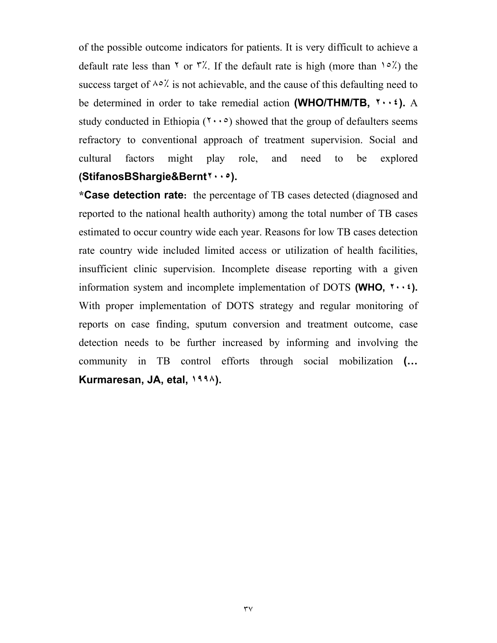of the possible outcome indicators for patients. It is very difficult to achieve a default rate less than  $\gamma$  or  $\gamma'$ . If the default rate is high (more than  $\gamma \circ \gamma'$ ) the success target of  $\lambda \circ \lambda'$  is not achievable, and the cause of this defaulting need to be determined in order to take remedial action **(WHO/THM/TB, ٢٠٠٤).** A study conducted in Ethiopia  $(7 \cdot \cdot \circ)$  showed that the group of defaulters seems refractory to conventional approach of treatment supervision. Social and cultural factors might play role, and need to be explored **(StifanosBShargie&Bernt٢٠٠٥).** 

**\*Case detection rate:** the percentage of TB cases detected (diagnosed and reported to the national health authority) among the total number of TB cases estimated to occur country wide each year. Reasons for low TB cases detection rate country wide included limited access or utilization of health facilities, insufficient clinic supervision. Incomplete disease reporting with a given information system and incomplete implementation of DOTS **(WHO, ٢٠٠٤).**  With proper implementation of DOTS strategy and regular monitoring of reports on case finding, sputum conversion and treatment outcome, case detection needs to be further increased by informing and involving the community in TB control efforts through social mobilization **(… Kurmaresan, JA, etal, ١٩٩٨).**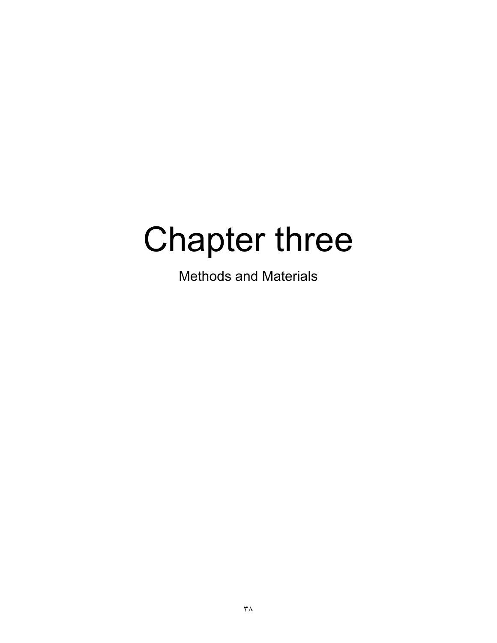# Chapter three

Methods and Materials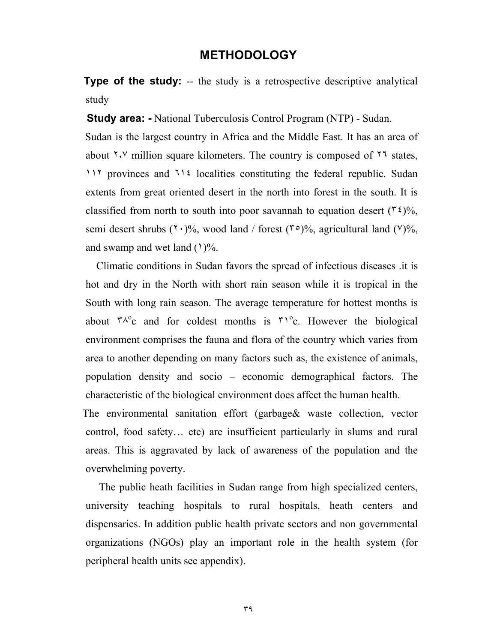### **METHODOLOGY**

**Type of the study:** -- the study is a retrospective descriptive analytical study

 **Study area: -** National Tuberculosis Control Program (NTP) - Sudan.

 Sudan is the largest country in Africa and the Middle East. It has an area of about  $\gamma$ , million square kilometers. The country is composed of  $\gamma$  states, ١١٢ provinces and ٦١٤ localities constituting the federal republic. Sudan extents from great oriented desert in the north into forest in the south. It is classified from north to south into poor savannah to equation desert ( $\mathfrak{r}(\mathfrak{t})\%$ , semi desert shrubs  $(7 \cdot)$ %, wood land / forest  $(7 \circ)$ %, agricultural land  $(9)$ %, and swamp and wet land  $(1)\%$ .

 Climatic conditions in Sudan favors the spread of infectious diseases .it is hot and dry in the North with short rain season while it is tropical in the South with long rain season. The average temperature for hottest months is about  $\mu^0c$  and for coldest months is  $\mu^0c$ . However the biological environment comprises the fauna and flora of the country which varies from area to another depending on many factors such as, the existence of animals, population density and socio – economic demographical factors. The characteristic of the biological environment does affect the human health.

 The environmental sanitation effort (garbage& waste collection, vector control, food safety… etc) are insufficient particularly in slums and rural areas. This is aggravated by lack of awareness of the population and the overwhelming poverty.

 The public heath facilities in Sudan range from high specialized centers, university teaching hospitals to rural hospitals, heath centers and dispensaries. In addition public health private sectors and non governmental organizations (NGOs) play an important role in the health system (for peripheral health units see appendix).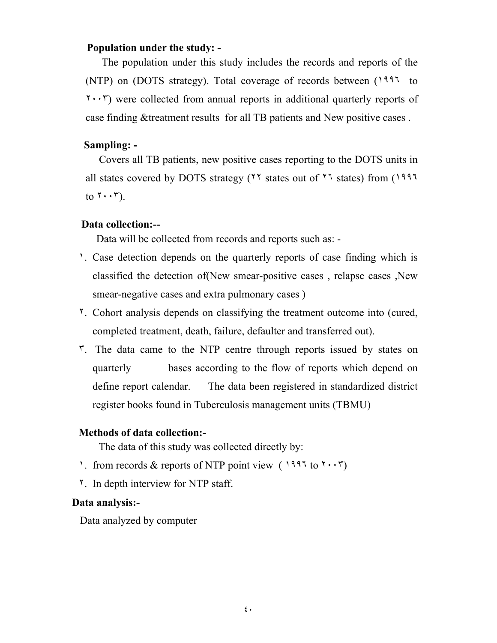### **Population under the study: -**

 The population under this study includes the records and reports of the (NTP) on (DOTS strategy). Total coverage of records between (١٩٩٦ to ٢٠٠٣) were collected from annual reports in additional quarterly reports of case finding &treatment results for all TB patients and New positive cases .

### **Sampling: -**

 Covers all TB patients, new positive cases reporting to the DOTS units in all states covered by DOTS strategy (٢٢ states out of ٢٦ states) from (١٩٩٦ to  $\mathbf{r} \cdot \mathbf{r}$ ).

### **Data collection:--**

Data will be collected from records and reports such as: -

- ١. Case detection depends on the quarterly reports of case finding which is classified the detection of (New smear-positive cases, relapse cases, New smear-negative cases and extra pulmonary cases )
- ٢. Cohort analysis depends on classifying the treatment outcome into (cured, completed treatment, death, failure, defaulter and transferred out).
- ٣. The data came to the NTP centre through reports issued by states on quarterly bases according to the flow of reports which depend on define report calendar. The data been registered in standardized district register books found in Tuberculosis management units (TBMU)

### **Methods of data collection:-**

The data of this study was collected directly by:

- 1. from records & reports of NTP point view ( $1997 \text{ to } 7 \cdot \cdot \cdot \cdot$ )
- ٢. In depth interview for NTP staff.

### **Data analysis:-**

Data analyzed by computer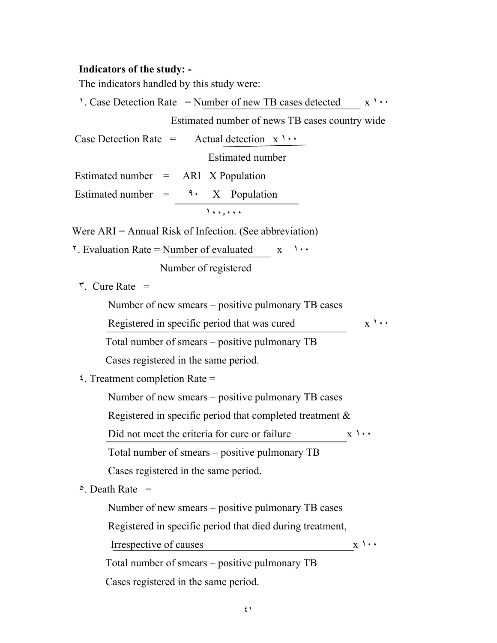## **Indicators of the study: -**

The indicators handled by this study were:

| 1. Case Detection Rate = Number of new TB cases detected $x \rightarrow x$                                                                                                                                                                                                                                                                        |                       |
|---------------------------------------------------------------------------------------------------------------------------------------------------------------------------------------------------------------------------------------------------------------------------------------------------------------------------------------------------|-----------------------|
| Estimated number of news TB cases country wide                                                                                                                                                                                                                                                                                                    |                       |
| Case Detection Rate = Actual detection $x \rightarrow \cdots$                                                                                                                                                                                                                                                                                     |                       |
| <b>Estimated number</b>                                                                                                                                                                                                                                                                                                                           |                       |
| Estimated number $= ARI X Population$                                                                                                                                                                                                                                                                                                             |                       |
| Estimated number = $\mathcal{F}$ $\mathcal{F}$ $\mathcal{F}$ $\mathcal{F}$ $\mathcal{F}$ $\mathcal{F}$ $\mathcal{F}$ $\mathcal{F}$ $\mathcal{F}$ $\mathcal{F}$ $\mathcal{F}$ $\mathcal{F}$ $\mathcal{F}$ $\mathcal{F}$ $\mathcal{F}$ $\mathcal{F}$ $\mathcal{F}$ $\mathcal{F}$ $\mathcal{F}$ $\mathcal{F}$ $\mathcal{F}$ $\mathcal{F}$ $\mathcal$ |                       |
| 1.1.1.1.1                                                                                                                                                                                                                                                                                                                                         |                       |
| Were $ARI = Annual Risk of Infection. (See abbreviation)$                                                                                                                                                                                                                                                                                         |                       |
| $\lambda$ . Evaluation Rate = Number of evaluated $\lambda$<br>$\lambda$                                                                                                                                                                                                                                                                          |                       |
| Number of registered                                                                                                                                                                                                                                                                                                                              |                       |
| $\mathbf{r}$ . Cure Rate =                                                                                                                                                                                                                                                                                                                        |                       |
| Number of new smears – positive pulmonary TB cases                                                                                                                                                                                                                                                                                                |                       |
| Registered in specific period that was cured                                                                                                                                                                                                                                                                                                      | $X \rightarrow \cdot$ |
| Total number of smears – positive pulmonary TB                                                                                                                                                                                                                                                                                                    |                       |
| Cases registered in the same period.                                                                                                                                                                                                                                                                                                              |                       |
| $\frac{1}{2}$ . Treatment completion Rate =                                                                                                                                                                                                                                                                                                       |                       |
| Number of new smears – positive pulmonary TB cases                                                                                                                                                                                                                                                                                                |                       |
| Registered in specific period that completed treatment $\&$                                                                                                                                                                                                                                                                                       |                       |
| Did not meet the criteria for cure or failure<br>$X \rightarrow \cdot$                                                                                                                                                                                                                                                                            |                       |
| Total number of smears - positive pulmonary TB                                                                                                                                                                                                                                                                                                    |                       |
| Cases registered in the same period.                                                                                                                                                                                                                                                                                                              |                       |
| $\circ$ . Death Rate =                                                                                                                                                                                                                                                                                                                            |                       |
| Number of new smears – positive pulmonary TB cases                                                                                                                                                                                                                                                                                                |                       |
| Registered in specific period that died during treatment,                                                                                                                                                                                                                                                                                         |                       |
| Irrespective of causes                                                                                                                                                                                                                                                                                                                            | $X \rightarrow \cdot$ |
| Total number of smears – positive pulmonary TB                                                                                                                                                                                                                                                                                                    |                       |
| Cases registered in the same period.                                                                                                                                                                                                                                                                                                              |                       |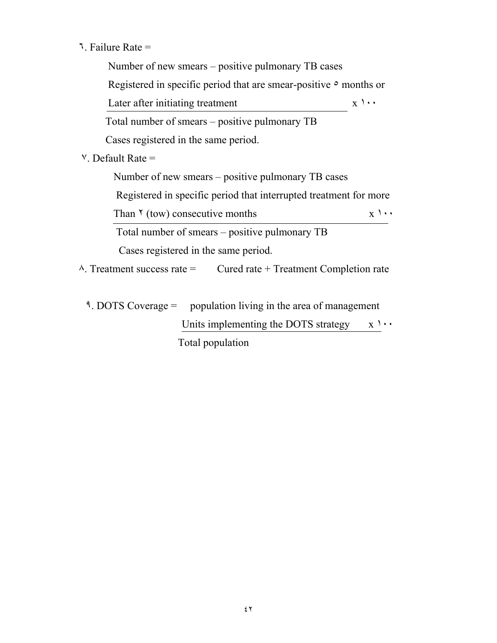٦. Failure Rate =

 Number of new smears – positive pulmonary TB cases Registered in specific period that are smear-positive  $\circ$  months or Later after initiating treatment  $x \rightarrow x$  Total number of smears – positive pulmonary TB Cases registered in the same period.  $V$ . Default Rate  $=$  Number of new smears – positive pulmonary TB cases Registered in specific period that interrupted treatment for more Than  $\gamma$  (tow) consecutive months  $x \gamma \cdots$  Total number of smears – positive pulmonary TB Cases registered in the same period.  $\lambda$ . Treatment success rate = Cured rate + Treatment Completion rate

٩. DOTS Coverage = population living in the area of management Units implementing the DOTS strategy  $x \rightarrow y$ Total population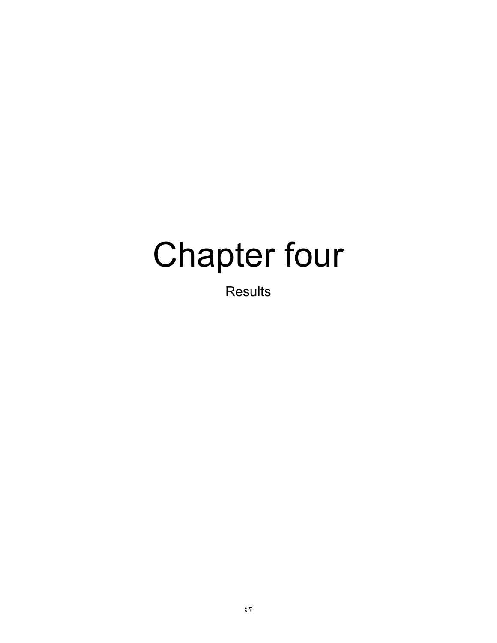# Chapter four

Results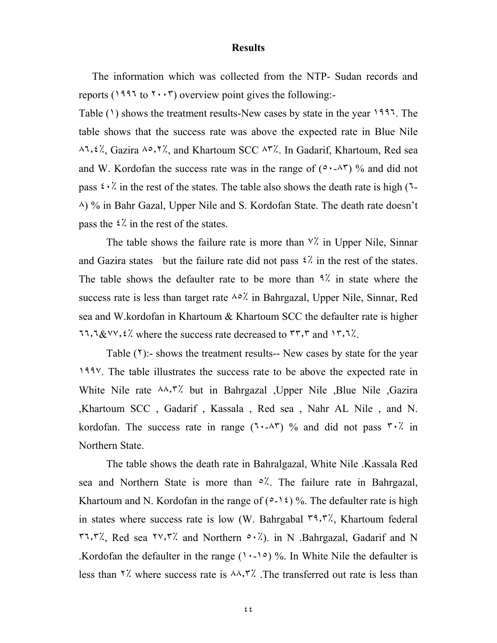#### **Results**

 The information which was collected from the NTP- Sudan records and reports ( $1997$  to  $7 \cdot \cdot 7$ ) overview point gives the following:-

Table  $(1)$  shows the treatment results-New cases by state in the year  $1997$ . The table shows that the success rate was above the expected rate in Blue Nile ٨٦٫٤٪, Gazira ٨٥٫٢٪, and Khartoum SCC ٨٣٪. In Gadarif, Khartoum, Red sea and W. Kordofan the success rate was in the range of  $(0.4 \times 10^{-10})$  % and did not pass  $\mathfrak{c} \cdot \mathfrak{c}'$  in the rest of the states. The table also shows the death rate is high ( $\mathfrak{r}$ -٨) % in Bahr Gazal, Upper Nile and S. Kordofan State. The death rate doesn't pass the  $\frac{2}{\lambda}$  in the rest of the states.

The table shows the failure rate is more than  $\frac{v}{x}$  in Upper Nile, Sinnar and Gazira states but the failure rate did not pass  $\frac{2}{\lambda}$  in the rest of the states. The table shows the defaulter rate to be more than  $9\%$  in state where the success rate is less than target rate  $\lambda \circ \lambda$  in Bahrgazal, Upper Nile, Sinnar, Red sea and W.kordofan in Khartoum & Khartoum SCC the defaulter rate is higher ٦٦٫٦&٧٧٫٤٪ where the success rate decreased to ٣٣٫٣ and ١٣٫٦٪.

Table  $(1)$ :- shows the treatment results-- New cases by state for the year ١٩٩٧. The table illustrates the success rate to be above the expected rate in White Nile rate ٨٨٫٣٪ but in Bahrgazal ,Upper Nile ,Blue Nile ,Gazira ,Khartoum SCC , Gadarif , Kassala , Red sea , Nahr AL Nile , and N. kordofan. The success rate in range  $(7.47)$  % and did not pass  $7.7$  in Northern State.

The table shows the death rate in Bahralgazal, White Nile .Kassala Red sea and Northern State is more than ٥٪. The failure rate in Bahrgazal, Khartoum and N. Kordofan in the range of  $(2-i)$  %. The defaulter rate is high in states where success rate is low (W. Bahrgabal  $\mathbb{r}^q$ ,  $\mathbb{r}^q$ ), Khartoum federal ٣٦٫٣٪, Red sea ٢٧٫٣٪ and Northern ٥٠٪). in N .Bahrgazal, Gadarif and N .Kordofan the defaulter in the range  $(1 \cdot -1)$ °) %. In White Nile the defaulter is less than  $\frac{1}{2}$  where success rate is  $\frac{1}{2}$ . The transferred out rate is less than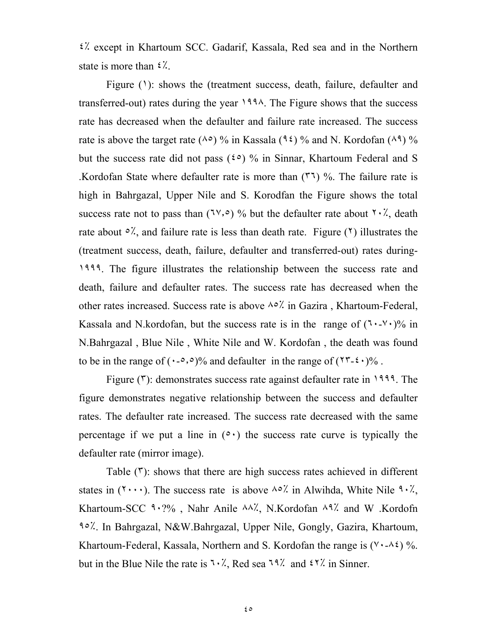٤٪ except in Khartoum SCC. Gadarif, Kassala, Red sea and in the Northern state is more than ٤٪.

Figure  $(1)$ : shows the (treatment success, death, failure, defaulter and transferred-out) rates during the year ١٩٩٨. The Figure shows that the success rate has decreased when the defaulter and failure rate increased. The success rate is above the target rate ( $\wedge \circ$ ) % in Kassala ( $\circ \circ$ ) % and N. Kordofan ( $\wedge \circ$ ) % but the success rate did not pass ( $\zeta \circ$ ) % in Sinnar, Khartoum Federal and S .Kordofan State where defaulter rate is more than  $(\mathbf{r}^T)$  %. The failure rate is high in Bahrgazal, Upper Nile and S. Korodfan the Figure shows the total success rate not to pass than  $(7\vee, \circ)$  % but the defaulter rate about  $7 \cdot 7$ , death rate about  $\circ \frac{y}{x}$ , and failure rate is less than death rate. Figure ( $\circ$ ) illustrates the (treatment success, death, failure, defaulter and transferred-out) rates during-١٩٩٩. The figure illustrates the relationship between the success rate and death, failure and defaulter rates. The success rate has decreased when the other rates increased. Success rate is above ٨٥٪ in Gazira , Khartoum-Federal, Kassala and N.kordofan, but the success rate is in the range of  $(7 \cdot - 1)$ % in N.Bahrgazal , Blue Nile , White Nile and W. Kordofan , the death was found to be in the range of  $(\cdot$ - $\circ$ , $\circ$  $)\%$  and defaulter in the range of  $(\cdot^{\prime} \cdot \cdot)^{\prime\prime}$ .

Figure  $(\mathbf{r})$ : demonstrates success rate against defaulter rate in 1999. The figure demonstrates negative relationship between the success and defaulter rates. The defaulter rate increased. The success rate decreased with the same percentage if we put a line in  $(0 \cdot)$  the success rate curve is typically the defaulter rate (mirror image).

Table (٣): shows that there are high success rates achieved in different states in ( $\mathbf{y} \cdot \mathbf{y}$ ). The success rate is above  $\lambda \circ \lambda'$  in Alwihda, White Nile  $\mathbf{y} \cdot \lambda'$ , Khartoum-SCC ٩٠?% , Nahr Anile ٨٨٪, N.Kordofan ٨٩٪ and W .Kordofn ٩٥٪. In Bahrgazal, N&W.Bahrgazal, Upper Nile, Gongly, Gazira, Khartoum, Khartoum-Federal, Kassala, Northern and S. Kordofan the range is  $(4.42)$  %. but in the Blue Nile the rate is  $1.7$ , Red sea  $1.9$ % and  $2.7$ % in Sinner.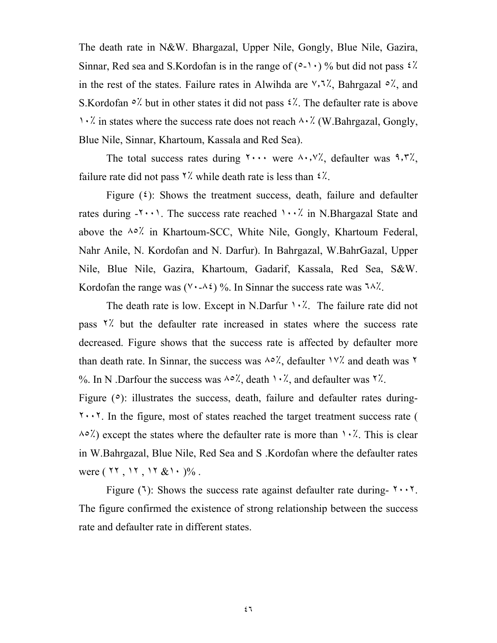The death rate in N&W. Bhargazal, Upper Nile, Gongly, Blue Nile, Gazira, Sinnar, Red sea and S.Kordofan is in the range of  $(2-\cdot)$  % but did not pass  $\frac{2}{\cdot}$ . in the rest of the states. Failure rates in Alwihda are  $\forall$ ,  $\ni\%$ , Bahrgazal  $\circ\%$ , and S. Kordofan  $\circ$ ! but in other states it did not pass  $\circ$ !. The defaulter rate is above ١٠٪ in states where the success rate does not reach ٨٠٪ (W.Bahrgazal, Gongly, Blue Nile, Sinnar, Khartoum, Kassala and Red Sea).

The total success rates during  $\cdots$  were  $\wedge \cdots \vee \vee$ , defaulter was  $\wedge \cdots \vee \wedge$ , failure rate did not pass  $\frac{8}{7}$  while death rate is less than  $\frac{2}{7}$ .

Figure  $(2)$ : Shows the treatment success, death, failure and defaulter rates during  $-\mathbf{y} \cdot \mathbf{y}$ . The success rate reached  $\mathbf{y} \cdot \mathbf{y}'$  in N.Bhargazal State and above the ٨٥٪ in Khartoum-SCC, White Nile, Gongly, Khartoum Federal, Nahr Anile, N. Kordofan and N. Darfur). In Bahrgazal, W.BahrGazal, Upper Nile, Blue Nile, Gazira, Khartoum, Gadarif, Kassala, Red Sea, S&W. Kordofan the range was  $(V \cdot \lambda i)$ %. In Sinnar the success rate was  $7\lambda$ %.

The death rate is low. Except in N.Darfur  $\cdot \cdot \cdot$ . The failure rate did not pass ٢٪ but the defaulter rate increased in states where the success rate decreased. Figure shows that the success rate is affected by defaulter more than death rate. In Sinnar, the success was  $\lambda \circ \lambda$ , defaulter  $\lambda \vee \lambda$  and death was  $\lambda$ %. In N .Darfour the success was  $\lambda \circ \lambda$ , death  $\lambda \cdot \lambda$ , and defaulter was  $\lambda \lambda$ .

Figure ( $\circ$ ): illustrates the success, death, failure and defaulter rates during-٢٠٠٢. In the figure, most of states reached the target treatment success rate (  $\lambda \circ \lambda$ ) except the states where the defaulter rate is more than  $\lambda \cdot \lambda$ . This is clear in W.Bahrgazal, Blue Nile, Red Sea and S .Kordofan where the defaulter rates were  $(11, 11, 11 \& 10)$ .

Figure (٦): Shows the success rate against defaulter rate during-  $\mathbf{1} \cdot \mathbf{1}$ . The figure confirmed the existence of strong relationship between the success rate and defaulter rate in different states.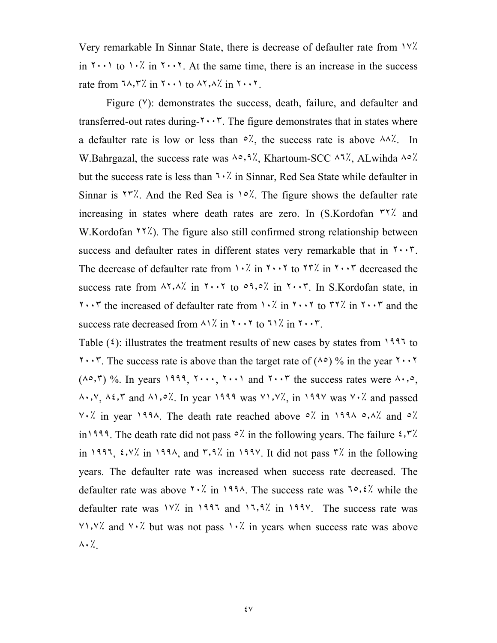Very remarkable In Sinnar State, there is decrease of defaulter rate from ١٧٪ in  $\gamma \cdot \gamma$  to  $\gamma \cdot \gamma$  in  $\gamma \cdot \gamma$ . At the same time, there is an increase in the success rate from  $7\lambda$ ,  $\lambda$  in  $5\cdots$  to  $\lambda$ ,  $\lambda$  in  $5\cdots$ .

Figure ( $V$ ): demonstrates the success, death, failure, and defaulter and transferred-out rates during- $\mathbf{r} \cdot \mathbf{r}$ . The figure demonstrates that in states where a defaulter rate is low or less than  $\circ$ %, the success rate is above  $\land \land$ %. In W.Bahrgazal, the success rate was  $\lambda \circ \lambda$ , Khartoum-SCC  $\lambda \cdot \lambda'$ , ALwihda  $\lambda \circ \lambda'$ . but the success rate is less than  $1 \cdot \frac{1}{2}$  in Sinnar, Red Sea State while defaulter in Sinnar is  $15$ . And the Red Sea is  $10$ %. The figure shows the defaulter rate increasing in states where death rates are zero. In (S.Kordofan ٣٢٪ and W.Kordofan  $\frac{1}{2}$ . The figure also still confirmed strong relationship between success and defaulter rates in different states very remarkable that in  $\mathbf{Y} \cdot \mathbf{Y}$ . The decrease of defaulter rate from  $1 \cdot 7$  in  $5 \cdot 15$  to  $57$ . In  $5 \cdot 15$  decreased the success rate from ٨٢٫٨٪ in ٢٠٠٢ to ٥٩٫٥٪ in ٢٠٠٣. In S.Kordofan state, in  $\cdots$  the increased of defaulter rate from  $\cdots$  in  $\cdots$  to  $\cdots$  in  $\cdots$  and the success rate decreased from  $\lambda$ 1% in  $\gamma$  and  $\lambda$  in  $\gamma$  in  $\gamma$  and  $\gamma$ .

Table  $(\xi)$ : illustrates the treatment results of new cases by states from 1997 to  $1 \cdot 7$ . The success rate is above than the target rate of ( $\wedge \circ$ ) % in the year  $1 \cdot 7$  $(\lambda \circ, \mathcal{F})$  %. In years 1999,  $\mathcal{F} \cdots$ ,  $\mathcal{F} \cdots$  and  $\mathcal{F} \cdots \mathcal{F}$  the success rates were  $\lambda \cdot \cdot \circ$ , ٨٠٫٧, ٨٤٫٣ and ٨١٫٥٪. In year ١٩٩٩ was ٧١٫٧٪, in ١٩٩٧ was ٧٠٪ and passed ٧٠٪ in year ١٩٩٨. The death rate reached above ٥٪ in ١٩٩٨ ٥٫٨٪ and ٥٪ in<sup>1999</sup>. The death rate did not pass  $\circ$ . in the following years. The failure  $\circ$ ,  $\circ$ . in 1997,  $\frac{\epsilon}{\gamma}$  in 1998, and  $\frac{\epsilon}{\gamma}$  in 1998. It did not pass  $\frac{\epsilon}{\gamma}$  in the following years. The defaulter rate was increased when success rate decreased. The defaulter rate was above  $\frac{1}{2}$  in  $199\%$ . The success rate was  $\frac{1}{2}$ ,  $\frac{1}{2}$  while the defaulter rate was ١٧٪ in ١٩٩٦ and ١٦٫٩٪ in ١٩٩٧. The success rate was  $V\rightarrow V\rightarrow V$  and  $V\rightarrow V$  but was not pass  $V\rightarrow V$  in years when success rate was above ٨٠٪.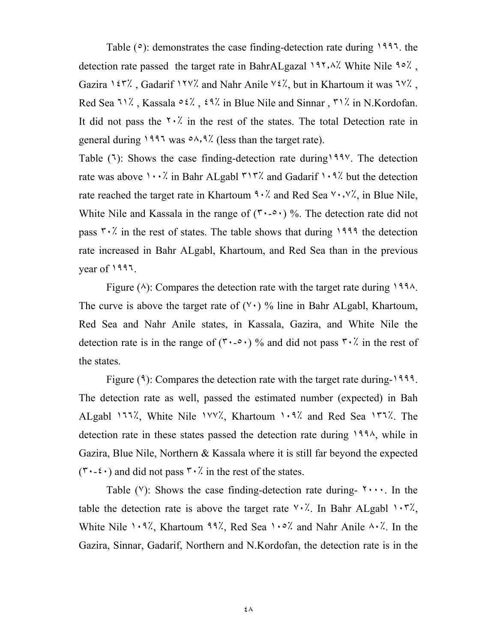Table  $(°)$ : demonstrates the case finding-detection rate during 1997. the detection rate passed the target rate in BahrALgazal ١٩٢٫٨٪ White Nile ٩٥٪ , Gazira 1٤٣٪, Gadarif 1٢٧٪ and Nahr Anile  $42\%$ , but in Khartoum it was  $7\%$ , Red Sea ٦١٪, Kassala  $0.2$ ,  $2.3$  in Blue Nile and Sinnar, ٣١٪ in N.Kordofan. It did not pass the  $\forall$   $\cdot$ . in the rest of the states. The total Detection rate in general during  $1997$  was  $0.9$ ,  $9$ . (less than the target rate).

Table (٦): Shows the case finding-detection rate during١٩٩٧. The detection rate was above  $\cdots$ . in Bahr ALgabl  $\frac{r}{r}$ . and Gadarif  $\cdots$ ?. but the detection rate reached the target rate in Khartoum  $9.7$  and Red Sea  $9.7\%$ , in Blue Nile, White Nile and Kassala in the range of  $(1, 0, \cdot)$ %. The detection rate did not pass  $\mathbf{r} \cdot \mathbf{k}$  in the rest of states. The table shows that during 1999 the detection rate increased in Bahr ALgabl, Khartoum, and Red Sea than in the previous year of ١٩٩٦.

Figure  $(\wedge)$ : Compares the detection rate with the target rate during 1998. The curve is above the target rate of  $(V \cdot)$  % line in Bahr ALgabl, Khartoum, Red Sea and Nahr Anile states, in Kassala, Gazira, and White Nile the detection rate is in the range of  $(\mathbf{r} \cdot \mathbf{0} \cdot \mathbf{0})$  % and did not pass  $\mathbf{r} \cdot \mathbf{r}$  in the rest of the states.

Figure (٩): Compares the detection rate with the target rate during-١٩٩٩. The detection rate as well, passed the estimated number (expected) in Bah ALgabl ١٦٦٪, White Nile ١٧٧٪, Khartoum ١٠٩٪ and Red Sea ١٣٦٪. The detection rate in these states passed the detection rate during ١٩٩٨, while in Gazira, Blue Nile, Northern & Kassala where it is still far beyond the expected  $(\mathbf{r} \cdot \mathbf{1} \cdot \mathbf{r})$  and did not pass  $\mathbf{r} \cdot \mathbf{r}$  in the rest of the states.

Table ( $V$ ): Shows the case finding-detection rate during-  $\forall \cdots$ . In the table the detection rate is above the target rate  $\forall \cdot \hat{\cdot}$ . In Bahr ALgabl  $\land \neg \forall \hat{\cdot}$ , White Nile  $1.9\%$ , Khartoum  $99\%$ , Red Sea  $1.2\%$  and Nahr Anile  $4.4\%$ . In the Gazira, Sinnar, Gadarif, Northern and N.Kordofan, the detection rate is in the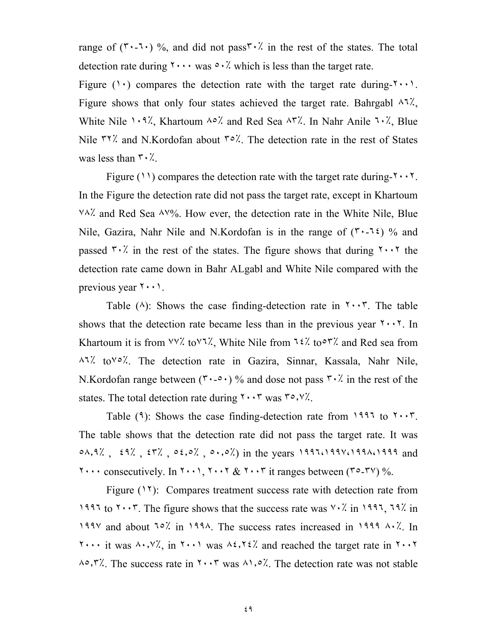range of  $(1, 1)$  %, and did not pass  $1, 2$  in the rest of the states. The total detection rate during  $\cdots$  was  $\circ \cdot \dot{\cdot}$  which is less than the target rate.

Figure ( $\cdot$ ) compares the detection rate with the target rate during- $\cdot$ . Figure shows that only four states achieved the target rate. Bahrgabl  $\lambda$ 1%, White Nile ١٠٩٪, Khartoum ٨٥٪ and Red Sea ٨٣٪. In Nahr Anile ٦٠٪, Blue Nile  $\mu$ <sup>17</sup>. And N.Kordofan about  $\mu$ <sup>2</sup>. The detection rate in the rest of States was less than  $\mathbf{r} \cdot \mathbf{X}$ .

Figure (11) compares the detection rate with the target rate during- $\mathbf{y} \cdot \mathbf{y}$ . In the Figure the detection rate did not pass the target rate, except in Khartoum ٧٨٪ and Red Sea ٨٧%. How ever, the detection rate in the White Nile, Blue Nile, Gazira, Nahr Nile and N.Kordofan is in the range of  $(1.15)$  % and passed  $\overline{r} \cdot \overline{r}$  in the rest of the states. The figure shows that during  $\overline{r} \cdot \overline{r}$  the detection rate came down in Bahr ALgabl and White Nile compared with the previous year  $\mathbf{Y} \cdot \mathbf{Y}$ .

Table  $(\wedge)$ : Shows the case finding-detection rate in  $\wedge \wedge \wedge \wedge$ . The table shows that the detection rate became less than in the previous year  $\mathbf{Y} \cdot \mathbf{Y}$ . In Khartoum it is from  $\forall \forall x$  to  $\forall \forall y$ , White Nile from  $\forall x$  to  $\forall x$  and Red sea from ٨٦٪ to٧٥٪. The detection rate in Gazira, Sinnar, Kassala, Nahr Nile, N.Kordofan range between  $(\mathbf{r} \cdot \mathbf{0} \cdot \mathbf{0})$  % and dose not pass  $\mathbf{r} \cdot \mathbf{r}$  in the rest of the states. The total detection rate during  $\mathbf{r} \cdot \mathbf{r}$  was  $\mathbf{r} \cdot \mathbf{y}$ .

Table  $(9)$ : Shows the case finding-detection rate from 1997 to  $\mathbf{y} \cdot \mathbf{y}$ . The table shows that the detection rate did not pass the target rate. It was ٥٨٫٩٪ , ٤٩٪ , ٤٣٪ , ٥٤٫٥٪ , ٥٠٫٥٪) in the years ١٩٩٦،١٩٩٧،١٩٩٨،١٩٩٩ and  $\cdots$  consecutively. In  $\cdots$ ,  $\cdots$   $\& \cdots$  it ranges between ( $\cdots$ ,  $\cdots$ ) %.

Figure (11): Compares treatment success rate with detection rate from ١٩٩٦ to ٢٠٠٣. The figure shows that the success rate was ٧٠٪ in ١٩٩٦, ٦٩٪ in ١٩٩٧ and about ٦٥٪ in ١٩٩٨. The success rates increased in ١٩٩٩ ٨٠٪. In ٢٠٠٠ it was ٨٠٫٧٪, in ٢٠٠١ was ٨٤٫٢٤٪ and reached the target rate in ٢٠٠٢ ٨٥٫٣٪. The success rate in ٢٠٠٣ was ٨١٫٥٪. The detection rate was not stable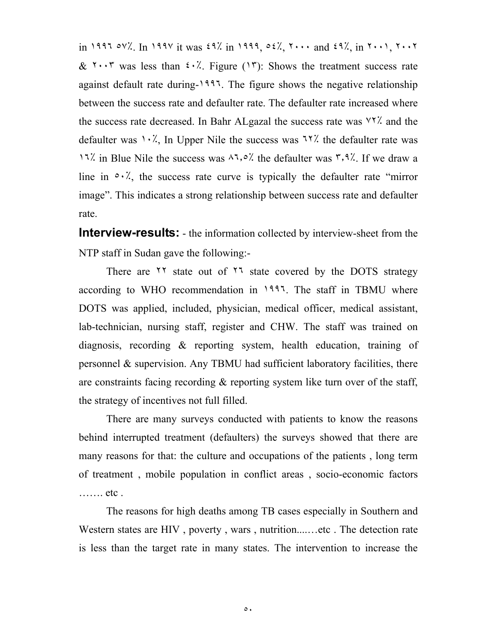in ١٩٩٦ ٥٧٪. In ١٩٩٧ it was ٤٩٪ in ١٩٩٩, ٥٤٪, ٢٠٠٠ and ٤٩٪, in ٢٠٠١, ٢٠٠٢  $& \mathcal{X} \cdots \mathcal{Y}$  was less than  $\mathcal{Y} \cdot \mathcal{Y}$ . Figure (17): Shows the treatment success rate against default rate during-١٩٩٦. The figure shows the negative relationship between the success rate and defaulter rate. The defaulter rate increased where the success rate decreased. In Bahr ALgazal the success rate was ٧٢٪ and the defaulter was  $\cdot \cdot \cdot$ , In Upper Nile the success was  $\cdot \cdot \cdot$  the defaulter rate was ١٦٪ in Blue Nile the success was ٨٦٫٥٪ the defaulter was ٣٫٩٪. If we draw a line in  $\circ \cdot \cdot$ , the success rate curve is typically the defaulter rate "mirror" image". This indicates a strong relationship between success rate and defaulter rate.

**Interview-results:** - the information collected by interview-sheet from the NTP staff in Sudan gave the following:-

There are <sup>11</sup> state out of <sup>11</sup> state covered by the DOTS strategy according to WHO recommendation in ١٩٩٦. The staff in TBMU where DOTS was applied, included, physician, medical officer, medical assistant, lab-technician, nursing staff, register and CHW. The staff was trained on diagnosis, recording & reporting system, health education, training of personnel & supervision. Any TBMU had sufficient laboratory facilities, there are constraints facing recording & reporting system like turn over of the staff, the strategy of incentives not full filled.

There are many surveys conducted with patients to know the reasons behind interrupted treatment (defaulters) the surveys showed that there are many reasons for that: the culture and occupations of the patients , long term of treatment , mobile population in conflict areas , socio-economic factors ……. etc .

The reasons for high deaths among TB cases especially in Southern and Western states are HIV, poverty, wars, nutrition.......etc. The detection rate is less than the target rate in many states. The intervention to increase the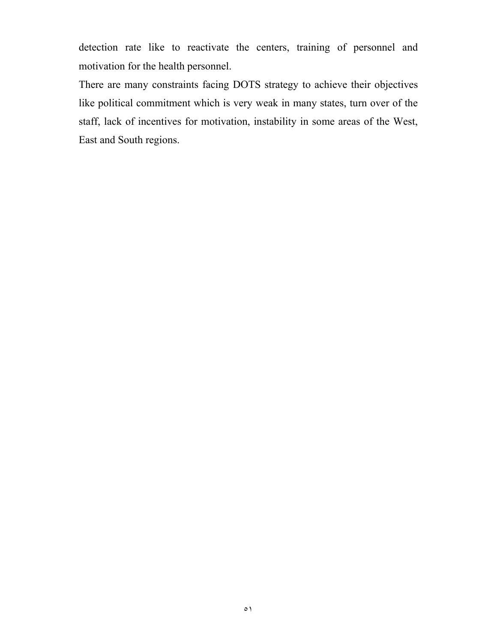detection rate like to reactivate the centers, training of personnel and motivation for the health personnel.

There are many constraints facing DOTS strategy to achieve their objectives like political commitment which is very weak in many states, turn over of the staff, lack of incentives for motivation, instability in some areas of the West, East and South regions.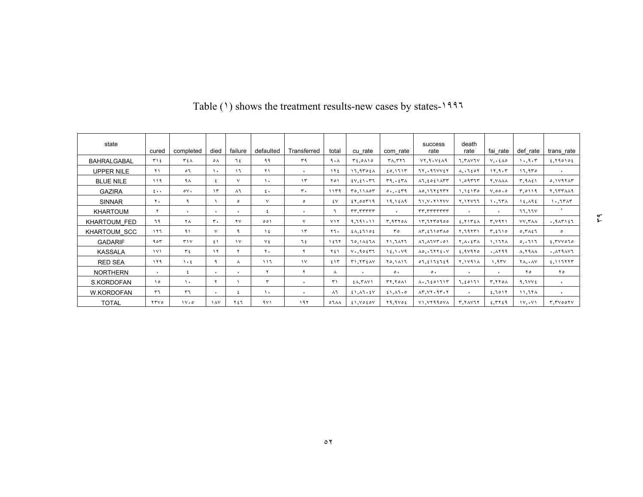| state              | cured                  | completed      | died          | failure                | defaulted    | Transferred          | total                  | cu rate                                           | com rate              | success<br>rate                                                | death<br>rate                       | fai rate                       | def rate                        | trans rate                   |
|--------------------|------------------------|----------------|---------------|------------------------|--------------|----------------------|------------------------|---------------------------------------------------|-----------------------|----------------------------------------------------------------|-------------------------------------|--------------------------------|---------------------------------|------------------------------|
| <b>BAHRALGABAL</b> | ۳۱٤                    | ٣٤٨            | ٥٨            | ٦٤                     | ۹۹           | ٣٩                   | 9.1                    | $T_{2,0}$ $\wedge$                                | <b>TA.TYJ</b>         | VT,9.52649                                                     | 1. TAVIV                            | $V, \lambda \in \Lambda$ o     | 1.9.5                           | $£,$ $Y$ $9$ $0$ $1$ $0$ $2$ |
| <b>UPPER NILE</b>  | ۲۱.                    | ٥٦             | ١.            | ۱٦                     | ۲۱           | $\cdot$              | $\gamma \gamma$        | 17.9902A                                          | 20.1711               | 77.097VVf                                                      | $\Lambda. .7607$                    | 11.9.5                         | 17,970                          | $\ddot{\phantom{1}}$         |
| <b>BLUE NILE</b>   | ۱۱۹                    | ۹۸             |               | $\vee$                 | $\lambda$    | $\gamma$             | ۲٥۱                    | $EV, EV \cdot \mathbb{7}7$                        | 59.557                | $\lambda$ 1, $\epsilon$ o $\epsilon$ $\lambda$ $\tau$ $\tau$   | ۱,۰۹۳۶۳                             | <b>Y.VAAA</b>                  | 5.9151                          | 0,111111                     |
| <b>GAZIRA</b>      | $\epsilon \cdot \cdot$ | $\circ \vee$ . | $\mathcal{L}$ | ۸٦                     | $\epsilon$ . | ٣.                   | 1179                   | T0.11A0T                                          |                       | A0.1715177                                                     | 1.15170                             | $V, \circ \circ \cdot \circ$   | ۲.٥١١٩                          | 7.155119                     |
| <b>SINNAR</b>      | ۲۰                     | ٩              |               | ٥                      | $\vee$       | $\circ$              | ٤V                     | 51,00119                                          | 19.15A9               | 11. Y . Y 1 Y Y Y                                              | Y, YYYZ                             | 1.75                           | 15.195                          | 1.757                        |
| <b>KHARTOUM</b>    | ۲                      | $\bullet$      |               | $\ddot{\phantom{1}}$   | ٤            | $\ddot{\phantom{1}}$ | ٦                      | rr,rrrrrr                                         | $\ddot{\phantom{1}}$  | rr.rrrrrrrr                                                    | $\ddot{\phantom{1}}$                | $\ddot{\phantom{1}}$           | 11.11V                          | ٠                            |
| KHARTOUM FED       | ٦٩                     | ۲Λ             | ٣.            | $\mathsf{Y}\mathsf{V}$ | 001          | $\vee$               | YY                     | 9,791.11                                          | T.9770A               | 17.1170900                                                     | $E, Y \setminus Y \in A$            | T, V11                         | VV, YAA                         | $.9$ $\times$ $5$            |
| KHARTOUM SCC       | ۱۲٦                    | ۹۱             | $\checkmark$  | ٩                      | $\lambda$    | $\gamma$             | ۲٦.                    | $\epsilon \wedge, \epsilon \wedge \circ \epsilon$ | ro                    | AT.51107A0                                                     | 5.79551                             | $T, \xi$ $\uparrow$ $\uparrow$ | 0.7151                          | $\circ$                      |
| <b>GADARIF</b>     | ۹٥٣                    | T'             | ٤١            | $\gamma$               | ٧٤           | ٦٤                   | ۱٤٦٢                   | 70.11271                                          | Y1.7AY7               | $\lambda$ 1, $\lambda$ 1 $\forall$ ۳,٥۱                        | $Y, \Lambda$ . $\epsilon Y \Lambda$ | 1.177                          | 0.111                           | E.7VV070                     |
| <b>KASSALA</b>     | $\lambda$ $\lambda$    | ۳٤.            | $\gamma$      | ۲                      | ٢.           | ۲                    | ۲٤١                    | $V \cdot 0.90557$                                 | 15.1.49               | $\Lambda$ o $\tau$ YY $\epsilon$ . $\vee$                      | 2.91970                             | .1199                          | $\lambda$ , $\lambda$ $\lambda$ | AY 9 AV 7                    |
| <b>RED SEA</b>     | ۱۲۹                    | $\lambda$ + 2  | ٩             | ۸                      | ۱۱٦          | $\gamma$             | 515                    | <b>TI.TTEAV</b>                                   | Y0.111                | 07, 2172729                                                    | <b>Y.1V91A</b>                      | 1.95V                          | <b>YA.</b> . AV                 | 2.117777                     |
| <b>NORTHERN</b>    | $\bullet$              | ٤              |               | $\cdot$                | ۲            | ۲                    | Α                      | $\bullet$                                         | $\circ$ .             | $\circ$ .                                                      | $\bullet$                           | $\ddot{\phantom{1}}$           | ه ۲                             | ۲٥                           |
| S.KORDOFAN         | $\lambda$              | $\lambda$      | ۲             |                        | ٣            | $\bullet$            | $\mathsf{r} \setminus$ | $E(\Lambda, \Upsilon \wedge \Upsilon)$            | TT, Y0A1              | $\Lambda$ $\mathfrak{t}$ 201715                                | 7.50171                             | T.770A                         | 9.JVVE                          | $\ddot{\phantom{1}}$         |
| W.KORDOFAN         | ٣٦                     | ٣٦             |               | ٤                      | $\lambda$    | $\cdot$              | $\lambda$ ٦            | 21.41.2V                                          | 51.11.0               | $\Lambda$ ۳. $\Upsilon$ + $\Upsilon$ + $\Upsilon$ + $\Upsilon$ | $\ddot{\phantom{1}}$                | 2.7011                         | 11.78A                          | ٠                            |
| <b>TOTAL</b>       | <b>TTVO</b>            | 11.0           | 1 AV          | ٢٤٦                    | 9V1          | ۱۹۲                  | $07\lambda\lambda$     | 51.7050V                                          | $Y$ 9,9 $V$ $\circ$ ٤ | V1. V1990VA                                                    | <b>T. YAVIY</b>                     | 2.7729                         | 11, 11                          | T. TVOOTY                    |

## Table (1) shows the treatment results-new cases by states-1997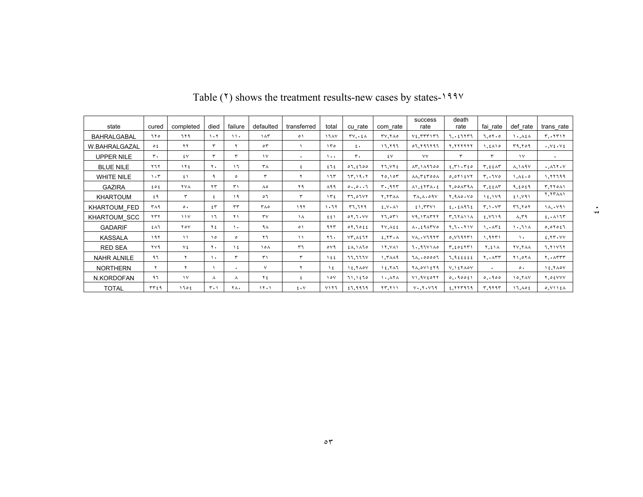| state              | cured      | completed       | died                          | failure              | defaulted      | transferred | total                | cu rate                  | com rate        | success<br>rate                                          | death<br>rate                                    | fai rate                            | def rate                   | trans rate                                   |
|--------------------|------------|-----------------|-------------------------------|----------------------|----------------|-------------|----------------------|--------------------------|-----------------|----------------------------------------------------------|--------------------------------------------------|-------------------------------------|----------------------------|----------------------------------------------|
| <b>BAHRALGABAL</b> | ٦٢٥        | ٦٢٩             | 1.7                           | $\lambda$            | $\lambda \tau$ | $\circ$     | 1747                 | $TV, \cdot \xi \wedge$   | <b>TV. TAO</b>  | $V_{\epsilon}$ . $TTT1T1$                                | 7.257777                                         | 7.07.0                              | 1.164                      | $r_{\cdot}$ , $r_{r}$                        |
| W.BAHRALGAZAL      | $\circ$    | ۲۲              | ٣                             | ۲                    | $\circ$ ٣      |             | ۱۳٥                  | $\epsilon$ .             | ۱٦.۲٩٦          | 07.797797                                                | <b>Y. YYYYYY</b>                                 | ۱.٤٨١٥                              | 59.709                     | $\cdot$ , $V\epsilon$ $\cdot$ $V\epsilon$    |
| <b>UPPER NILE</b>  | ٣.         | ٤V              | ٣                             | ٣                    | $\vee$         | $\cdot$     | $\cdots$             | ٣٠                       | ٤V              | ٧V                                                       | $\mathbf{r}$                                     | ٣                                   | $\mathcal{N}$              | $\ddot{\phantom{1}}$                         |
| <b>BLUE NILE</b>   | <b>YIY</b> | $\gamma \gamma$ | ۲.                            | ۱٦                   | ۳۸             | ٤           | えてき                  | 07.5700                  | Y7. VYE         | AT.119700                                                | 2.51.720                                         | T, 22AT                             | $\lambda \cdot \lambda$ 97 | $\cdot$ , $\wedge$ $\wedge$ $\wedge$ $\vee$  |
| <b>WHITE NILE</b>  | 1.5        | ٤١              | ٩                             | $\circ$              | ٣              | ۲           | 175                  | 77.19.7                  | 10.107          | $\Lambda\Lambda$ . $\Upsilon$ ( $\Upsilon$ 00 $\Lambda$  | $0.011$ $EVT$                                    | T.7V0                               | 1.46.0                     | 1.77799                                      |
| <b>GAZIRA</b>      | ع ہ ع      | <b>YVA</b>      | ۲۳                            | ٣١                   | ۸٥             | ۲۹          | $\lambda$ 99         | 0.0.0.7                  | r.915           | $\Lambda$ 1.27٣ $\Lambda$ ,2                             | $Y.00$ $\Lambda$ $T9\Lambda$                     | T, 221                              | 9.5059                     | <b>٣.٢٢٥٨١</b>                               |
| <b>KHARTOUM</b>    | 69         | $\mathbf{r}$    | ٤                             | 19                   | $\circ$        | ٣           | 152                  | 57.01Y                   | <b>Y. TTAA</b>  | $T\Lambda, \Lambda, o 9V$                                | Y.9A0. V0                                        | 15.119                              | 51.191                     | <b>7.777.11</b>                              |
| KHARTOUM FED       | ۳۸۹        | $\circ$ .       | ٤٣                            | rr                   | ۳۸۰            | ۱۹۲         | 1.77                 | 57.779                   | E.V.A.          | 51.551                                                   | 2.221                                            | $r \cdot \vee r$                    | 57.707                     | 11.041                                       |
| KHARTOUM SCC       | rrr        | 11 <sup>V</sup> | ۱٦                            | $\lambda$            | $r_{V}$        | $\lambda$   | 551                  | 01.7.1V                  | 17.051          | V9.1TATYY                                                | <b>T. 17A11A</b>                                 | E.VI19                              | $\Lambda$ , $\Gamma$ 9     | 2.0177                                       |
| <b>GADARIF</b>     | ٤٨٦        | $Y \circ Y$     | ۲٤                            | ١.                   | ۹۸             | $\circ$     | ۹۲۳                  | 07.7022                  | <b>TV.AEE</b>   | $\Lambda$ , $\epsilon$ 9 $\Lambda$ ۳۷٥                   | Y.7Y. Y                                          | $\ldots$ $\wedge$ $\tau$ $\epsilon$ | ۱۰.۱۱۸                     | 0,01051                                      |
| <b>KASSALA</b>     | 197        | $\lambda$       | ه ۱                           | $\circ$              | $\mathbf{r}$   | $\lambda$   | ۲٦.                  | VT.AE1Y                  | $E. YF \cdot A$ | $V\Lambda$ $V$ 1977                                      | 0.119111                                         | 1.9551                              | $\lambda$ .                | E.77.VV                                      |
| <b>RED SEA</b>     | ۲۷۹        | ٧٤              | ۲.                            | $\lambda$            | ۱۰۸            | ٣٦          | $\circ$ $\vee$ 9     | $\{ \lambda, \lambda \}$ | 11.441          | 7.111110                                                 | $T, \epsilon$ o $\epsilon$ $\Upsilon$ $\Upsilon$ | ۲,٤١٨                               | <b>TV.TAA</b>              | 7,71177                                      |
| <b>NAHR ALNILE</b> | ۹٦         | $\mathbf r$     | ٠.                            |                      | $\mathsf{r}$   | ٣           | $\lambda$ 2 2        | 11.111V                  | 1. ٣٨٨٩         | 71.00007                                                 | $7,9$ $222$                                      | Y.                                  | ۲۱,۰۲۸                     | $Y, \cdot \wedge \Upsilon \Upsilon \Upsilon$ |
| <b>NORTHERN</b>    | ۲          | $\mathbf r$     |                               | $\ddot{\phantom{0}}$ | v              | ۲           | ١٤                   | 15.7A0V                  | 15.711          | $Y$ $\wedge$ , $\circ$ $Y$ $\wedge$ $\circ$ $Y$ $\wedge$ | V, Y                                             | $\bullet$                           | $\circ$ .                  | 15.7A0V                                      |
| N.KORDOFAN         | ۹٦         | $\mathcal{N}$   | Λ                             | Λ                    | ٢٤             | ٤           | $\lambda \circ \vee$ | 71.1270                  | 1.171           | $V1.9V6$ or $Y$                                          | 0.19001                                          | 0.1900                              | 10.7AY                     | Y.05VVV                                      |
| <b>TOTAL</b>       | 55759      | کا ۱۶           | $\mathbf{r} \cdot \mathbf{v}$ | ٢Λ.                  | 15.1           | 2.4V        | Y177                 | 27.9979                  | YY,Y            | $V \cdot V \cdot V \cdot 9$                              | 2.777979                                         | 5.9197                              | 17.105                     | 0.1115A                                      |

Table (<sup>٢</sup>) shows the treatment results-new cases by states-<sup>١٩٩٧</sup>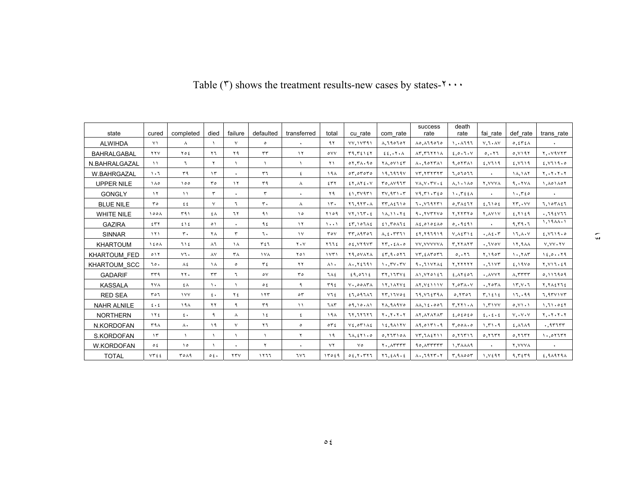| state               | cured                     | completed      | died          | failure              | defaulted      | transferred     | total                  | cu rate                                           | com rate                                                                     | success<br>rate                                                      | death<br>rate                                 | fai rate                         | def rate                                          | trans rate                |
|---------------------|---------------------------|----------------|---------------|----------------------|----------------|-----------------|------------------------|---------------------------------------------------|------------------------------------------------------------------------------|----------------------------------------------------------------------|-----------------------------------------------|----------------------------------|---------------------------------------------------|---------------------------|
| <b>ALWIHDA</b>      | $\vee$                    | $\lambda$      |               | $\vee$               | $\circ$        | $\bullet$       | ۹۲                     | VV, VVT9                                          | $\Lambda$ , $\Lambda$ 90707                                                  | $\Lambda$ o, $\Lambda$ l 9010                                        | 1.1197                                        | $V, I \cdot \Lambda V$           | 0, 256                                            |                           |
| <b>BAHRALGABAL</b>  | <b>YYV</b>                | ع م ۲          | ۲٦            | ۲۹                   | $\tau\tau$     | $\gamma \gamma$ | ٥٧٧                    | 59.52157                                          | $E$ , $\cdot$ $\cdot$ $\wedge$                                               | AT, TITTI                                                            | 2,0.7.4                                       | 0.177                            | 0, V 197                                          | Y. . V9VYY                |
| N.BAHRALGAZAL       | $\mathcal{L}$             | ٦              | $\mathsf{r}$  |                      | $\lambda$      | $\lambda$       | ۲۱                     | 07,71,90                                          | $Y$ $\wedge$ , $\circ$ $Y$ $\wedge$ $\circ$ $Y$                              | $\Lambda$ $\circ$                                                    | 9.01711                                       | E.VI19                           | E.VJ19                                            | E.V119.0                  |
| W.BAHRGAZAL         | $\cdot$                   | ٣٩             | $\mathcal{L}$ | $\bullet$            | ٣٦             | ٤               | ۱۹۸                    | 07.07070                                          | 19,7979V                                                                     | VT, YTYTT                                                            | 7,07077                                       | $\ddot{\phantom{0}}$             | 18.147                                            | $Y_1, Y_2, Y_3, Y_4$      |
| <b>UPPER NILE</b>   | ۸۸٥                       | 100            | $r \circ$     | $\gamma$             | ٣٩             | Λ               | ٤٣٢                    | $EY, \Delta Y E \cdot V$                          | $T0, \Lambda V977$                                                           | $V\Lambda, V\cdot \Upsilon V\cdot \Sigma$                            | $\lambda, \lambda, \lambda$                   | Y.VVVA                           | 9.111                                             | 1.101101                  |
| <b>GONGLY</b>       | $\gamma \gamma$           | $\lambda$      | ٣             | ٠                    | ٣              | $\bullet$       | ۲۹                     | 51,50951                                          | TV, 9TV, 1V                                                                  | V9, 71.720                                                           | 1.5556                                        | ٠                                | 1.5750                                            | ٠                         |
| <b>BLUE NILE</b>    | ۳٥                        | $\epsilon$     | $\vee$        | ٦                    | $\mathbf{r}$ . | Λ               | 15.                    | Y1.9YY.                                           | $TT, \Lambda 5110$                                                           | 7.779771                                                             | $0,7$ $\Lambda$ $2$ $7$                       | 2.7102                           | $\mathbf{Y} \mathbf{Y}$ , $\mathbf{V} \mathbf{V}$ | 7.107127                  |
| <b>WHITE NILE</b>   | 100 <sub>A</sub>          | 591            | ٤٨            | ٦٢                   | ۹۱             | ه ۱             | ۲۱۰۹                   | VT.11T.5                                          | 11.11.72                                                                     | 9.5YYYY0                                                             | Y. Y Y Y Y                                    | Y.AVIV                           | $E, Y \cup E$                                     | .795Y77                   |
| <b>GAZIRA</b>       | ٤٣٢                       | ٤١٤            | ٥١            | $\bullet$            | ۹٤             | $\gamma \gamma$ | $\cdots$               | $57.107\text{A}$                                  | 51,70175                                                                     | $\lambda \xi$ , $\circ$ $\delta$ $\delta$ $\delta$ $\lambda$ $\circ$ | 0.19291                                       | $\bullet$                        | 9.79.7                                            | $1.19AA - 1$              |
| <b>SINNAR</b>       | $\lambda$                 | $\mathsf{r}$ . | Y A           | ٣                    | ٦.             | $\gamma$        | ٣٥٧                    | $TT, \lambda 9T07$                                | $\Lambda, \epsilon$ . $TT$ $T$                                               | 57,797919                                                            | $V, \Lambda \Sigma \Upsilon \setminus \Sigma$ | .15.7                            | 17.1.1                                            | E.V119.0                  |
| <b>KHARTOUM</b>     | $\lambda$ 20 $\lambda$    | 715            | $\lambda$ ٦   | $\lambda$            | ٣٤٦            | $Y \cdot Y$     | ٢٦٦٤                   | 0.5.54947                                         | $\tau\tau$ , $\epsilon\Lambda$ , $\circ$                                     | VV. YVVYYYA                                                          | r. YYAYT                                      | .7404                            | 17.944                                            | $V, VV \cdot YV$          |
| <b>KHARTOUM FED</b> | 011                       | $v\tau$ .      | $\lambda V$   | $\mathsf{r}_\Lambda$ | <b>IVA</b>     | ۲٥١             | 1551                   | Y9.0VAYA                                          | 25, 9.017                                                                    | $VT, \text{if} \text{if} \text{if} \text{if}$                        | 0.111                                         | 1.1907                           | 1.747                                             | $15.0 \cdot .79$          |
| <b>KHARTOUM SCC</b> | ٦٥.                       | ۸٤             | $\lambda$     | $\circ$              | ۳٤             | ۲۲              | ۸۱۰                    | $\Lambda$ $\zeta$ $\zeta$ $\zeta$ $\zeta$ $\zeta$ | 1.74.74                                                                      | 9.711Y7A2                                                            | <b>Y.YYYYY</b>                                | .7115                            | 2.19V <sub>o</sub>                                | $Y, Y \cup Y, \xi \cup Y$ |
| <b>GADARIF</b>      | rr9                       | ٢٢.            | $\tau\tau$    | ٦                    | $\circ \vee$   | ro              | てんそ                    | 29.0712                                           | TT.1TTVt                                                                     | $\Lambda$ 1. $\Upsilon$ Y $\circ$ 12                                 | $£.$ $\wedge$ $Y$ $£$ $\circ$ $\wedge$        | $\cdot$ , $\wedge$ $\vee$ $\vee$ | $\lambda$ , $\tau$ $\tau$ $\tau$ $\tau$           | 0,111101                  |
| <b>KASSALA</b>      | <b>YVA</b>                | ٤٨             | $\mathcal{L}$ |                      | $\circ$ {      | ٩               | ۳۹٤                    | $V_1.00\Lambda T\Lambda$                          | $11.1$ ATVE                                                                  | $\lambda Y, Y \in 111Y$                                              | $Y, OY \wedge V$                              | .707                             | 15.4.7                                            | ٢.٢٨٤٢٦٤                  |
| <b>RED SEA</b>      | ٣٥٦                       | $\sqrt{V}$     | $\epsilon$ .  | ۲٤                   | 155            | $\circ$         | ٧٦٤                    | 1,0971                                            | $\gamma$ $\gamma$ , $\gamma$                                                 | 79.57579A                                                            | 0,1101                                        | T, 1212                          | 17.099                                            | 7.971117                  |
| <b>NAHR ALNILE</b>  | $\epsilon \cdot \epsilon$ | 194            | ۲۲            | ٩                    | ۳۹             | $\lambda$       | ٦٨٣                    | 09.10.11                                          | <b>74.949Vo</b>                                                              | $\Lambda \Lambda$ , $\Lambda$ $\epsilon$ , $\circ \circ \Lambda$     | $T, \Upsilon \Upsilon \Upsilon \cdot \Lambda$ | 1.71YY                           | 0, 11, 1                                          | 1.71.051                  |
| <b>NORTHERN</b>     | $\gamma \gamma$           | $\epsilon$ .   | ٩             | Λ                    | $\lambda$      | ٤               | ۱۹۸                    | 1277777                                           | $Y - Y - Y - Y$                                                              | 17.171717                                                            | 2,02020                                       | $\epsilon, \epsilon, \epsilon$   | $V \cdot V \cdot V$                               | $Y_1, Y_2, Y_3, Y_4$      |
| N.KORDOFAN          | ۳۹۸                       | $\Lambda$      | 19            | $\vee$               | ۲٦             | $\circ$         | $\circ \tau$           | $V_{\epsilon,0}$ $N_{\epsilon}$                   | $15.9$ A $1$ Y $V$                                                           | 19.0171.9                                                            | $r, \circ \circ \wedge \cdot \circ$           | 1.51.9                           | $E, \Lambda$ l $\Lambda$ q                        | .35755                    |
| S.KORDOFAN          | $\mathcal{N}$             | $\sqrt{ }$     |               |                      | $\lambda$      | ۲               | ۱۹                     | $7\lambda, 251.0$                                 | 0,17110A                                                                     | $VT,1\land zY)$                                                      | 0,77517                                       | 0,5777                           | 0,7777                                            | 1.01117                   |
| W.KORDOFAN          | $\circ$ {                 | ۰۱ ه           |               | $\bullet$            | ۲              | $\bullet$       | $\mathsf{Y}\mathsf{Y}$ | ٧٥                                                | $Y_{\cdot}$ , $\wedge$ $\wedge$ $\wedge$ $\wedge$ $\wedge$ $\wedge$ $\wedge$ | $90, \Lambda T T T T T$                                              | 1. ٣٨٨٨٩                                      | $\bullet$                        | Y. Y Y Y A                                        | ٠                         |
| <b>TOTAL</b>        | VT55                      | <b>TOA9</b>    | 0.5.4         | YYV                  | ۱۲٦٦           | ٦٧٦             | 15059                  | 0.5.7.777                                         | Y1, 2A1.2                                                                    | $\Lambda$ $\eta \gamma \gamma$                                       | 5.90007                                       | 1.9297                           | 9.5579                                            | $2,9$ $1979$              |

Table ( $\tilde{r}$ ) shows the treatment results-new cases by states- $\tilde{r} \cdots$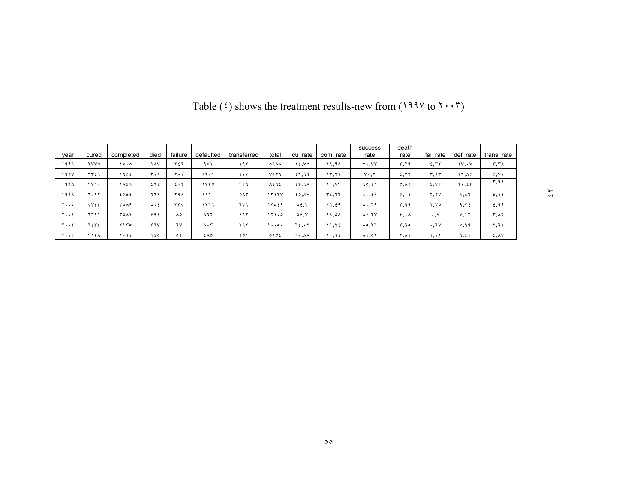| vear                  | cured       | completed   | died                      | failure              | defaulted                     | transferred   | total         | cu rate | rate<br>com  | success<br>rate    | death<br>rate     | fai rate             | def rate         | trans rate     |
|-----------------------|-------------|-------------|---------------------------|----------------------|-------------------------------|---------------|---------------|---------|--------------|--------------------|-------------------|----------------------|------------------|----------------|
| ۱۹۹٦                  | <b>TTVO</b> | 11.0        | $\lambda$                 | ٢٤٦                  | 9Y1                           | ۱۹۲           | $07\AA$       | 2.10    | <b>79.94</b> | V1.5T              | ۳,۲۹              | 5.57                 | 1V, V            | ۳,۳۸           |
| 199V                  | ٣٣٤٩        | ١٦٥٤        | $r \cdot \eta$            | ٢Λ٠                  | ۱۲۰۱                          | $2 \cdot V$   | ۷۱۲٦          | 57,99   | ۲۳.۲۱        | $Y \cdot . Y$      | 5.77              | ۳.۹۳                 | ۱٦.۸٥            | $\circ, \vee$  |
| ۱۹۹۸                  | TV          | ١٨٤٦        | ٤٩٤                       | $E \cdot Y$          | ۱۷۳۵                          | ٣٣٩           | $\lambda$ ٤٩٤ | 55.7A   | Y1.5Y        | 10,٤١              | $0, \lambda 7$    | 2.57                 | $Y \cdot 55$     | ۳,۹۹           |
| ۱۹۹۹                  | 7۰۲۲        | ٤٥٤٤        | ٦٦١                       | ۲۹۸                  | 111.                          | $0\wedge\tau$ | 1515V         | 20,10   | T5.77        | $\Lambda$          | $\circ$ , $\circ$ | ۲.۲۷                 | $\lambda, \xi$ ٦ | 2,22           |
| $Y \cdot \cdot \cdot$ | VT55        | <b>٣٥٨٩</b> | $\circ \cdot \varepsilon$ | YYV                  | ۱۲٦٦                          | ٦٧٦           | 17059         | 0.5.7   | ۲٦,٤٩        | $\lambda \cdot 79$ | ۳,۹۹              | ۷۵.۱                 | 9.52             | 2,99           |
| ۰۰۱ ک                 | ۱ ۱ ۲ ۱     | ۲۰۸۱        | ٤٩٤                       | $\Lambda$ 0          | $\lambda$ $\lambda$ $\lambda$ | ٤٦٢           | 111.0         | 0.5.5   | Y9,0A        | $\lambda \xi, YV$  | ٤,٠٨              | $\cdot \cdot$ $\vee$ | Y, Y             | ٣,٨٢           |
| ۲۰۰۲                  | 71171       | ۲۱۳۵        | 57V                       | ٦٧                   | $\Lambda \cdot \tau$          | 577           | .             | ٦٤.٠٢   | Y1.72        | A0, 17             | ۲,٦٥              | .7v                  | V,99             | ۲,٦۱           |
| ۲۰۰۳                  | ۳۱۳۸        | کا ۱۰       | ۵ ۱                       | $\circ$ $\mathsf{r}$ | ٤٨٥                           | ۲٥۱           | 0105          | ۱۰.۸۸   | ۲۰,٦٤        | $\lambda$ ), or    | ۲.۸۱              | ۰,۰,                 | 9,51             | $E, \Lambda V$ |

Table ( $\mathfrak{t}$ ) shows the treatment results-new from ( $199\%$  to  $\mathfrak{t} \cdot \cdot \mathfrak{r}$ )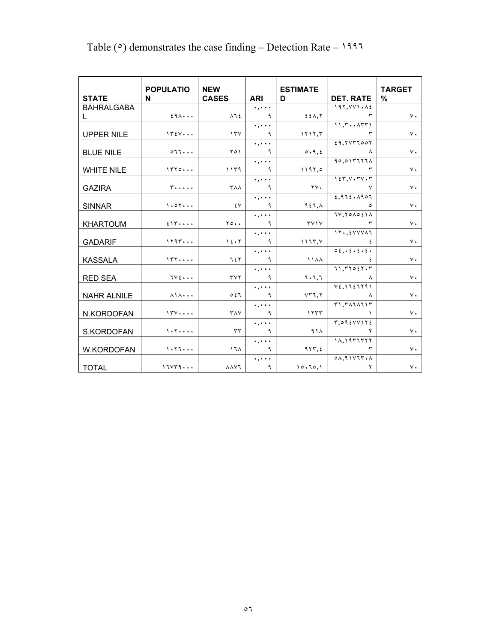| <b>STATE</b>       | <b>POPULATIO</b><br>N                                   | <b>NEW</b><br><b>CASES</b>     | <b>ARI</b>                                 | <b>ESTIMATE</b><br>D    | <b>DET. RATE</b>                                     | <b>TARGET</b><br>% |
|--------------------|---------------------------------------------------------|--------------------------------|--------------------------------------------|-------------------------|------------------------------------------------------|--------------------|
| <b>BAHRALGABA</b>  |                                                         |                                | $\ldots$                                   |                         | 197. VV1. AE                                         |                    |
| L.                 | 29A                                                     | $\lambda$ $\lambda$ $\epsilon$ | ٩                                          | $E E \wedge T$          | ٣                                                    | $V \cdot$          |
|                    |                                                         |                                | $\ldots$                                   |                         | 11,7                                                 |                    |
| <b>UPPER NILE</b>  | 1554                                                    | 15 <sup>2</sup>                | ٩                                          | 1117.5                  | ٣                                                    | $\vee$ .           |
|                    |                                                         |                                | $\ldots$ .                                 |                         | 29.7177007                                           |                    |
| <b>BLUE NILE</b>   | 011                                                     | ۲٥١                            | ٩                                          | 0.9.5                   | л                                                    | $\vee$ .           |
|                    |                                                         |                                | $\ldots$                                   |                         | $90.017777 \text{Å}$                                 |                    |
| <b>WHITE NILE</b>  | 1770                                                    | 1179                           | ٩                                          | 1197.0                  |                                                      | $V \cdot$          |
|                    |                                                         |                                | $\ldots$                                   |                         | 155.54                                               |                    |
| <b>GAZIRA</b>      | $r \ldots$                                              | <b>۳۸۸</b>                     | ٩                                          | $\mathbf{y} \mathbf{v}$ | V                                                    | $V \cdot$          |
|                    |                                                         |                                | $\ldots$                                   |                         | 2.972.1907                                           |                    |
| <b>SINNAR</b>      | 1.07                                                    | ٤٧                             | ٩                                          | 957.1                   | $\circ$                                              | $\vee$ .           |
|                    |                                                         |                                | $\ldots$ .                                 |                         | $TV, Y \circ \Lambda \circ \Sigma \setminus \Lambda$ |                    |
| <b>KHARTOUM</b>    | 215                                                     | $\mathbf{y} \circ \cdot \cdot$ | ٩                                          | TV1V                    | ٣                                                    | $V \cdot$          |
|                    |                                                         |                                | $\ldots$                                   |                         | $11.5$ $500000$                                      |                    |
| <b>GADARIF</b>     | 1197                                                    | 15.7                           | ٩                                          | 1177.5                  |                                                      | $V \cdot$          |
|                    |                                                         |                                | $\ldots$                                   |                         | 0.5.15.5.5.5.                                        |                    |
| <b>KASSALA</b>     | 157                                                     | 7٤٢                            | ٩                                          | 1144                    | ٤                                                    | $V \cdot$          |
|                    |                                                         |                                | $\ldots$                                   |                         | 71.77057.7                                           |                    |
| <b>RED SEA</b>     | $TV$ $\epsilon$ $\cdots$                                | $\tau$ $\vee$ $\tau$           | ٩                                          | ٦٠٦,٦                   | Α                                                    | $\vee$ .           |
|                    |                                                         | 057                            | $\ldots$<br>٩                              |                         | $V\xi, Y\zeta\xi$                                    | $\vee$ .           |
| <b>NAHR ALNILE</b> | $\lambda$ $\lambda$                                     |                                |                                            | $YY$ 1. $Y$             | л<br>T1.711111T                                      |                    |
|                    | 154                                                     | $\mathsf{r}_{\mathsf{AV}}$     | $\ldots$<br>٩                              | 1555                    |                                                      | $\vee$ .           |
| N.KORDOFAN         |                                                         |                                | $\mathbf{v}$ , $\mathbf{v}$ , $\mathbf{v}$ |                         | T,095VV                                              |                    |
| S.KORDOFAN         | $\mathcal{N} \cdot \mathcal{N} \cdot \cdot \cdot \cdot$ | $\tau\tau$                     | ٩                                          | 91 <sub>A</sub>         | ۲                                                    | $\vee$ .           |
|                    |                                                         |                                | $\ldots$ .                                 |                         | 11, 1177777                                          |                    |
| W.KORDOFAN         | $\cdot$ . $\cdot$                                       | 17 <sub>A</sub>                | ٩                                          | 957.5                   | ٣                                                    | $\vee$ .           |
|                    |                                                         |                                | $\ldots$                                   |                         | $0\Lambda,9$ $1$ $V$ $V$ $V \cdot \Lambda$           |                    |
| <b>TOTAL</b>       | 111179                                                  | $\lambda \lambda \nu$          | ٩                                          | 10.70.1                 | ۲                                                    | $V \cdot$          |

## Table ( $\circ$ ) demonstrates the case finding – Detection Rate – 1997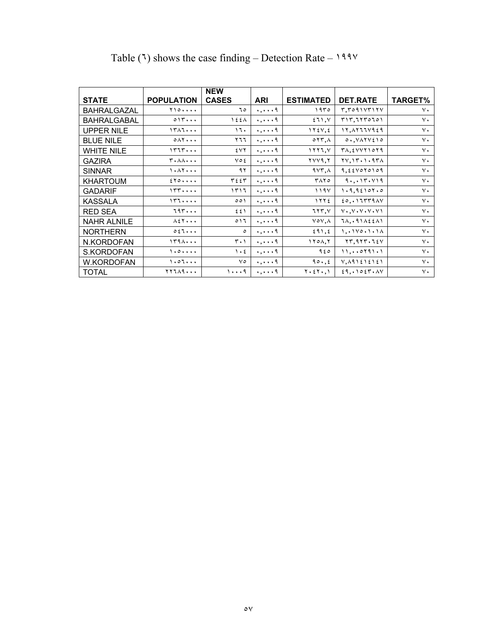|                    |                                               | <b>NEW</b>                    |                             |                                        |                                                      |                |
|--------------------|-----------------------------------------------|-------------------------------|-----------------------------|----------------------------------------|------------------------------------------------------|----------------|
| <b>STATE</b>       | <b>POPULATION</b>                             | <b>CASES</b>                  | ARI                         | <b>ESTIMATED</b>                       | <b>DET.RATE</b>                                      | <b>TARGET%</b> |
| <b>BAHRALGAZAL</b> | Y10                                           | ٥ ٦                           | $\ldots$ .                  | ۱۹۳۰                                   | T.T091VT17V                                          | $\vee$ .       |
| <b>BAHRALGABAL</b> | 015                                           | $\lambda$ 2 2 $\lambda$       | $\ldots$ .                  | 511, V                                 | T17,7170701                                          | $\vee$ .       |
| <b>UPPER NILE</b>  | 1711                                          | ۱٦۰                           | $\cdot$ , $\cdot$ $\cdot$ 9 | $1Y \xi V, \xi$                        | 17, 1777429                                          | ٧٠             |
| <b>BLUE NILE</b>   | $0 \wedge 7 \cdots$                           | ۲٦٦                           | $\ldots$ .                  | $\circ$ $\uparrow \uparrow$ , $\wedge$ | $0.1$ $VAYY510$                                      | $\vee$ .       |
| <b>WHITE NILE</b>  | 1777                                          | ٤٧٢                           | $\ldots$ .                  | 1117, V                                | $T\Lambda, \xi V V Y 10 Y 1$                         | $\vee$ .       |
| <b>GAZIRA</b>      | <b>T.AA</b>                                   | $\vee \circ \xi$              | $\ldots$ .                  | YVY9, Y                                | $YV, YV \cdot Y \cdot 9V$                            | ٧٠             |
| <b>SINNAR</b>      | 1.47                                          | ۹۲                            | $\ldots$ .                  | 4VT.A                                  | 9.224070109                                          | $\vee$ .       |
| <b>KHARTOUM</b>    | 250                                           | ٣٤٤٣                          | $\ldots$ .                  | ۳۸۲٥                                   | 9.017.119                                            | $\vee$ .       |
| <b>GADARIF</b>     | 177                                           | ۱۳۱٦                          | $\ldots$ .                  | 119V                                   | 1.9.92107.0                                          | $\vee$ .       |
| <b>KASSALA</b>     | 177                                           | 001                           | $\cdots$ .                  | 1555                                   | $\{0, \cdot 11779\}$                                 | ٧٠             |
| <b>RED SEA</b>     | 797                                           | ٤٤١                           | $\ldots$ .                  | 777, 1                                 | $V \cdot V \cdot V \cdot V \cdot V$                  | ٧٠             |
| <b>NAHR ALNILE</b> | $\lambda$ { $\lambda$ $\cdot$ $\cdot$ $\cdot$ | 011                           | $\ldots$ .                  | $\vee \circ \vee, \wedge$              | $7\lambda, .91\lambda \xi \xi \lambda$               | $\vee$ .       |
| <b>NORTHERN</b>    | 0.57                                          | $\circ$                       | $\cdots$ .                  | 291, 2                                 | 1.1110.1.11                                          | $\vee$ .       |
| N.KORDOFAN         | 1791                                          | $\mathbf{r} \cdot \mathbf{v}$ | $\ldots$ .                  | 170A,7                                 | $\gamma$ , $\gamma$ , $\gamma$ , $\gamma$ , $\gamma$ | $\vee$ .       |
| S.KORDOFAN         | 1.0.0.0.0                                     | $\mathcal{L}$                 | $\ldots$ .                  | ۹٤٥                                    | 11,                                                  | $\vee$ .       |
| <b>W.KORDOFAN</b>  | 1.07                                          | ٧٥                            | $\cdots$ .                  | 90.6                                   | $V, \Lambda$ 91212121                                | $\vee$ .       |
| <b>TOTAL</b>       | <b>TYIA9</b>                                  | $1 \cdots 9$                  | $\ldots$ .                  | $Y \cdot \xi Y \cdot, Y$               | 29.1025.4V                                           | $\vee$ .       |

## Table (٦) shows the case finding – Detection Rate –  $199$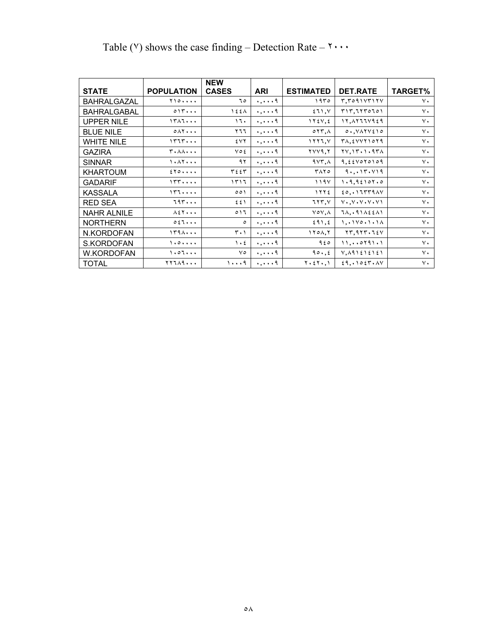|                    |                                               | <b>NEW</b>               |                             |                                        |                                                  |                |
|--------------------|-----------------------------------------------|--------------------------|-----------------------------|----------------------------------------|--------------------------------------------------|----------------|
| <b>STATE</b>       | <b>POPULATION</b>                             | <b>CASES</b>             | <b>ARI</b>                  | <b>ESTIMATED</b>                       | <b>DET.RATE</b>                                  | <b>TARGET%</b> |
| <b>BAHRALGAZAL</b> | Y10                                           | ٦٥                       | $\ldots$ .                  | ۱۹۳۵                                   | T, T091 V T1 VV                                  | $\vee$ .       |
| <b>BAHRALGABAL</b> | 015                                           | $\lambda$ 2 2 $\lambda$  | $\cdots$ .                  | 511, V                                 | T17,7170701                                      | $\vee$ .       |
| <b>UPPER NILE</b>  | 1711                                          | ۱٦۰                      | $\cdots$ .                  | $\gamma$                               | 17, 1777429                                      | $\vee$ .       |
| <b>BLUE NILE</b>   | $0 \wedge 7 \cdots$                           | ۲٦٦                      | $\cdots$ .                  | $\circ$ $\uparrow \uparrow$ , $\wedge$ | $0.1$ $V$ $A$ $V$ $t$ $1$ $0$                    | $\vee$ .       |
| <b>WHITE NILE</b>  | 1777                                          | ٤٧٢                      | $\ldots$ .                  | 1117, 1                                | $T\Lambda, \xi VVT1079$                          | $\vee$ .       |
| <b>GAZIRA</b>      | <b>T.AA</b>                                   | ٧٥٤                      | $\cdots$ .                  | $\mathbf{y}$                           | $YV, YV \cdot Y \cdot 9V$                        | $\vee$ .       |
| <b>SINNAR</b>      | 1.1                                           | ۹۲                       | $\cdots$ .                  | $4Y\tilde{r},\lambda$                  | 9, 224070109                                     | $\vee$ .       |
| <b>KHARTOUM</b>    | 250                                           | ٣٤٤٣                     | $\ldots, \ldots$ q          | ۳۸۲٥                                   | 9.017.119                                        | $\vee$ .       |
| <b>GADARIF</b>     | 155                                           | ۱۳۱٦                     | $\ldots$ .                  | 119V                                   | 1.9, 92107.0                                     | $\vee$ .       |
| <b>KASSALA</b>     | 157                                           | 001                      | $\ldots$ ,                  | 1772                                   | $\{0, \cdot 11779\}$                             | $\vee$ .       |
| <b>RED SEA</b>     | 797                                           | ٤٤١                      | $\ldots$ .                  | 777, 1                                 | $V \cdot V \cdot V \cdot V \cdot V$              | $\vee$ .       |
| <b>NAHR ALNILE</b> | $\lambda$ { $\lambda$ $\cdot$ $\cdot$ $\cdot$ | $\circ$ 17               | $\ldots$ .                  | $\vee \circ \vee, \wedge$              | $7\lambda, .91\lambda \xi \xi \lambda$           | $\vee$ .       |
| <b>NORTHERN</b>    | 057                                           | $\circ$                  | $\ldots$ .                  | 291, 2                                 | 1, .1100.1.1A                                    | $\vee$ .       |
| N.KORDOFAN         | 1791                                          | ۰۱ ۲۰                    | $\ldots$ , $\ldots$ q       | 170A,7                                 | $\gamma\gamma, \gamma\gamma\gamma, \gamma\gamma$ | $\vee$ .       |
| S.KORDOFAN         | 1.0.0.0.0                                     | $\lambda \cdot \epsilon$ | $\cdot$ , $\cdot$ $\cdot$ 9 | ۹٤٥                                    | 11, 0791.1                                       | $\vee$ .       |
| <b>W.KORDOFAN</b>  | $\cdot \circ \cdot \cdot \cdot$               | ٧٥                       | $\ldots$ .                  | 90.6                                   | $V, \Lambda$ 91212121                            | $\vee$ .       |
| <b>TOTAL</b>       | <b>TYIA9</b>                                  | $1 \cdot \cdot \cdot 9$  | $\ldots$ .                  | $Y \cdot \xi Y \cdot, Y$               | 29.1025.4V                                       | $\vee$ .       |

## Table ( $\vee$ ) shows the case finding – Detection Rate –  $\mathbf{v} \cdot \mathbf{v}$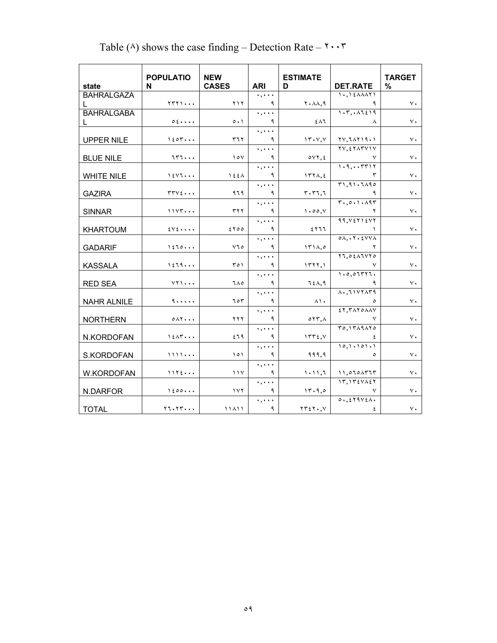|                    | <b>POPULATIO</b>                      | <b>NEW</b>          |            | <b>ESTIMATE</b>                          |                                              | <b>TARGET</b> |
|--------------------|---------------------------------------|---------------------|------------|------------------------------------------|----------------------------------------------|---------------|
| state              | N                                     | <b>CASES</b>        | <b>ARI</b> | D                                        | <b>DET.RATE</b>                              | $\%$          |
| <b>BAHRALGAZA</b>  |                                       |                     | $\ldots$   |                                          | $1.121$ $2.121$                              |               |
| L.                 | $YYY$ )                               | ۲۱۲                 | ٩          | $Y \cdot \lambda \lambda, \mathcal{A}$   | ٩                                            | ٧٠            |
| <b>BAHRALGABA</b>  |                                       |                     | $\ldots$   |                                          | 1.7.11519                                    |               |
| L                  | 0.5                                   | $\circ \cdot \cdot$ | ٩          | ٤٨٦                                      | $\lambda$                                    | $\vee$ .      |
|                    |                                       |                     | $\ldots$   |                                          |                                              |               |
| <b>UPPER NILE</b>  | $1$ $20$ $7$ $\cdot$ $\cdot$          | ۳٦٢                 | ٩          | 15.77                                    | YY, YAYYY.                                   | ٧٠            |
|                    |                                       |                     | $\ldots$   |                                          | YV. EYATVIV                                  |               |
| <b>BLUE NILE</b>   | 757                                   | $\vee$              | ٩          | oVT, E                                   | ٧                                            | ٧٠            |
|                    |                                       |                     | $\ldots$   |                                          | 1.9TT17                                      |               |
| <b>WHITE NILE</b>  | $1$ $\epsilon$ $\vee$ $\tau$ $\ldots$ | 155A                | ٩          | $177\lambda, \epsilon$                   | ٣                                            | ٧٠            |
|                    |                                       |                     | $\ldots$   |                                          | T1.91.7190                                   |               |
| <b>GAZIRA</b>      | $rrv\epsilon \cdots$                  | ۹٦٩                 | ٩          | $r \cdot r$                              | ٩                                            | ٧٠            |
|                    |                                       |                     | $\ldots$   |                                          | T.0.1.197                                    |               |
| <b>SINNAR</b>      | 11YY                                  | ۳۲۲                 | ٩          | 1.00, V                                  |                                              | ٧٠            |
|                    |                                       |                     | $\ldots$   |                                          | 99. V5715V7                                  |               |
| <b>KHARTOUM</b>    | $2V$ $2$ $\cdots$                     | 500                 | ٩          | ٤٢٦٦                                     |                                              | ٧٠            |
|                    |                                       |                     | $\ldots$   |                                          | $0 \Lambda \cdot Y \cdot \Sigma Y V \Lambda$ |               |
| <b>GADARIF</b>     | 1570                                  | ۷٦٥                 | ٩          | 151A,0                                   |                                              | $\vee$ .      |
|                    |                                       |                     | . ,        |                                          | $Y1,0\xi \wedge 1 \vee 10$                   |               |
| <b>KASSALA</b>     | 1579                                  | T O 1               | ٩          | 1577,1                                   |                                              | $\vee$ .      |
|                    |                                       |                     | $\ddotsc$  |                                          | 1.0.07777.                                   |               |
| <b>RED SEA</b>     | $YY$ $\cdots$                         | ٦٨٥                 | ٩          | 7 { A, 9                                 | ٩                                            | $\vee$ .      |
|                    |                                       |                     | $\ldots$   |                                          | $\Lambda$ $\Lambda$                          |               |
| <b>NAHR ALNILE</b> | 9                                     | ٦٥٣                 | ٩          | ۸۱.                                      | ٥                                            | ٧٠            |
|                    |                                       |                     | $\ldots$   |                                          | ET. TATOAAV                                  |               |
| <b>NORTHERN</b>    | $0 \wedge 7 \cdots$                   | <b>YYY</b>          | ٩          | $\circ$ $\uparrow \uparrow$ , $\wedge$   | ٧                                            | $\vee$ .      |
|                    |                                       |                     | $\ldots$   |                                          | T0.1TAA10                                    |               |
| N.KORDOFAN         | 15AT                                  | ٤٦٩                 | ٩          | 1555, 1                                  | ٤                                            | ٧٠            |
|                    |                                       |                     | $\ldots$   |                                          | 10, 1.101.1                                  |               |
| S.KORDOFAN         | 1111                                  | 101                 | ٩          | 999,9                                    | $\circ$                                      | $\vee$ .      |
|                    |                                       |                     | $\ldots$   |                                          |                                              |               |
| W.KORDOFAN         | 1155                                  | 11 <sup>V</sup>     | ٩          | 1.11,7                                   | $11,070$ $\Lambda$ $T$ $T$ $T$               | ٧٠            |
|                    |                                       |                     | $\ldots$   |                                          | $17,175\forall\lambda57$                     |               |
| N.DARFOR           | 1200                                  | $\sqrt{1 + \gamma}$ | ٩          | 15.9.0                                   | ٧                                            | $\vee$ .      |
|                    |                                       |                     | $\ldots$   |                                          | $0.5579V\xi\Lambda$                          |               |
| <b>TOTAL</b>       | Y1.1Y                                 | 11411               | ٩          | $\gamma \gamma \gamma \gamma \gamma$ , y | ٤                                            | ٧٠            |

## Table ( $\land$ ) shows the case finding – Detection Rate –  $\ulcorner \cdot \cdot \cdot \ulcorner$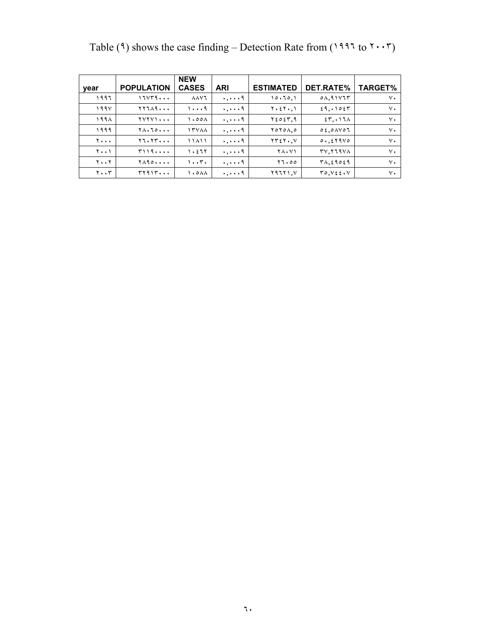|                               |                                               | <b>NEW</b>                   |                       |                              |                            |                |
|-------------------------------|-----------------------------------------------|------------------------------|-----------------------|------------------------------|----------------------------|----------------|
| year                          | <b>POPULATION</b>                             | <b>CASES</b>                 | <b>ARI</b>            | <b>ESTIMATED</b>             | DET.RATE%                  | <b>TARGET%</b> |
| ۱۹۹٦                          | ۱٦۷۳۹۰۰۰                                      | $\lambda \lambda \nu$        | 9                     | 10.70,1                      | 0A,91V                     | ٧٠             |
| ۱۹۹۷                          | <b>TY749</b>                                  | ۱۰۰۰۹                        | $\ldots$ , $\ldots$ 9 | $Y \cdot \xi Y \cdot, Y$     | 29,0027                    | ٧٠             |
| ۱۹۹۸                          | <u> 1717)</u>                                 | $\lambda$ ,00 $\lambda$      | $\ldots$ , $\ldots$ 9 | ۲٤٥٤٣,٩                      | 55,017                     | ٧٠             |
| ۱۹۹۹                          | $Y \wedge \cdot Z \circ \cdot \cdot \cdot$    | <b>ITVAA</b>                 | $\ldots$ , $\ldots$ q | $Y$ $0Y$ $0$ $\Lambda$ , $0$ | 0.600007                   | $\vee$ .       |
| 7.                            | Y1.1Y                                         | ۱۱۸۱۱                        | $\ldots$ , $\ldots$ q | $YY \in Y \cdot Y$           | 0.6519V0                   | $\vee$ .       |
| ۲۰۰۱                          | <b>٣١١٩٠٠٠٠</b>                               | $\eta$ . $\epsilon$ 7 $\eta$ | $\ldots$ , $\ldots$ q | <b>TA.VI</b>                 | TV. TT9VA                  | $\vee$ .       |
| $\mathbf{y} \cdot \mathbf{y}$ | $Y \wedge \neg \circ \cdot \cdot \cdot \cdot$ | 1.57.                        | $\ldots$ , $\ldots$ 9 | 17.00                        | $T\Lambda, \xi$ 90 $\xi$ 9 | ٧.             |
| $\mathbf{y} \cdot \mathbf{y}$ | <b>۳۲۹۱۳</b>                                  | ۱۰۰۸۸                        | $\ldots$ , $\ldots$ q | ۰. ۱ ۱ ۲ ۹ تا                | T0. V55. V                 | ٧.             |

Table (٩) shows the case finding – Detection Rate from ( to  $7 \cdot \cdot 7$ )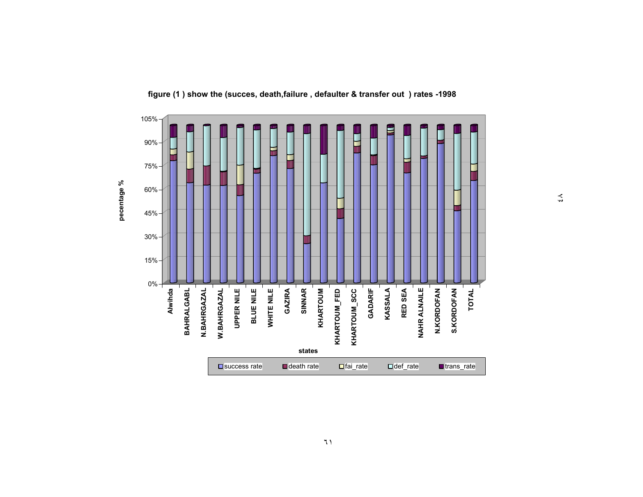

**figure (1 ) show the (succes, death,failure , defaulter & transfer out ) rates -1998**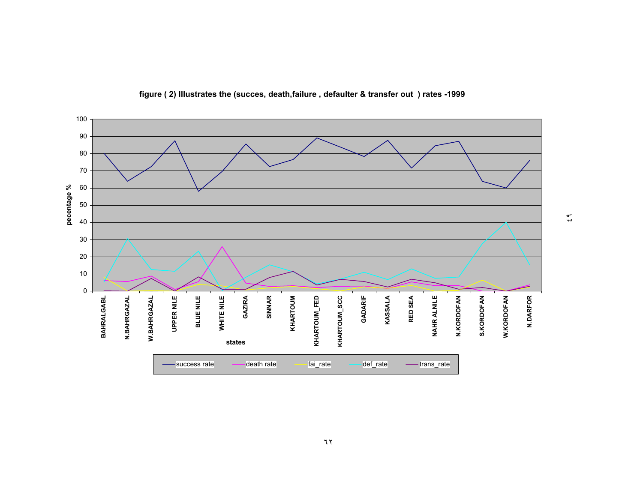

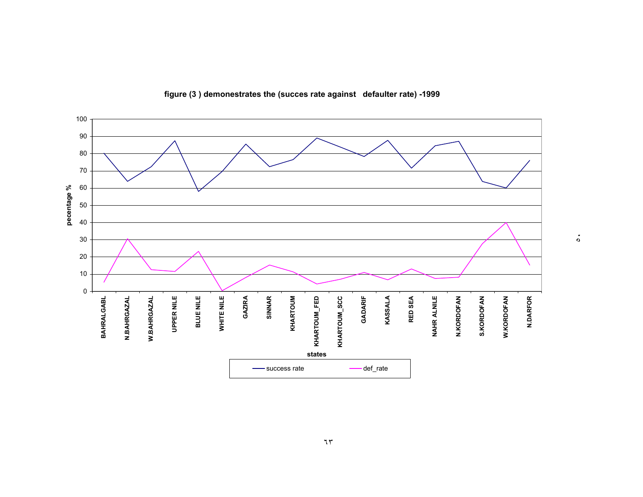

**figure (3 ) demonestrates the (succes rate against defaulter rate) -1999**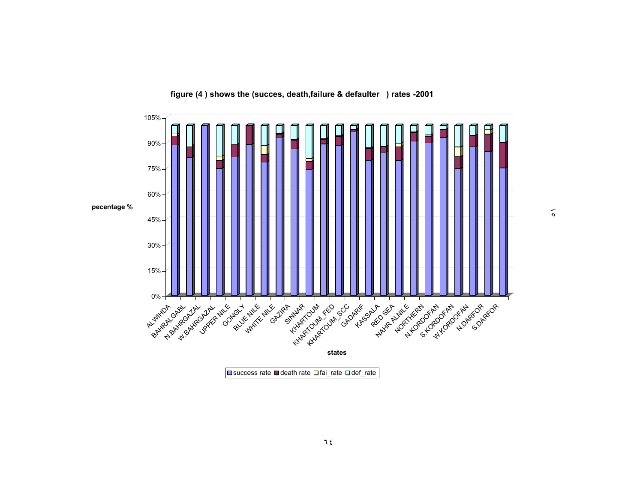

**figure (4 ) shows the (succes, death,failure & defaulter ) rates -2001**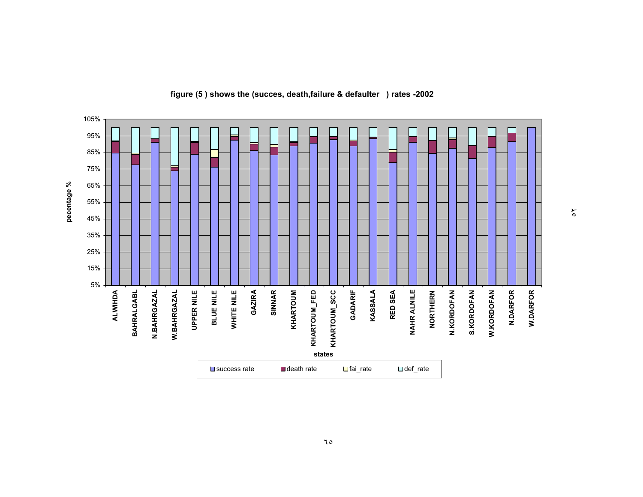

#### **figure (5 ) shows the (succes, death,failure & defaulter ) rates -2002**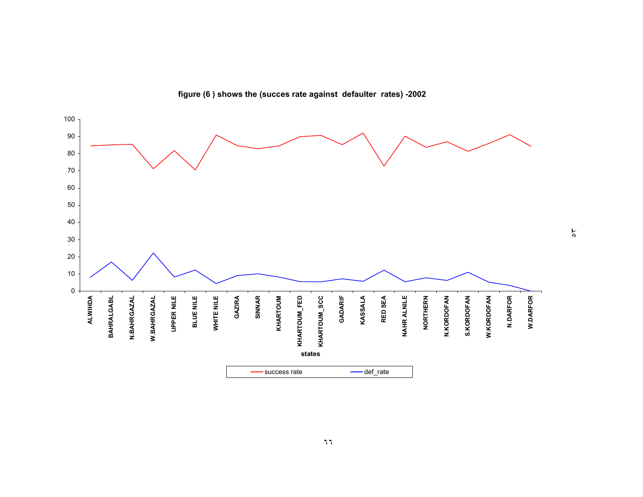

**figure (6 ) shows the (succes rate against defaulter rates) -2002**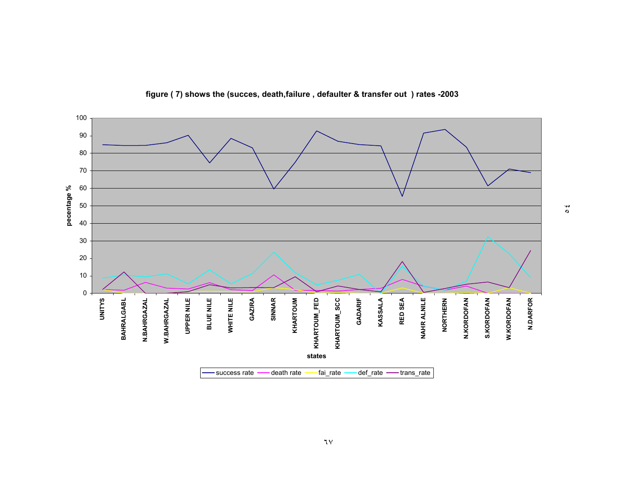

**figure ( 7) shows the (succes, death,failure , defaulter & transfer out ) rates -2003**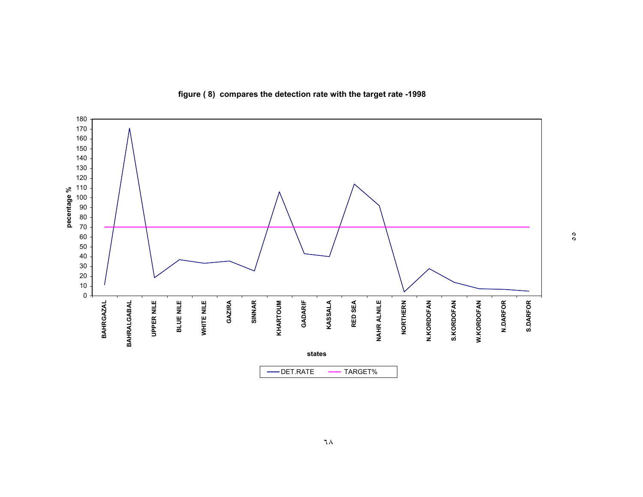

**figure ( 8) compares the detection rate with the target rate -1998**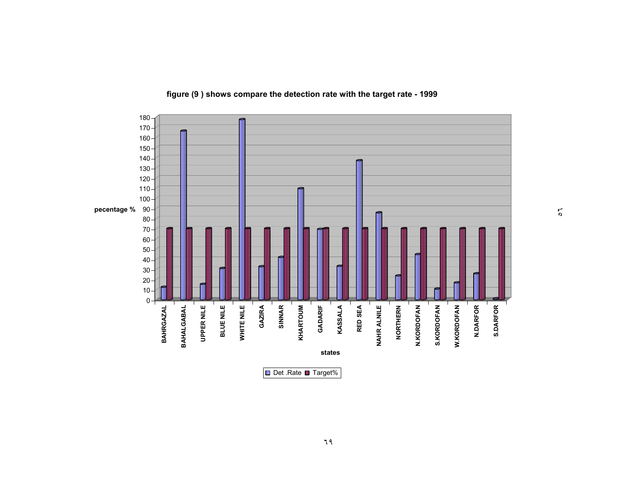

**figure (9 ) shows compare the detection rate with the target rate - 1999**

٥٦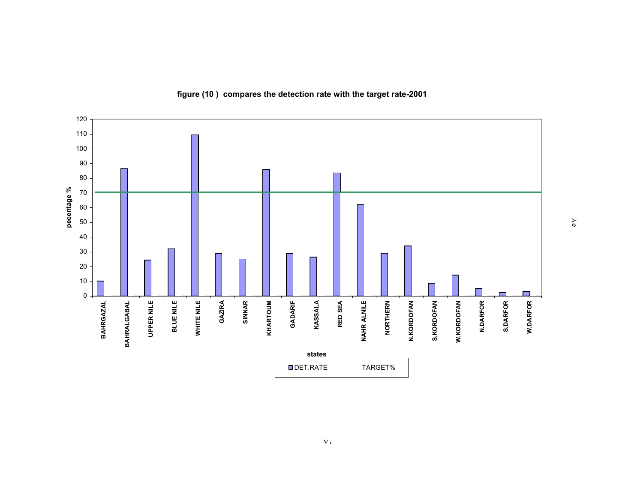

**figure (10 ) compares the detection rate with the target rate-2001**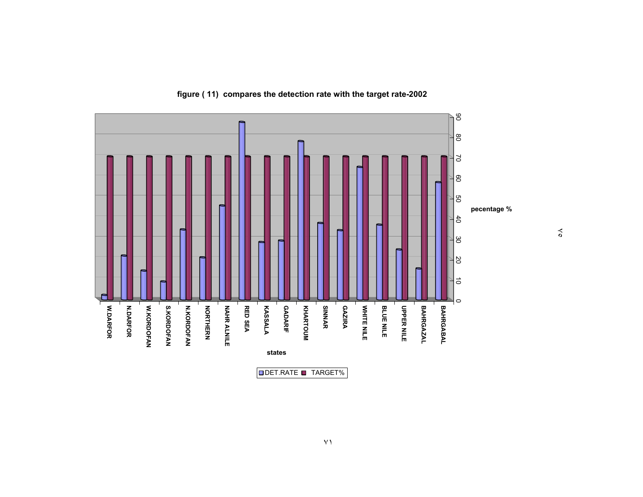

 $\delta$ 

**figure ( 11) compares the detection rate with the target rate-2002**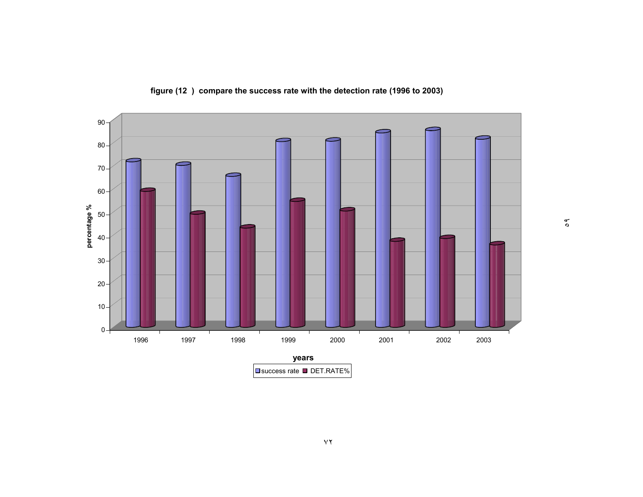

**figure (12 ) compare the success rate with the detection rate (1996 to 2003)**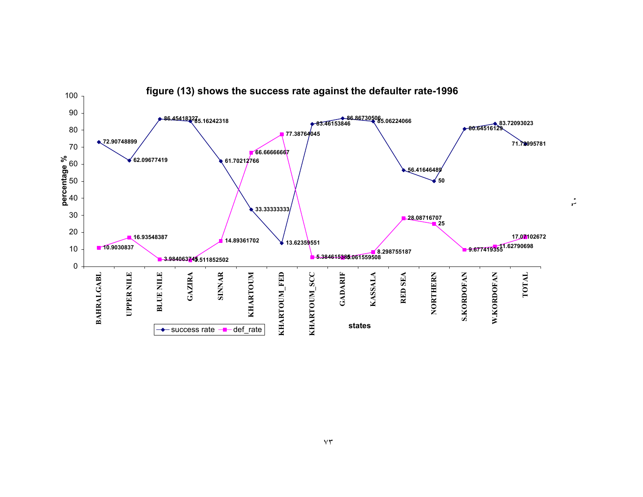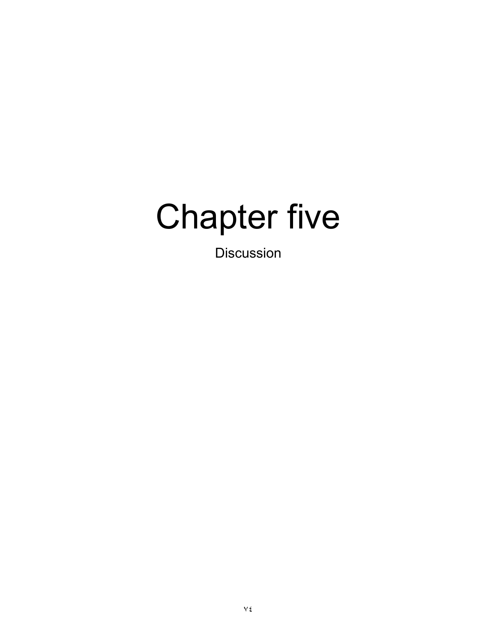## Chapter five

Discussion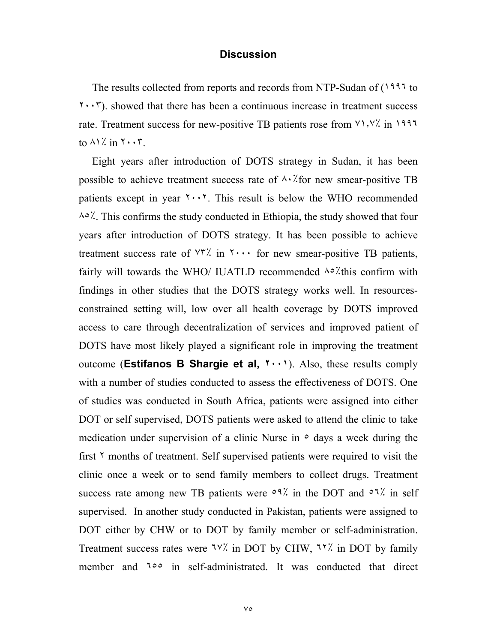#### **Discussion**

 The results collected from reports and records from NTP-Sudan of (١٩٩٦ to ٢٠٠٣). showed that there has been a continuous increase in treatment success rate. Treatment success for new-positive TB patients rose from ٧١٫٧٪ in ١٩٩٦ to  $\wedge$  1% in  $\cdots$ .

 Eight years after introduction of DOTS strategy in Sudan, it has been possible to achieve treatment success rate of  $\lambda \cdot \lambda$  for new smear-positive TB patients except in year  $\cdots$ . This result is below the WHO recommended ٨٥٪. This confirms the study conducted in Ethiopia, the study showed that four years after introduction of DOTS strategy. It has been possible to achieve treatment success rate of  $\forall \vec{r}$  in  $\forall \cdots$  for new smear-positive TB patients, fairly will towards the WHO/ IUATLD recommended  $\lambda \circ \lambda'$ this confirm with findings in other studies that the DOTS strategy works well. In resourcesconstrained setting will, low over all health coverage by DOTS improved access to care through decentralization of services and improved patient of DOTS have most likely played a significant role in improving the treatment outcome (**Estifanos B Shargie et al, ٢٠٠١**). Also, these results comply with a number of studies conducted to assess the effectiveness of DOTS. One of studies was conducted in South Africa, patients were assigned into either DOT or self supervised, DOTS patients were asked to attend the clinic to take medication under supervision of a clinic Nurse in  $\circ$  days a week during the first  $\gamma$  months of treatment. Self supervised patients were required to visit the clinic once a week or to send family members to collect drugs. Treatment success rate among new TB patients were  $0.9\%$  in the DOT and  $0.7\%$  in self supervised. In another study conducted in Pakistan, patients were assigned to DOT either by CHW or to DOT by family member or self-administration. Treatment success rates were <sup>٦٧٪</sup> in DOT by CHW, <sup>٦٢٪</sup> in DOT by family member and <sup>100</sup> in self-administrated. It was conducted that direct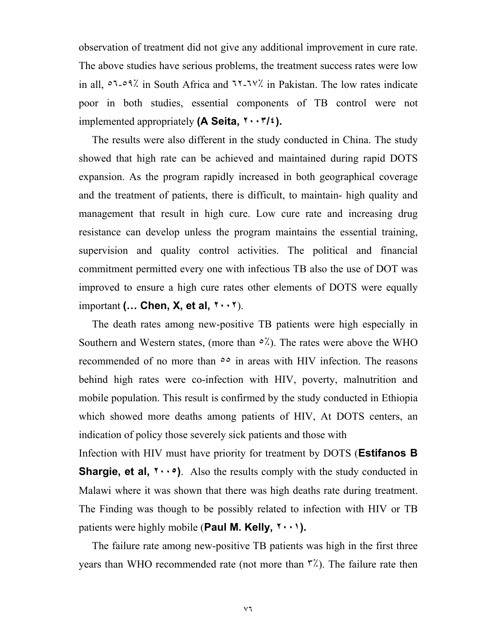observation of treatment did not give any additional improvement in cure rate. The above studies have serious problems, the treatment success rates were low in all, ٥٦-٥٩٪ in South Africa and ٦٢-٦٧٪ in Pakistan. The low rates indicate poor in both studies, essential components of TB control were not implemented appropriately **(A Seita, ٢٠٠٣/٤).**

 The results were also different in the study conducted in China. The study showed that high rate can be achieved and maintained during rapid DOTS expansion. As the program rapidly increased in both geographical coverage and the treatment of patients, there is difficult, to maintain- high quality and management that result in high cure. Low cure rate and increasing drug resistance can develop unless the program maintains the essential training, supervision and quality control activities. The political and financial commitment permitted every one with infectious TB also the use of DOT was improved to ensure a high cure rates other elements of DOTS were equally important **(… Chen, X, et al, ٢٠٠٢**).

 The death rates among new-positive TB patients were high especially in Southern and Western states, (more than  $\circ \frac{\lambda}{\lambda}$ ). The rates were above the WHO recommended of no more than ٥٥ in areas with HIV infection. The reasons behind high rates were co-infection with HIV, poverty, malnutrition and mobile population. This result is confirmed by the study conducted in Ethiopia which showed more deaths among patients of HIV, At DOTS centers, an indication of policy those severely sick patients and those with

Infection with HIV must have priority for treatment by DOTS (**Estifanos B Shargie, et al, ٢٠٠٥)**. Also the results comply with the study conducted in Malawi where it was shown that there was high deaths rate during treatment. The Finding was though to be possibly related to infection with HIV or TB patients were highly mobile (**Paul M. Kelly, ٢٠٠١).** 

 The failure rate among new-positive TB patients was high in the first three years than WHO recommended rate (not more than ٣٪). The failure rate then

٧٦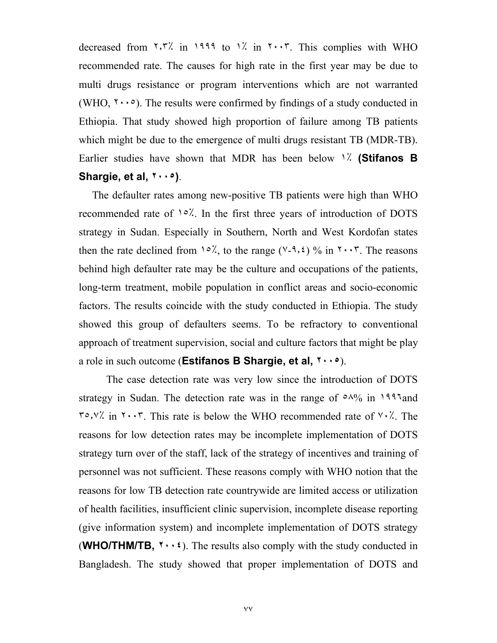decreased from  $\frac{7}{7}$  in  $\frac{1999}{10}$  to  $\frac{1}{10}$  in  $\frac{7}{7}$ . This complies with WHO recommended rate. The causes for high rate in the first year may be due to multi drugs resistance or program interventions which are not warranted (WHO,  $\gamma \cdot \cdot \cdot$ ). The results were confirmed by findings of a study conducted in Ethiopia. That study showed high proportion of failure among TB patients which might be due to the emergence of multi drugs resistant TB (MDR-TB). Earlier studies have shown that MDR has been below ١٪ **(Stifanos B Shargie, et al, ٢٠٠٥)**.

 The defaulter rates among new-positive TB patients were high than WHO recommended rate of ١٥٪. In the first three years of introduction of DOTS strategy in Sudan. Especially in Southern, North and West Kordofan states then the rate declined from  $1°$ , to the range ( $\sqrt{3}$ ,  $\sqrt{6}$ ) in  $\sqrt{7}$ . The reasons behind high defaulter rate may be the culture and occupations of the patients, long-term treatment, mobile population in conflict areas and socio-economic factors. The results coincide with the study conducted in Ethiopia. The study showed this group of defaulters seems. To be refractory to conventional approach of treatment supervision, social and culture factors that might be play a role in such outcome (**Estifanos B Shargie, et al, ٢٠٠٥**).

The case detection rate was very low since the introduction of DOTS strategy in Sudan. The detection rate was in the range of  $\circ \wedge \frac{9}{9}$  in  $1997$  and  $\tau \circ$ ,  $\vee$  in  $\tau \circ \cdot \tau$ . This rate is below the WHO recommended rate of  $\vee \cdot \angle$ . The reasons for low detection rates may be incomplete implementation of DOTS strategy turn over of the staff, lack of the strategy of incentives and training of personnel was not sufficient. These reasons comply with WHO notion that the reasons for low TB detection rate countrywide are limited access or utilization of health facilities, insufficient clinic supervision, incomplete disease reporting (give information system) and incomplete implementation of DOTS strategy (**WHO/THM/TB, ٢٠٠٤**). The results also comply with the study conducted in Bangladesh. The study showed that proper implementation of DOTS and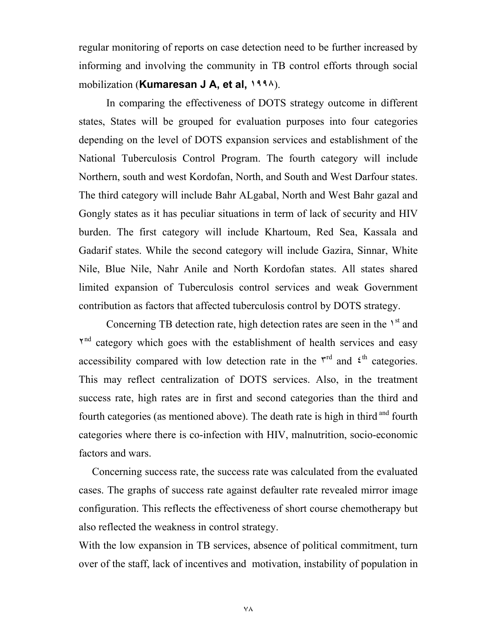regular monitoring of reports on case detection need to be further increased by informing and involving the community in TB control efforts through social mobilization (**Kumaresan J A, et al, ١٩٩٨**).

In comparing the effectiveness of DOTS strategy outcome in different states, States will be grouped for evaluation purposes into four categories depending on the level of DOTS expansion services and establishment of the National Tuberculosis Control Program. The fourth category will include Northern, south and west Kordofan, North, and South and West Darfour states. The third category will include Bahr ALgabal, North and West Bahr gazal and Gongly states as it has peculiar situations in term of lack of security and HIV burden. The first category will include Khartoum, Red Sea, Kassala and Gadarif states. While the second category will include Gazira, Sinnar, White Nile, Blue Nile, Nahr Anile and North Kordofan states. All states shared limited expansion of Tuberculosis control services and weak Government contribution as factors that affected tuberculosis control by DOTS strategy.

Concerning TB detection rate, high detection rates are seen in the  $1<sup>st</sup>$  and  $Y<sup>nd</sup>$  category which goes with the establishment of health services and easy accessibility compared with low detection rate in the  $\zeta^{\text{rd}}$  and  $\zeta^{\text{th}}$  categories. This may reflect centralization of DOTS services. Also, in the treatment success rate, high rates are in first and second categories than the third and fourth categories (as mentioned above). The death rate is high in third <sup>and</sup> fourth categories where there is co-infection with HIV, malnutrition, socio-economic factors and wars.

 Concerning success rate, the success rate was calculated from the evaluated cases. The graphs of success rate against defaulter rate revealed mirror image configuration. This reflects the effectiveness of short course chemotherapy but also reflected the weakness in control strategy.

With the low expansion in TB services, absence of political commitment, turn over of the staff, lack of incentives and motivation, instability of population in

٧٨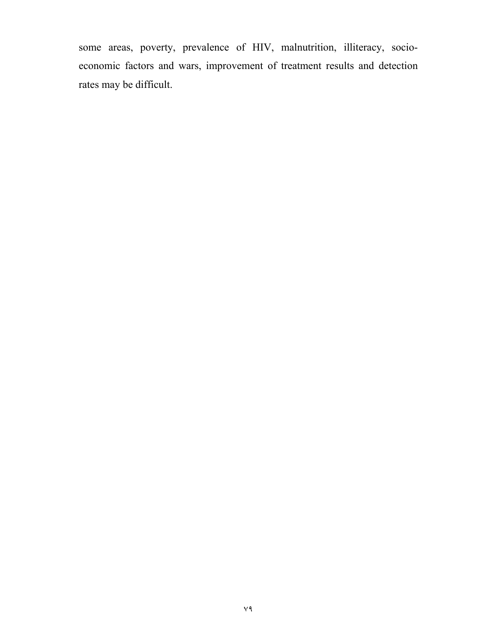some areas, poverty, prevalence of HIV, malnutrition, illiteracy, socioeconomic factors and wars, improvement of treatment results and detection rates may be difficult.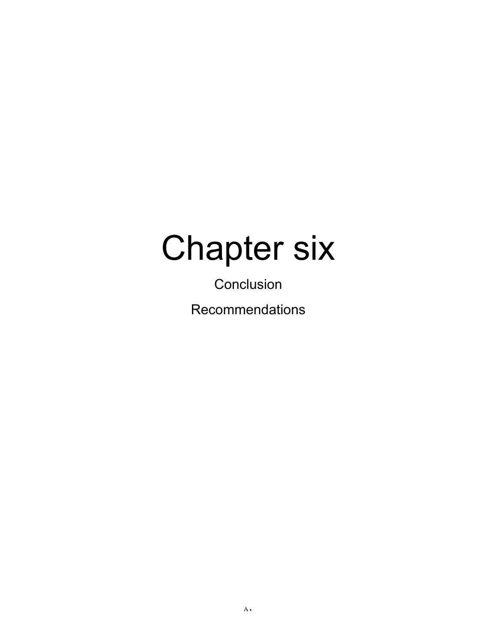### Chapter six

**Conclusion** Recommendations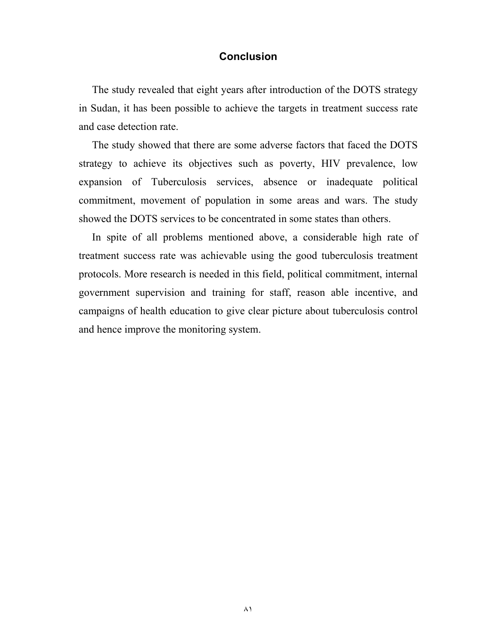#### **Conclusion**

 The study revealed that eight years after introduction of the DOTS strategy in Sudan, it has been possible to achieve the targets in treatment success rate and case detection rate.

 The study showed that there are some adverse factors that faced the DOTS strategy to achieve its objectives such as poverty, HIV prevalence, low expansion of Tuberculosis services, absence or inadequate political commitment, movement of population in some areas and wars. The study showed the DOTS services to be concentrated in some states than others.

 In spite of all problems mentioned above, a considerable high rate of treatment success rate was achievable using the good tuberculosis treatment protocols. More research is needed in this field, political commitment, internal government supervision and training for staff, reason able incentive, and campaigns of health education to give clear picture about tuberculosis control and hence improve the monitoring system.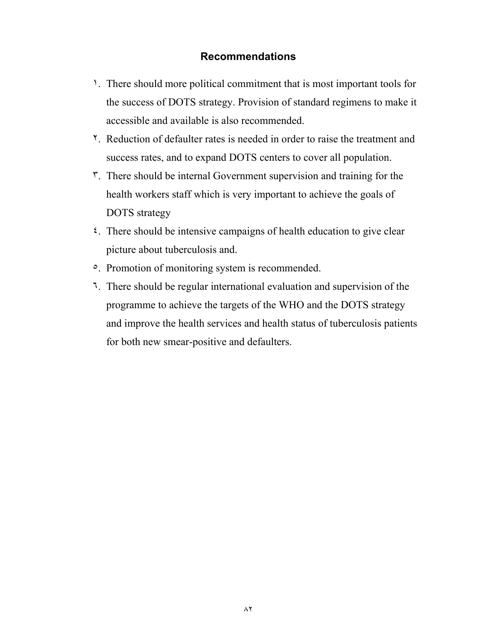#### **Recommendations**

- ١. There should more political commitment that is most important tools for the success of DOTS strategy. Provision of standard regimens to make it accessible and available is also recommended.
- ٢. Reduction of defaulter rates is needed in order to raise the treatment and success rates, and to expand DOTS centers to cover all population.
- ٣. There should be internal Government supervision and training for the health workers staff which is very important to achieve the goals of DOTS strategy
- ٤. There should be intensive campaigns of health education to give clear picture about tuberculosis and.
- ٥. Promotion of monitoring system is recommended.
- ٦. There should be regular international evaluation and supervision of the programme to achieve the targets of the WHO and the DOTS strategy and improve the health services and health status of tuberculosis patients for both new smear-positive and defaulters.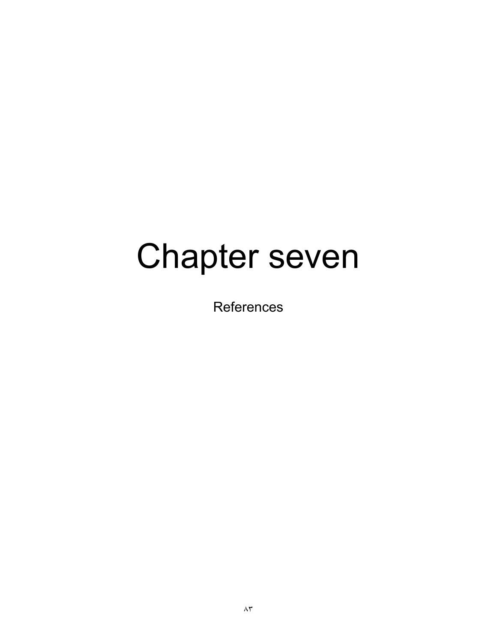## Chapter seven

**References**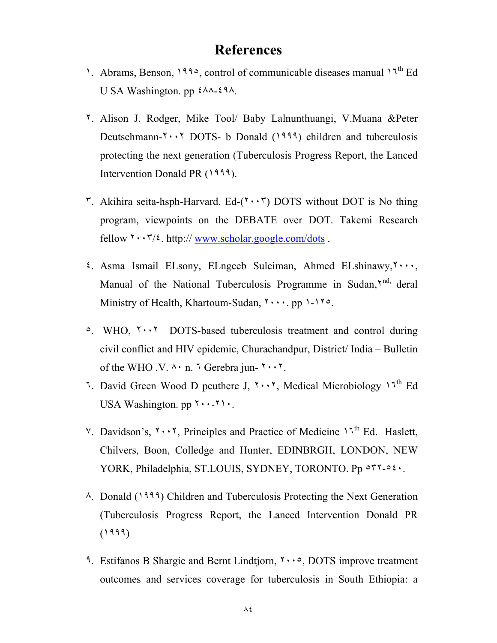### **References**

- 1. Abrams, Benson, 1990, control of communicable diseases manual 17<sup>th</sup> Ed U SA Washington. pp ٤٨٨-٤٩٨.
- ٢. Alison J. Rodger, Mike Tool/ Baby Lalnunthuangi, V.Muana &Peter Deutschmann- $\cdots$  DOTS- b Donald (1999) children and tuberculosis protecting the next generation (Tuberculosis Progress Report, the Lanced Intervention Donald PR (١٩٩٩).
- $\mathcal{F}$ . Akihira seita-hsph-Harvard. Ed-( $\mathcal{F}$  +  $\mathcal{F}$ ) DOTS without DOT is No thing program, viewpoints on the DEBATE over DOT. Takemi Research fellow  $\mathbf{r} \cdot \mathbf{r}/\mathbf{r}$ , http:// www.scholar.google.com/dots .
- ٤. Asma Ismail ELsony, ELngeeb Suleiman, Ahmed ELshinawy,٢٠٠٠, Manual of the National Tuberculosis Programme in Sudan, Y<sup>nd,</sup> deral Ministry of Health, Khartoum-Sudan,  $\cdots$ , pp  $\cdots$
- ٥. WHO, ٢٠٠٢ DOTS-based tuberculosis treatment and control during civil conflict and HIV epidemic, Churachandpur, District/ India – Bulletin of the WHO  $\cdot$  V.  $\cdot \cdot$  n.  $\cdot \cdot$  Gerebra jun-  $\cdot \cdot \cdot \cdot$ .
- 7. David Green Wood D peuthere J,  $\cdot \cdot \cdot \cdot$ , Medical Microbiology  $1\cdot \cdot \cdot$  Ed USA Washington. pp  $\cdots$ - $\cdots$ .
- $V$ . Davidson's,  $Y \cdot Y$ , Principles and Practice of Medicine  $V^{\text{th}}$  Ed. Haslett, Chilvers, Boon, Colledge and Hunter, EDINBRGH, LONDON, NEW YORK, Philadelphia, ST.LOUIS, SYDNEY, TORONTO. Pp ٥٣٢-٥٤٠.
- ٨. Donald (١٩٩٩) Children and Tuberculosis Protecting the Next Generation (Tuberculosis Progress Report, the Lanced Intervention Donald PR (١٩٩٩)
- ٩. Estifanos B Shargie and Bernt Lindtjorn, ٢٠٠٥, DOTS improve treatment outcomes and services coverage for tuberculosis in South Ethiopia: a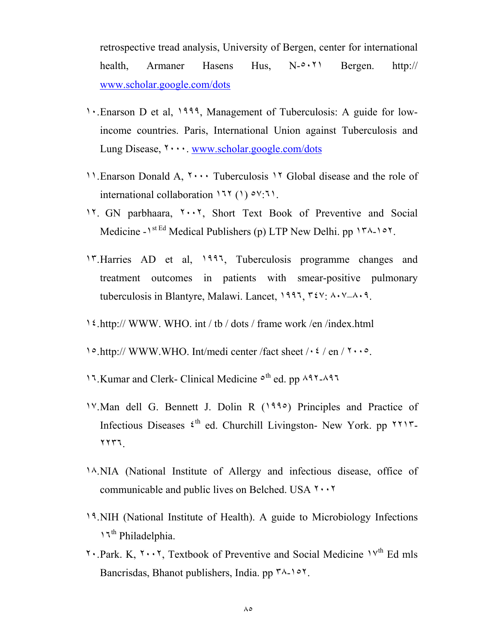retrospective tread analysis, University of Bergen, center for international health, Armaner Hasens Hus, N-٥٠٢١ Bergen. http:// www.scholar.google.com/dots

- ١٠.Enarson D et al, ١٩٩٩, Management of Tuberculosis: A guide for lowincome countries. Paris, International Union against Tuberculosis and Lung Disease, ٢٠٠٠. www.scholar.google.com/dots
- ١١.Enarson Donald A, ٢٠٠٠ Tuberculosis ١٢ Global disease and the role of international collaboration ١٦٢ (١) ٥٧:٦١.
- ١٢. GN parbhaara, ٢٠٠٢, Short Text Book of Preventive and Social Medicine - $1^{stEd}$  Medical Publishers (p) LTP New Delhi. pp  $1^{rd}$ - $10^{rd}$ .
- ١٣.Harries AD et al, ١٩٩٦, Tuberculosis programme changes and treatment outcomes in patients with smear-positive pulmonary tuberculosis in Blantyre, Malawi. Lancet, ١٩٩٦, ٣٤٧: ٨٠٧–٨٠٩.
- ١٤.http:// WWW. WHO. int / tb / dots / frame work /en /index.html
- ١٥.http:// WWW.WHO. Int/medi center /fact sheet /٠٤ / en / ٢٠٠٥.
- ١٦.Kumar and Clerk- Clinical Medicine ٥th ed. pp ٨٩٢-٨٩٦
- ١٧.Man dell G. Bennett J. Dolin R (١٩٩٥) Principles and Practice of Infectious Diseases  $\xi$ <sup>th</sup> ed. Churchill Livingston- New York. pp  $\zeta$ ٢٢٣٦.
- ١٨.NIA (National Institute of Allergy and infectious disease, office of communicable and public lives on Belched. USA ٢٠٠٢
- ١٩.NIH (National Institute of Health). A guide to Microbiology Infections ١٦th Philadelphia.
- $\gamma$ . Park, K,  $\gamma$ ,  $\gamma$ , Textbook of Preventive and Social Medicine  $\gamma$ <sup>th</sup> Ed mls Bancrisdas, Bhanot publishers, India. pp  $\forall \lambda \rightarrow \forall$ .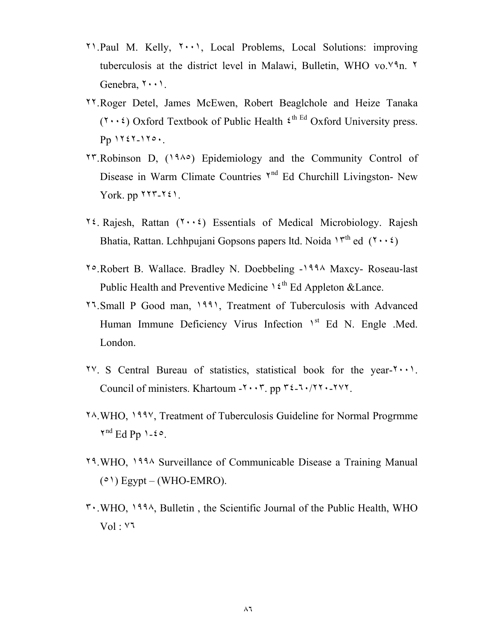- ٢١.Paul M. Kelly, ٢٠٠١, Local Problems, Local Solutions: improving tuberculosis at the district level in Malawi, Bulletin, WHO vo.٧٩n. ٢ Genebra, ٢٠٠١.
- ٢٢.Roger Detel, James McEwen, Robert Beaglchole and Heize Tanaka  $(7 \cdot \cdot \epsilon)$  Oxford Textbook of Public Health  $\xi^{\text{th}}$  Ed Oxford University press. Pp ١٢٤٢-١٢٥٠.
- ٢٣.Robinson D, (١٩٨٥) Epidemiology and the Community Control of Disease in Warm Climate Countries  $Y^{nd}$  Ed Churchill Livingston- New York. pp ٢٢٣-٢٤١.
- 12. Rajesh, Rattan  $(1 \cdot \cdot i)$  Essentials of Medical Microbiology. Rajesh Bhatia, Rattan. Lchhpujani Gopsons papers ltd. Noida  $1^{rth}$  ed  $(7 \cdot \cdot 2)$
- ٢٥.Robert B. Wallace. Bradley N. Doebbeling -١٩٩٨ Maxcy- Roseau-last Public Health and Preventive Medicine  $1 \xi^{th}$  Ed Appleton & Lance.
- ٢٦.Small P Good man, ١٩٩١, Treatment of Tuberculosis with Advanced Human Immune Deficiency Virus Infection 1<sup>st</sup> Ed N. Engle .Med. London.
- ٢٧. S Central Bureau of statistics, statistical book for the year-٢٠٠١. Council of ministers. Khartoum  $-7 \cdot 7$ . pp  $72 - 7 \cdot 77 \cdot 777$ .
- ٢٨.WHO, ١٩٩٧, Treatment of Tuberculosis Guideline for Normal Progrmme  $Y^{nd}$  Ed Pp  $1-20$ .
- ٢٩.WHO, ١٩٩٨ Surveillance of Communicable Disease a Training Manual  $(0)$  Egypt – (WHO-EMRO).
- ٣٠.WHO, ١٩٩٨, Bulletin , the Scientific Journal of the Public Health, WHO Vol : ٧٦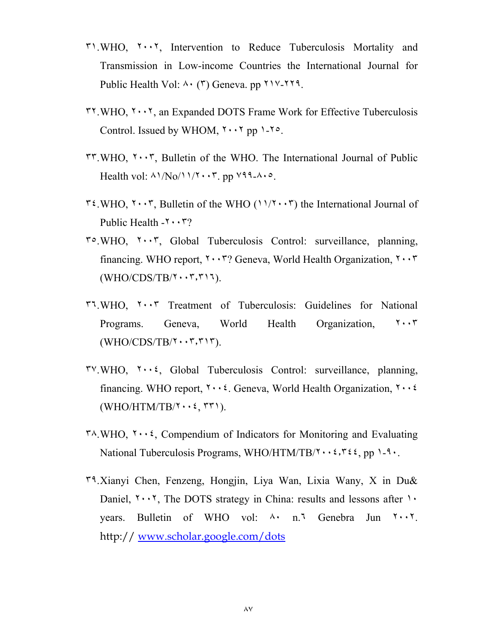- ٣١.WHO, ٢٠٠٢, Intervention to Reduce Tuberculosis Mortality and Transmission in Low-income Countries the International Journal for Public Health Vol: ٨٠ (٣) Geneva. pp ٢١٧-٢٢٩.
- $\mathsf{r} \mathsf{r}$ . WHO,  $\mathsf{r} \cdot \mathsf{r} \mathsf{r}$ , an Expanded DOTS Frame Work for Effective Tuberculosis Control. Issued by WHOM,  $\gamma \cdot \gamma$  pp  $\gamma$ - $\gamma$ °.
- ٣٣.WHO, ٢٠٠٣, Bulletin of the WHO. The International Journal of Public Health vol:  $\Lambda$  $\overline{\mathrm{No}}$  $\Lambda$  $\overline{\mathrm{.7}}$ , pp  $\overline{\mathrm{99}}$ - $\Lambda$  $\cdot$   $\circ$ .
- $\mathbf{r}$   $\mathbf{v}$ . WHO,  $\mathbf{v} \cdot \mathbf{v}$ , Bulletin of the WHO ( $\mathbf{v}$ )  $\mathbf{v}$ ) the International Journal of Public Health  $-1 \cdot \cdot \cdot 7$ ?
- ٣٥.WHO, ٢٠٠٣, Global Tuberculosis Control: surveillance, planning, financing. WHO report,  $\mathbf{r} \cdot \mathbf{r}$ ? Geneva, World Health Organization,  $\mathbf{r} \cdot \mathbf{r}$ (WHO/CDS/TB/٢٠٠٣٫٣١٦).
- ٣٦.WHO, ٢٠٠٣ Treatment of Tuberculosis: Guidelines for National Programs. Geneva, World Health Organization, ٢٠٠٣  $(WHO/CDS/TB/\Upsilon \cdot \cdot \tau, \tau \cdot \tau)$ .
- $\mathcal{V} \cdot \mathcal{W}$ HO,  $\mathcal{V} \cdot \mathcal{V}$ , Global Tuberculosis Control: surveillance, planning, financing. WHO report,  $\mathbf{y} \cdot \mathbf{z}$ . Geneva, World Health Organization,  $\mathbf{y} \cdot \mathbf{z}$  $(WHO/HTM/TB/\Upsilon \cdot \cdot \xi, \Upsilon \Upsilon)$ .
- $\mu$ <sup>x</sup> $\lambda$ .WHO,  $\mu$  $\cdot\cdot\cdot$  Compendium of Indicators for Monitoring and Evaluating National Tuberculosis Programs, WHO/HTM/TB/ $\mathbf{y} \cdot \mathbf{z}$ ,  $\mathbf{y} \cdot \mathbf{z}$ ,  $\mathbf{y} \cdot \mathbf{z}$ ,  $\mathbf{y} \cdot \mathbf{z}$ ,  $\mathbf{y} \cdot \mathbf{z}$ ,  $\mathbf{y} \cdot \mathbf{z}$ ,  $\mathbf{y} \cdot \mathbf{z}$ ,  $\mathbf{y} \cdot \mathbf{z}$ ,  $\mathbf{y} \cdot \mathbf{z}$ ,  $\mathbf{y} \cdot \mathbf{z}$
- ٣٩.Xianyi Chen, Fenzeng, Hongjin, Liya Wan, Lixia Wany, X in Du& Daniel,  $\mathbf{1} \cdot \mathbf{1}$ , The DOTS strategy in China: results and lessons after  $\mathbf{1} \cdot \mathbf{1}$ years. Bulletin of WHO vol: ٨٠ n.٦ Genebra Jun ٢٠٠٢. http:// www.scholar.google.com/dots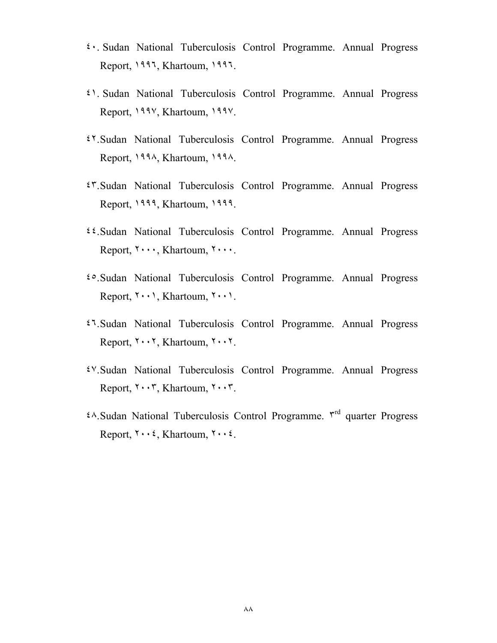- ٤٠. Sudan National Tuberculosis Control Programme. Annual Progress Report, ١٩٩٦, Khartoum, ١٩٩٦.
- ٤١. Sudan National Tuberculosis Control Programme. Annual Progress Report, ١٩٩٧, Khartoum, ١٩٩٧.
- ٤٢.Sudan National Tuberculosis Control Programme. Annual Progress Report, ١٩٩٨, Khartoum, ١٩٩٨.
- ٤٣.Sudan National Tuberculosis Control Programme. Annual Progress Report, ١٩٩٩, Khartoum, ١٩٩٩.
- ٤٤.Sudan National Tuberculosis Control Programme. Annual Progress Report, ٢٠٠٠, Khartoum, ٢٠٠٠.
- ٤٥.Sudan National Tuberculosis Control Programme. Annual Progress Report, ٢٠٠١, Khartoum, ٢٠٠١.
- ٤٦.Sudan National Tuberculosis Control Programme. Annual Progress Report, ٢٠٠٢, Khartoum, ٢٠٠٢.
- ٤٧.Sudan National Tuberculosis Control Programme. Annual Progress Report, ٢٠٠٣, Khartoum, ٢٠٠٣.
- ٤٨.Sudan National Tuberculosis Control Programme. ٣rd quarter Progress Report,  $\mathbf{Y} \cdot \mathbf{X}$ , Khartoum,  $\mathbf{Y} \cdot \mathbf{X}$ .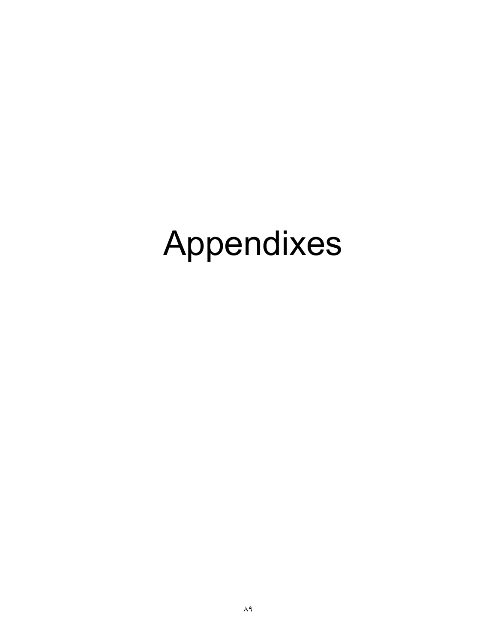# Appendixes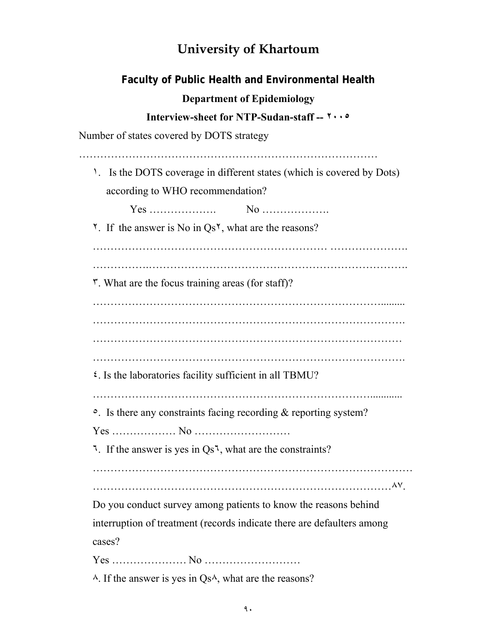### **University of Khartoum**

| Faculty of Public Health and Environmental Health                                                                         |
|---------------------------------------------------------------------------------------------------------------------------|
| <b>Department of Epidemiology</b>                                                                                         |
| Interview-sheet for NTP-Sudan-staff -- ٢٠٠٥                                                                               |
| Number of states covered by DOTS strategy                                                                                 |
| <sup>1</sup> . Is the DOTS coverage in different states (which is covered by Dots)                                        |
| according to WHO recommendation?                                                                                          |
|                                                                                                                           |
| <sup><math>\checkmark</math></sup> . If the answer is No in Qs <sup><math>\checkmark</math></sup> , what are the reasons? |
|                                                                                                                           |
| r. What are the focus training areas (for staff)?                                                                         |
|                                                                                                                           |
|                                                                                                                           |
|                                                                                                                           |
|                                                                                                                           |
| $\mathfrak{c}$ . Is the laboratories facility sufficient in all TBMU?                                                     |
| $\circ$ . Is there any constraints facing recording & reporting system?                                                   |
|                                                                                                                           |
| <sup>1</sup> . If the answer is yes in $Qs^1$ , what are the constraints?                                                 |
|                                                                                                                           |
| Do you conduct survey among patients to know the reasons behind                                                           |
| interruption of treatment (records indicate there are defaulters among                                                    |
| cases?                                                                                                                    |
|                                                                                                                           |
| $\lambda$ . If the answer is yes in Qs $\lambda$ , what are the reasons?                                                  |